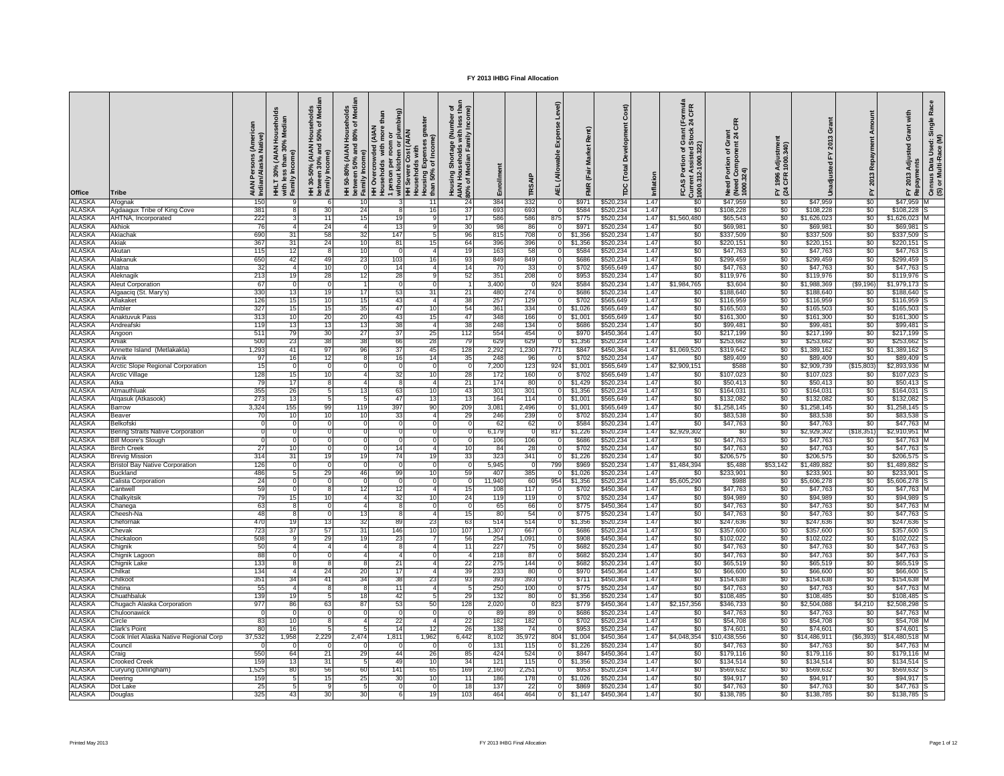| Office                  | <b>Tribe</b>                                      | AIAN Persons (Americ<br>Indian/Alaska Native) | HHLT 30% (AIAN Househol<br>with less than 30% Median<br>Family Income) | of Medi<br>Househ<br>50% of<br>(AIAN I)<br><sup>9% and :</sup><br><sup>ome)</sup><br>Incom<br>HH 30-50%<br>between 30'<br>Family Inco | HH 50-80% (AIAN Households<br>between 50% and 80% of Median<br>between 50% an<br>Family Income) | 1 person per room or<br>without kitchen or plumbing)<br>than<br>more<br>(AIAN<br>Households with<br>HH Over | Housing Expenses great<br>than 50% of Income)<br><b>NAIA)</b><br>Households with<br><b>HI Severe Cost</b> | ុំ ខ្ទឹ<br><b>P</b><br>(Number<br>less<br>Family<br>Shortage<br>useholds w<br>80% of Medi<br>Housing: | Enrollment              | TRSAIP       | Level)<br>Exp<br>wable<br>(Allo<br>AEL. |                    | Cost)<br>Development<br><b>TDC</b> (Total | Inflation    | (Formula<br>24 CFR<br>Grant (<br>Stock 2<br>Current Assisted S<br>  000.312-1000.322<br>ិ ទូ<br>Portion<br>Assist<br>CASI | CFR<br>듄 정<br>Need Portion of Gra<br>(Need Component 2)<br>1000.324) | Adjustment<br>1000.340)<br>1996<br>CFR<br>⊾ ฐ | Grant                    | Repayment Amount<br>2013<br>고 | with<br><b>Adjusted Grant</b><br>FY 2013 Adju<br>Repayments | Race<br>Census Data Used: Single<br>(S) or Multi-Race (M) |
|-------------------------|---------------------------------------------------|-----------------------------------------------|------------------------------------------------------------------------|---------------------------------------------------------------------------------------------------------------------------------------|-------------------------------------------------------------------------------------------------|-------------------------------------------------------------------------------------------------------------|-----------------------------------------------------------------------------------------------------------|-------------------------------------------------------------------------------------------------------|-------------------------|--------------|-----------------------------------------|--------------------|-------------------------------------------|--------------|---------------------------------------------------------------------------------------------------------------------------|----------------------------------------------------------------------|-----------------------------------------------|--------------------------|-------------------------------|-------------------------------------------------------------|-----------------------------------------------------------|
| <b>ALASKA</b>           | Afognak                                           | 150                                           |                                                                        |                                                                                                                                       |                                                                                                 |                                                                                                             |                                                                                                           | 24                                                                                                    | 384                     | 332          |                                         | \$971              | \$520,234                                 | 1.47         | SO.                                                                                                                       | \$47,959                                                             | \$0                                           | \$47,959                 | \$0                           | \$47,959                                                    |                                                           |
| <b>ALASKA</b>           | Agdaagux Tribe of King Cove                       | 381                                           |                                                                        | 30                                                                                                                                    | 24                                                                                              |                                                                                                             | 16                                                                                                        | 37                                                                                                    | 693                     | 693          |                                         | \$584              | \$520,234                                 | 1.47         | \$0                                                                                                                       | \$108,228                                                            | \$0                                           | \$108,228                | \$0                           | \$108,228                                                   |                                                           |
| ALASKA                  | AHTNA, Incorporated                               | 222                                           |                                                                        | 11                                                                                                                                    | 15                                                                                              | 19                                                                                                          |                                                                                                           | 17                                                                                                    | 586                     | 586          | 875                                     | \$775              | \$520,234                                 | 1.47         | \$1,560,480                                                                                                               | \$65,543                                                             | \$0                                           | \$1,626,023              | \$0                           | \$1,626,023                                                 |                                                           |
| <b>ALASKA</b><br>ALASKA | Akhiok<br>Akiachał                                | 76<br>690                                     | 31                                                                     | 24<br>58                                                                                                                              | 32                                                                                              | 13<br>147                                                                                                   |                                                                                                           | 30<br>96                                                                                              | 98<br>815               | 86<br>708    |                                         | \$971<br>\$1,356   | \$520,234<br>\$520,234                    | 1.47<br>1.4  | \$0<br>\$0                                                                                                                | \$69,981<br>\$337,509                                                | \$0<br>\$0                                    | \$69,981<br>\$337,509    | \$0<br>\$0                    | \$69,981<br>\$337,509                                       |                                                           |
| ALASKA                  | Akiak                                             | 367                                           | 31                                                                     | 24                                                                                                                                    | 10                                                                                              | 81                                                                                                          |                                                                                                           | 64                                                                                                    | 396                     | 396          |                                         | \$1,356            | \$520,234                                 | 1.47         | \$0                                                                                                                       | \$220,151                                                            | \$0                                           | \$220,151                | \$0                           | \$220,151                                                   |                                                           |
| ALASKA                  | Akutan                                            | 115                                           | 12                                                                     |                                                                                                                                       | 10                                                                                              |                                                                                                             |                                                                                                           | 19                                                                                                    | 163                     | 58           |                                         | \$584              | \$520,234                                 | 1.47         | \$0                                                                                                                       | \$47,763                                                             | $\$0$                                         | \$47,763                 | \$0                           | \$47,763                                                    |                                                           |
| ALASKA                  | Alakanuk                                          | 650                                           | 42                                                                     | 49                                                                                                                                    |                                                                                                 | 103                                                                                                         |                                                                                                           | 93                                                                                                    | 849                     | 849          |                                         | \$686              | \$520,234                                 | 1.4          | \$0                                                                                                                       | \$299,459                                                            | \$0                                           | \$299,459                | \$0                           | \$299,459                                                   |                                                           |
| ALASKA                  | Alatna                                            | 32                                            |                                                                        | 10                                                                                                                                    |                                                                                                 | 14                                                                                                          |                                                                                                           | 14                                                                                                    |                         | 33           |                                         | \$702              | \$565,649                                 | 1.4          | \$0                                                                                                                       | \$47,763                                                             | \$0                                           | \$47,763                 | \$0                           | \$47,763                                                    |                                                           |
| ALASKA                  | Aleknagil                                         | 213                                           | 19                                                                     | 28                                                                                                                                    | 12                                                                                              | 28                                                                                                          |                                                                                                           | 52                                                                                                    | 35'                     | 208          |                                         | \$953              | \$520,234                                 | 1.4          | \$0                                                                                                                       | \$119,976                                                            | \$0                                           | \$119,976                | \$0                           | \$119,976                                                   |                                                           |
| ALASKA                  | <b>Aleut Corporation</b>                          | 67                                            |                                                                        |                                                                                                                                       |                                                                                                 | $\Omega$                                                                                                    |                                                                                                           |                                                                                                       | 3,400                   |              | 924                                     | \$584              | \$520,234                                 | 1.47         | \$1,984,765                                                                                                               | \$3,604                                                              | \$0                                           | \$1,988,369              | (\$9,196)                     | \$1,979,173                                                 |                                                           |
| ALASKA                  | Algaaciq (St. Mary's)                             | 330                                           |                                                                        |                                                                                                                                       |                                                                                                 | 53                                                                                                          |                                                                                                           | 21                                                                                                    | 48                      | 274          |                                         | \$686              | \$520,234                                 | 1.4          | \$0                                                                                                                       | \$188,640                                                            | \$0                                           | \$188,640                | \$0                           | \$188,640                                                   |                                                           |
| ALASKA                  | Allakaket                                         | 126                                           |                                                                        |                                                                                                                                       |                                                                                                 | 43                                                                                                          |                                                                                                           | 38                                                                                                    | 257                     | 129          |                                         | \$702              | \$565,649                                 | 1.4          | \$0                                                                                                                       | \$116,959                                                            | \$0                                           | \$116,959                | \$0                           | \$116,959                                                   |                                                           |
| <b>ALASKA</b>           | Ambler                                            | 327                                           | 15                                                                     | 15                                                                                                                                    | 35                                                                                              | 47                                                                                                          |                                                                                                           | 54                                                                                                    | 36'                     | 334          |                                         | \$1,026            | \$565,649                                 | 1.4          | \$0                                                                                                                       | \$165,503                                                            | \$0                                           | \$165,503                | \$0                           | \$165,503                                                   |                                                           |
| ALASKA<br>ALASKA        | Anaktuvuk Pass<br>Andreafsk                       | 313<br>119                                    | 10<br>13                                                               | 20                                                                                                                                    | 20                                                                                              | 43<br>38                                                                                                    |                                                                                                           | 47                                                                                                    | 34<br>24                | 166<br>134   |                                         | \$1,001<br>\$686   | \$565,649<br>\$520,234                    | 1.4<br>1.4   | \$0<br>\$0                                                                                                                | \$161,300<br>\$99,481                                                | \$0<br>\$0                                    | \$161,300<br>\$99,48     | \$0<br>\$0                    | \$161,300<br>\$99,481                                       |                                                           |
| ALASKA                  | Angoon                                            | 511                                           | 79                                                                     | 30                                                                                                                                    | 27                                                                                              | 37                                                                                                          | 25                                                                                                        | 112                                                                                                   | 554                     | 454          |                                         | \$970              | \$450,364                                 | 1.4          | \$0                                                                                                                       | \$217,199                                                            | \$0                                           | \$217,199                | \$0                           | \$217,199                                                   |                                                           |
| <b>ALASKA</b>           | Aniak                                             | 500                                           | 23                                                                     | 38                                                                                                                                    | 38                                                                                              | 66                                                                                                          | 28                                                                                                        | 79                                                                                                    | 629                     | 629          |                                         | \$1,356            | \$520,234                                 | 1.4          | \$0                                                                                                                       | \$253,662                                                            | \$0                                           | \$253,662                | \$0                           | \$253,662                                                   |                                                           |
| <b>ALASKA</b>           | Annette Island (Metlakakla)                       | 1,293                                         | 41                                                                     | 97                                                                                                                                    | 96                                                                                              | 37                                                                                                          | 45                                                                                                        | 128                                                                                                   | 2,292                   | 1,230        | 771                                     | \$847              | \$450,364                                 | 1.4          | \$1,069,520                                                                                                               | \$319,642                                                            | \$0                                           | \$1,389,162              | \$0                           | \$1,389,162                                                 |                                                           |
| <b>ALASKA</b>           | Anvik                                             | 97                                            | 16                                                                     | 12                                                                                                                                    |                                                                                                 | 16                                                                                                          |                                                                                                           | 35                                                                                                    | 24                      | 96           |                                         | \$702              | \$520,234                                 | 1.4          | \$0                                                                                                                       | \$89,409                                                             | \$0                                           | \$89,409                 | \$0                           | \$89,409                                                    |                                                           |
| <b>ALASKA</b>           | Arctic Slope Regional Corporation                 | 15                                            |                                                                        |                                                                                                                                       |                                                                                                 |                                                                                                             |                                                                                                           |                                                                                                       | 7,200                   | 123          | 924                                     | \$1,001            | \$565,649                                 | 1.4          | \$2,909,151                                                                                                               | \$588                                                                | \$0                                           | \$2,909,739              | (\$15,803                     | \$2,893,936                                                 |                                                           |
| ALASKA                  | Arctic Village                                    | 128                                           | 15                                                                     | 10                                                                                                                                    |                                                                                                 | 32                                                                                                          | 10                                                                                                        | 28                                                                                                    | 172                     | 160          |                                         | \$702              | \$565,649                                 | 1.47         | \$0                                                                                                                       | \$107,023                                                            | \$0                                           | \$107,023                | \$0                           | \$107,023                                                   |                                                           |
| ALASKA                  | Atka                                              | 79                                            |                                                                        |                                                                                                                                       |                                                                                                 |                                                                                                             |                                                                                                           | 21                                                                                                    | 174                     | 80           |                                         | \$1,429            | \$520,234                                 | 1.47         | \$0                                                                                                                       | \$50,413                                                             | \$0                                           | \$50,413                 | \$0                           | \$50,413                                                    |                                                           |
| ALASKA<br><b>ALASKA</b> | Atmauthluak                                       | 355<br>273                                    | 26<br>13                                                               |                                                                                                                                       |                                                                                                 | 63<br>47                                                                                                    | 13                                                                                                        | 43                                                                                                    | 301<br>164              | 301<br>114   |                                         | \$1,356<br>\$1,001 | \$520,234<br>\$565,649                    | 1.47         | \$0<br>\$0                                                                                                                | \$164,031<br>\$132,082                                               | \$0<br>\$0                                    | \$164,031<br>\$132,082   | \$0<br>\$0                    | \$164,031<br>\$132,082                                      |                                                           |
| ALASKA                  | Atqasuk (Atkasook)<br>Barrow                      | 3,324                                         | 155                                                                    | 99                                                                                                                                    | 119                                                                                             | 397                                                                                                         | 90                                                                                                        | 13<br>209                                                                                             | $3,08^{\circ}$          | 2,496        |                                         | \$1,001            | \$565,649                                 | 1.47<br>1.47 | \$0                                                                                                                       | \$1,258,145                                                          | \$0                                           | \$1,258,145              | \$0                           | \$1,258,145                                                 |                                                           |
| ALASKA                  | Beaver                                            | 70                                            | 10                                                                     | 10                                                                                                                                    | 10                                                                                              | 33                                                                                                          |                                                                                                           | 29                                                                                                    | 246                     | 239          |                                         | \$702              | \$520,234                                 | 1.47         | \$0                                                                                                                       | \$83,538                                                             | \$0                                           | \$83,538                 | \$0                           | \$83,538                                                    |                                                           |
| <b>ALASKA</b>           | Belkofski                                         | $\Omega$                                      |                                                                        |                                                                                                                                       |                                                                                                 | $\mathbf 0$                                                                                                 |                                                                                                           |                                                                                                       | 62                      | 62           |                                         | \$584              | \$520,234                                 | 1.47         | \$0                                                                                                                       | \$47,763                                                             | \$0                                           | \$47,763                 | \$0                           | \$47,763                                                    |                                                           |
| ALASKA                  | Bering Straits Native Corporation                 | $^{\circ}$                                    |                                                                        |                                                                                                                                       |                                                                                                 | $^{\circ}$                                                                                                  |                                                                                                           |                                                                                                       | 6,179                   | - 0          | 817                                     | \$1,226            | \$520,234                                 | 1.47         | \$2,929,302                                                                                                               | \$0                                                                  | \$0                                           | \$2,929,302              | \$18,351                      |                                                             |                                                           |
| <b>ALASKA</b>           | Bill Moore's Slough                               | $\Omega$                                      | $\Omega$                                                               |                                                                                                                                       |                                                                                                 | $^{\circ}$                                                                                                  |                                                                                                           | -C                                                                                                    | 106                     | 106          |                                         | \$686              | \$520,234                                 | 1.47         | \$0                                                                                                                       | \$47,763                                                             | \$0                                           | \$47,763                 | \$0                           | \$47,763                                                    |                                                           |
| <b>ALASKA</b>           | <b>Birch Creek</b>                                | 27                                            | 10                                                                     | $\Omega$                                                                                                                              |                                                                                                 | 14                                                                                                          |                                                                                                           | 10                                                                                                    | -84                     | 28           |                                         | \$702              | \$520,234                                 | 1.4          | \$0                                                                                                                       | \$47,763                                                             | \$0                                           | \$47,763                 | \$0                           | \$47,763                                                    |                                                           |
| <b>ALASKA</b>           | <b>Brevig Mission</b>                             | 314                                           | 31                                                                     | 19                                                                                                                                    | 19                                                                                              | 74                                                                                                          | 19                                                                                                        | 33                                                                                                    | 323                     | 341          |                                         | \$1,226            | \$520,234                                 | 1.4          | \$0                                                                                                                       | \$206,575                                                            | \$0                                           | \$206,575                | \$0                           | \$206,575                                                   |                                                           |
| ALASKA<br>ALASKA        | <b>Bristol Bay Native Corporation</b><br>Buckland | 126<br>486                                    | $\Omega$                                                               | $\Omega$<br>29                                                                                                                        | 46                                                                                              | $^{\circ}$<br>99                                                                                            |                                                                                                           | $\Omega$<br>59                                                                                        | 5,945<br>407            | 385          | 799                                     | \$969<br>\$1,026   | \$520,234<br>\$520,234                    | 1.47<br>1.4  | \$1,484,394<br>S0                                                                                                         | \$5,488                                                              | \$53,142<br>\$0                               | \$1,489,882<br>\$233,901 | \$0<br>\$0                    | \$1,489,882                                                 |                                                           |
| ALASKA                  | Calista Corporation                               | 24                                            |                                                                        | $\Omega$                                                                                                                              |                                                                                                 | $\overline{0}$                                                                                              |                                                                                                           | -0                                                                                                    | 11,940                  | 60           | 954                                     | \$1,356            | \$520,234                                 | 1.47         | \$5,605,290                                                                                                               | \$233,901<br>\$988                                                   | \$0                                           | \$5,606,278              | \$0                           | \$233,901<br>\$5,606,278                                    |                                                           |
| ALASKA                  | Cantwel                                           | 59                                            | $\Omega$                                                               | 8                                                                                                                                     | 12                                                                                              | 12                                                                                                          |                                                                                                           | 15                                                                                                    | 101                     | 117          |                                         | \$702              | \$450,364                                 | 1.47         | \$0                                                                                                                       | \$47,763                                                             | \$0                                           | \$47,763                 | \$0                           | \$47,763                                                    |                                                           |
| ALASKA                  | Chalkyitsil                                       | 79                                            | 15                                                                     | 10                                                                                                                                    |                                                                                                 | 32                                                                                                          | 10                                                                                                        | 24                                                                                                    | 119                     | 119          |                                         | \$702              | \$520,234                                 | 1.47         | \$0                                                                                                                       | \$94,989                                                             | \$0                                           | \$94,989                 | \$0                           | \$94,989                                                    |                                                           |
| ALASKA                  | Chanega                                           | 63                                            |                                                                        | $\Omega$                                                                                                                              |                                                                                                 | -8                                                                                                          |                                                                                                           | $^{\circ}$                                                                                            | 65                      | 66           |                                         | \$775              | \$450,364                                 | 1.47         | \$0                                                                                                                       | \$47,763                                                             | \$0                                           | \$47,763                 | \$0                           | \$47,763                                                    |                                                           |
| <b>ALASKA</b>           | Cheesh-Na                                         | 48                                            | 8                                                                      | $\Omega$                                                                                                                              | 13                                                                                              | -8                                                                                                          |                                                                                                           | 15                                                                                                    | -80                     | 54           | $\Omega$                                | \$775              | \$520,234                                 | 1.47         | \$0                                                                                                                       | \$47,763                                                             | \$0                                           | \$47,763                 | \$0                           | \$47,763                                                    |                                                           |
| ALASKA                  | Chefornak                                         | 470                                           | 19                                                                     | 13                                                                                                                                    | 32                                                                                              | 89                                                                                                          | 23                                                                                                        | 63                                                                                                    | 514                     | 514          |                                         | \$1,356            | \$520,234                                 | 1.47         | \$0                                                                                                                       | \$247,636                                                            | \$0                                           | \$247,636                | \$0                           | \$247,636                                                   |                                                           |
| ALASKA<br>ALASKA        | Chevak<br>Chickaloon                              | 723<br>508                                    | 37                                                                     | 57<br>29                                                                                                                              | 31<br>19                                                                                        | 146<br>23                                                                                                   | 10                                                                                                        | 107<br>56                                                                                             | 1,307<br>254            | 667<br>1,091 |                                         | \$686<br>\$908     | \$520,234                                 | 1.47<br>1.47 | \$0<br>SO.                                                                                                                | \$357,600<br>\$102,022                                               | \$0<br>\$0                                    | \$357,600<br>\$102,022   | \$0<br>\$0                    | \$357,600<br>\$102,022                                      |                                                           |
| ALASKA                  | Chignik                                           | 50                                            |                                                                        | $\overline{4}$                                                                                                                        |                                                                                                 | 8                                                                                                           |                                                                                                           | 11                                                                                                    | 227                     | 75           |                                         | \$682              | \$450,364<br>\$520,234                    | 1.47         | \$0                                                                                                                       | \$47,763                                                             | \$0                                           | \$47,763                 | \$0                           | \$47,763                                                    |                                                           |
| ALASKA                  | Chignik Lagoon                                    | 88                                            |                                                                        |                                                                                                                                       |                                                                                                 |                                                                                                             |                                                                                                           | $\overline{a}$                                                                                        | 218                     | 87           |                                         | \$682              | \$520,234                                 | 1.47         | \$0                                                                                                                       | \$47,763                                                             | \$0                                           | \$47,763                 | \$0                           | \$47,763                                                    |                                                           |
| ALASKA                  | Chignik Lake                                      | 133                                           |                                                                        |                                                                                                                                       |                                                                                                 | 21                                                                                                          |                                                                                                           | 22                                                                                                    | 275                     | 144          |                                         | \$682              | \$520,234                                 | 1.47         | \$0                                                                                                                       | \$65,519                                                             | \$0                                           | \$65,519                 | \$0                           | \$65,519                                                    |                                                           |
| <b>ALASKA</b>           | Chilkat                                           | 134                                           |                                                                        | 24                                                                                                                                    | 20                                                                                              | 17                                                                                                          |                                                                                                           | 39                                                                                                    | 233                     | 80           |                                         | \$970              | \$450,364                                 | 1.47         | \$0                                                                                                                       | \$66,600                                                             | \$0                                           | \$66,600                 | \$0                           | \$66,600                                                    |                                                           |
| ALASKA                  | Chilkoot                                          | 351                                           | 34                                                                     | 41                                                                                                                                    | 34                                                                                              | 38                                                                                                          |                                                                                                           | 93                                                                                                    | 393                     | 393          |                                         | \$711              | \$450,364                                 | 1.47         | \$0                                                                                                                       | \$154,638                                                            | \$0                                           | \$154,638                | \$0                           | \$154,638                                                   |                                                           |
| ALASKA                  | Chitina                                           | 55                                            |                                                                        |                                                                                                                                       |                                                                                                 | 11                                                                                                          |                                                                                                           |                                                                                                       | 250                     | 100          |                                         | \$775              | \$520,234                                 | 1.47         | \$0                                                                                                                       | \$47,763                                                             | \$0                                           | \$47,763                 | \$0                           | \$47,763                                                    |                                                           |
| ALASKA<br>ALASKA        | Chuathbaluk                                       | 139                                           | 19                                                                     |                                                                                                                                       | 18                                                                                              | 42                                                                                                          |                                                                                                           | 29                                                                                                    | 132                     | 80           |                                         | \$1,356            | \$520,234                                 | 1.47         | \$0                                                                                                                       | \$108,485                                                            | \$0                                           | \$108,485                | \$0                           | \$108,485                                                   |                                                           |
| ALASKA                  | Chugach Alaska Corporation                        | 977                                           | 86                                                                     | 63                                                                                                                                    | 87                                                                                              | 53                                                                                                          |                                                                                                           | 128                                                                                                   | 2,020<br>R <sup>0</sup> | 89           | 823                                     | \$779<br>\$686     | \$450,364<br>\$520,234                    | 1.47<br>1.47 | \$2,157,356                                                                                                               | \$346,733<br>\$47,763                                                | \$0<br>\$0                                    | \$2,504,088<br>\$47,763  | \$4,210                       | \$2.508.298                                                 |                                                           |
| ALASKA                  | Chuloonawick<br>Circle                            | 83                                            | 10                                                                     |                                                                                                                                       |                                                                                                 | 22                                                                                                          |                                                                                                           | 22                                                                                                    | 182                     | 182          |                                         | \$702              | \$520,234                                 | 1.47         | \$0<br>\$0                                                                                                                | \$54,708                                                             | \$0                                           | \$54,708                 | \$0<br>\$0                    | \$47,763<br>\$54,708                                        |                                                           |
| <b>ALASKA</b>           | Clark's Point                                     | 80                                            | 16                                                                     |                                                                                                                                       |                                                                                                 | 14                                                                                                          |                                                                                                           | 26                                                                                                    | 138                     | 74           |                                         | \$953              | \$520,234                                 | 1.47         | \$0                                                                                                                       | \$74,601                                                             | \$0                                           | \$74,601                 | \$0                           | \$74,601                                                    |                                                           |
| ALASKA                  | Cook Inlet Alaska Native Regional Corp            | 37,532                                        | ,958                                                                   | 2,229                                                                                                                                 | 2,474                                                                                           | 1,811                                                                                                       | 1.962                                                                                                     | 6.442                                                                                                 | 8,102                   | 35,972       | 804                                     | \$1,004            | \$450,364                                 | 1.47         | \$4,048,354                                                                                                               | 0,438,556                                                            | \$0                                           | 14,486,911               | [\$6,393]                     | 14,480,518                                                  |                                                           |
| ALASKA                  | Counci                                            |                                               |                                                                        |                                                                                                                                       |                                                                                                 |                                                                                                             |                                                                                                           |                                                                                                       | 13 <sup>°</sup>         | 115          |                                         | \$1,226            | \$520,234                                 | 1.4          | \$0                                                                                                                       | \$47,763                                                             | \$0                                           | \$47,763                 | \$0                           | \$47,763                                                    |                                                           |
| ALASKA                  | Craig                                             | 550                                           | 64                                                                     | 21                                                                                                                                    | 29                                                                                              | 44                                                                                                          |                                                                                                           | 85                                                                                                    | 424                     | 524          |                                         | \$847              | \$450,364                                 | 1.47         | \$0                                                                                                                       | \$179,116                                                            | \$0                                           | \$179,116                | \$0                           | \$179,116                                                   |                                                           |
| <b>ALASKA</b>           | Crooked Creek                                     | 159                                           | 13                                                                     | 31                                                                                                                                    |                                                                                                 | 49                                                                                                          | 10                                                                                                        | 34                                                                                                    | 12 <sup>7</sup>         | 115          |                                         | \$1,356            | \$520,234                                 | 1.47         | \$0                                                                                                                       | \$134,514                                                            | \$0                                           | \$134,514                | \$0                           | \$134,514                                                   |                                                           |
| <b>ALASKA</b>           | Curyung (Dillingham)                              | ,525                                          | 80                                                                     | 56                                                                                                                                    | 60                                                                                              | 141                                                                                                         | 65                                                                                                        | 169                                                                                                   | 2,160                   | 2,251        |                                         | \$953              | \$520,234                                 | 1.47         | \$0                                                                                                                       | \$569,632                                                            | \$0                                           | \$569,632                | \$0                           | \$569,632                                                   |                                                           |
| ALASKA<br><b>ALASKA</b> | Deering<br>Dot Lake                               | 159<br>25                                     |                                                                        | 15<br>9                                                                                                                               | 25                                                                                              | 30<br>$\mathbf 0$                                                                                           | 10                                                                                                        | 11<br>18                                                                                              | 18<br>137               | 178<br>22    |                                         | \$1,026<br>\$869   | \$520,234<br>\$520,234                    | 1.47<br>1.47 | \$0<br>\$0                                                                                                                | \$94,917<br>\$47,763                                                 | \$0<br>\$0                                    | \$94,917<br>\$47,763     | \$0<br>\$0                    | \$94,917<br>\$47,763                                        |                                                           |
| ALASKA                  | Douglas                                           | 325                                           | 43                                                                     | 30                                                                                                                                    | 30                                                                                              | 6                                                                                                           | 19                                                                                                        | 103                                                                                                   | 464                     | 464          |                                         | \$1,147            | \$450,364                                 | 1.47         | \$0                                                                                                                       | \$138,785                                                            | \$0                                           | \$138,785                | \$0                           | \$138,785 S                                                 |                                                           |
|                         |                                                   |                                               |                                                                        |                                                                                                                                       |                                                                                                 |                                                                                                             |                                                                                                           |                                                                                                       |                         |              |                                         |                    |                                           |              |                                                                                                                           |                                                                      |                                               |                          |                               |                                                             |                                                           |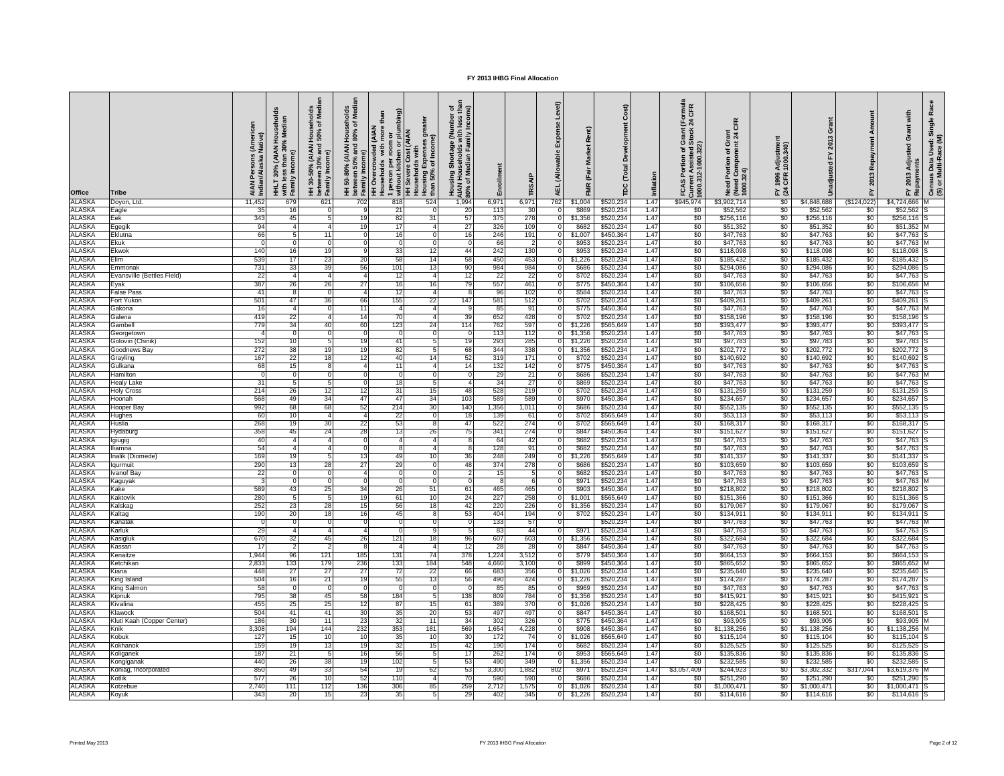| Office                         | <b>Tribe</b>                       | AIAN Persons (Americ<br>Indian/Alaska Native) | HHLT 30% (AIAN Households<br>with less than 30% Median<br>with less<br>Family Inc | HH 30-50% (AIAN Households<br>between 30% and 50% of Medi<br>Family Income) | F<br>HH 50-80% (AIAN Households<br>between 50% and 80% of Medi<br>Family Income) | 1 person per room or<br>without kitchen or plumbing)<br>HH Severe Cost (AIAN<br>with more than<br><b>AAIAN</b><br>Hiw spioussnop المادية<br>HH Overcrowded ( | Housing Expenses great<br>than 50% of Income)<br>Households with | Housing Shortage (Number of<br>AIAN Households with less tha<br>80% of Median Family Income) | Enrollment      | TRSAIP       | Level)<br>Exp<br>(Allowable<br>AEL. | Rent)              | TDC (Total Development Cost) | Inflation    | f Grant (Formula<br>1 Stock 24 CFR<br><b>Current Assisted S</b><br>1000.312-1000.322)<br><b>FCAS Portion of C</b><br>Current Assisted S | CFR<br>Need Portion of Grant<br>(Need Component 24 C<br>1000.324) | Adjustment<br>1000.340)<br>1996<br>CFR<br>≿ শ্র | Grāi<br>2013<br>Unadjusted | Repayment Amoun<br>2013<br>고 | Adjusted Grant with<br>Repayment<br>FY 2013 | Census Data Used: Single Race<br>(S) or Multi-Race (M) |
|--------------------------------|------------------------------------|-----------------------------------------------|-----------------------------------------------------------------------------------|-----------------------------------------------------------------------------|----------------------------------------------------------------------------------|--------------------------------------------------------------------------------------------------------------------------------------------------------------|------------------------------------------------------------------|----------------------------------------------------------------------------------------------|-----------------|--------------|-------------------------------------|--------------------|------------------------------|--------------|-----------------------------------------------------------------------------------------------------------------------------------------|-------------------------------------------------------------------|-------------------------------------------------|----------------------------|------------------------------|---------------------------------------------|--------------------------------------------------------|
| <b>ALASKA</b>                  | Doyon, Ltd.                        | 11,452                                        | 679                                                                               | 62                                                                          | 702                                                                              | 818                                                                                                                                                          | 52 <sub>°</sub>                                                  | 1,994                                                                                        | 6,97'           | 6,971        | 762                                 | \$1,004            | \$520,234                    | 1.47         | \$945,974                                                                                                                               | \$3,902,714                                                       | \$0                                             | \$4,848,688                | (\$124,022)                  | \$4,724,666                                 |                                                        |
| ALASKA                         | Eagle                              | 35                                            |                                                                                   |                                                                             |                                                                                  | 21                                                                                                                                                           |                                                                  | 20                                                                                           | 11:             | 30           |                                     | \$869              | \$520,234                    | 1.4          | \$0                                                                                                                                     | \$52,562                                                          | \$0                                             | \$52,562                   | \$0                          | \$52,562                                    |                                                        |
| ALASKA                         | Eek                                | 343                                           | 45                                                                                |                                                                             | 19                                                                               | 82                                                                                                                                                           | 31                                                               | 57                                                                                           | 37 <sub>5</sub> | 278          |                                     | \$1,356            | \$520,234                    | 1.4          | \$0                                                                                                                                     | \$256,116                                                         | \$0                                             | \$256,116                  | \$0                          | \$256,116                                   |                                                        |
| <b>ALASKA</b><br>ALASKA        | Egegik<br>Eklutna                  | 94<br>66                                      |                                                                                   |                                                                             | 19                                                                               | 17<br>16                                                                                                                                                     |                                                                  | 27<br>16                                                                                     | 326<br>246      | 109<br>191   |                                     | \$682<br>\$1,007   | \$520,234<br>\$450,364       | 1.47<br>1.4  | \$0<br>\$0                                                                                                                              | \$51,352<br>\$47,763                                              | \$0<br>\$0                                      | \$51,352<br>\$47,763       | \$0<br>\$0                   | \$51,352<br>\$47,763                        |                                                        |
| ALASKA                         | Ekuk                               | 0                                             |                                                                                   |                                                                             |                                                                                  |                                                                                                                                                              |                                                                  |                                                                                              | 6               |              |                                     | \$953              | \$520,234                    | 1.4          | \$0                                                                                                                                     | \$47,763                                                          | \$0                                             | \$47,763                   | \$0                          | \$47,763                                    |                                                        |
| ALASKA                         | Ekwok                              | 140                                           |                                                                                   |                                                                             |                                                                                  | 33                                                                                                                                                           |                                                                  | 44                                                                                           | 242             | 130          |                                     | \$953              | \$520,234                    | 1.4          | \$0                                                                                                                                     | \$118,098                                                         | \$0                                             | \$118,098                  | \$0                          | \$118,098                                   |                                                        |
| <b>ALASKA</b>                  | Elim                               | 539                                           |                                                                                   | 23                                                                          | 20                                                                               | 58                                                                                                                                                           |                                                                  | 58                                                                                           | 450             | 453          |                                     | \$1,226            | \$520,234                    | 1.47         | \$0                                                                                                                                     | \$185,432                                                         | \$0                                             | \$185,432                  | \$0                          | \$185,432                                   |                                                        |
| ALASKA                         | Emmonak                            | 731                                           | 33                                                                                | 39                                                                          | 56                                                                               | 101                                                                                                                                                          |                                                                  | 90                                                                                           | 984             | 984          |                                     | \$686              | \$520,234                    | 1.47         | \$0                                                                                                                                     | \$294,086                                                         | \$0                                             | \$294,086                  | \$0                          | \$294,086                                   |                                                        |
| ALASKA                         | Evansville (Bettles Field)         | 22                                            |                                                                                   |                                                                             |                                                                                  | 12                                                                                                                                                           |                                                                  | 12                                                                                           | -22             | 22           |                                     | \$702              | \$520,234                    | 1.47         | \$0                                                                                                                                     | \$47,763                                                          | \$0                                             | \$47,763                   | \$0                          | \$47,763                                    |                                                        |
| ALASKA<br><b>ALASKA</b>        | Eyak<br>False Pass                 | 387<br>41                                     | 26                                                                                | 26                                                                          | 27                                                                               | 16<br>12                                                                                                                                                     | 16                                                               | 79<br>8                                                                                      | 557<br>96       | 461<br>102   |                                     | \$775<br>\$584     | \$450,364<br>\$520,234       | 1.47<br>1.47 | \$0<br>\$0                                                                                                                              | \$106,656<br>\$47,763                                             | \$0<br>\$0                                      | \$106,656<br>\$47,763      | \$0<br>\$0                   | \$106,656<br>\$47,763 S                     |                                                        |
| <b>ALASKA</b>                  | Fort Yukon                         | 501                                           | 47                                                                                | 36                                                                          | 66                                                                               | 155                                                                                                                                                          | 22                                                               | 147                                                                                          | 581             | 512          |                                     | \$702              | \$520,234                    | 1.47         | \$0                                                                                                                                     | \$409,261                                                         | \$0                                             | \$409,26                   | \$0                          | \$409,261                                   |                                                        |
| <b>ALASKA</b>                  | Gakona                             | 16                                            |                                                                                   |                                                                             | 11                                                                               |                                                                                                                                                              |                                                                  |                                                                                              | 85              | 91           |                                     | \$775              | \$450,364                    | 1.47         | \$0                                                                                                                                     | \$47,763                                                          | \$0                                             | \$47,763                   | \$0                          | \$47,763                                    |                                                        |
| ALASKA                         | Galena                             | 419                                           | 22                                                                                |                                                                             | 14                                                                               | 70                                                                                                                                                           |                                                                  | 39                                                                                           | 652             | 428          |                                     | \$702              | \$520,234                    | 1.47         | \$0                                                                                                                                     | \$158,196                                                         | \$0                                             | \$158,196                  | \$0                          | \$158,196                                   |                                                        |
| <b>ALASKA</b>                  | Gambell                            | 779                                           | 34                                                                                | 40                                                                          | 60                                                                               | 123                                                                                                                                                          | 24                                                               | 114                                                                                          | 762             | 597          |                                     | \$1,226            | \$565,649                    | 1.47         | \$0                                                                                                                                     | \$393,477                                                         | \$0                                             | \$393,477                  | \$0                          | \$393,477                                   |                                                        |
| ALASKA                         | Georgetown                         |                                               |                                                                                   |                                                                             |                                                                                  | $^{\circ}$                                                                                                                                                   |                                                                  | $^{\circ}$                                                                                   | 113             | 112          |                                     | \$1,356            | \$520,234                    | 1.47         | \$0                                                                                                                                     | \$47,763                                                          | \$0                                             | \$47,763                   | \$0                          | \$47,763                                    |                                                        |
| <b>ALASKA</b><br>ALASKA        | Golovin (Chinik)<br>Goodnews Bay   | 152<br>272                                    | 10<br>38                                                                          | 5<br>19                                                                     | 19<br>19                                                                         | 41<br>82                                                                                                                                                     |                                                                  | 19<br>68                                                                                     | 293<br>344      | 285<br>338   |                                     | \$1,226<br>\$1,356 | \$520,234<br>\$520,234       | 1.47<br>1.47 | \$0<br>\$0                                                                                                                              | \$97,783<br>\$202,772                                             | \$0<br>\$0                                      | \$97,783<br>\$202,772      | \$0<br>\$0                   | \$97,783<br>\$202,772                       |                                                        |
| ALASKA                         | Grayling                           | 167                                           | 22                                                                                | 18                                                                          | 12                                                                               | 40                                                                                                                                                           |                                                                  | 52                                                                                           | 319             | 171          |                                     | \$702              | \$520,234                    | 1.47         | \$0                                                                                                                                     | \$140,692                                                         | \$0                                             | \$140,692                  | \$0                          | \$140,692                                   |                                                        |
| ALASKA                         | Gulkana                            | 68                                            | 15                                                                                |                                                                             |                                                                                  | 11                                                                                                                                                           |                                                                  | 14                                                                                           | 132             | 142          |                                     | \$775              | \$450,364                    | 1.47         | \$0                                                                                                                                     | \$47,763                                                          | \$0                                             | \$47,763                   | \$0                          | \$47,763                                    |                                                        |
| ALASKA                         | Hamilton                           | 0                                             | $\Omega$                                                                          |                                                                             |                                                                                  | $\overline{\phantom{0}}$                                                                                                                                     |                                                                  | $\Omega$                                                                                     | -29             | 21           |                                     | \$686              | \$520,234                    | 1.47         | \$0                                                                                                                                     | \$47,763                                                          | \$0                                             | \$47,763                   | \$0                          | \$47,763                                    |                                                        |
| ALASKA                         | Healy Lake                         | 31                                            | 5                                                                                 |                                                                             |                                                                                  | 18                                                                                                                                                           |                                                                  | 4                                                                                            | -34             | 27           |                                     | \$869              | \$520,234                    | 1.47         | \$0                                                                                                                                     | \$47,763                                                          | \$0                                             | \$47,763                   | \$0                          | \$47,763                                    |                                                        |
| ALASKA                         | Holy Cross                         | 214                                           | 26                                                                                | 12                                                                          | 12                                                                               | 31                                                                                                                                                           |                                                                  | 48                                                                                           | 528             | 219          |                                     | \$702              | \$520,234                    | 1.47         | \$0                                                                                                                                     | \$131,259                                                         | \$0                                             | \$131,259                  | \$0                          | \$131,259                                   |                                                        |
| <b>ALASKA</b><br>ALASKA        | Hoonah<br>Hooper Bay               | 568<br>992                                    | 49<br>68                                                                          | 34                                                                          | 47<br>52                                                                         | 47<br>214                                                                                                                                                    | 34<br>30                                                         | 103<br>140                                                                                   | 589<br>1,356    | 589<br>1,011 |                                     | \$970<br>\$686     | \$450,364<br>\$520,234       | 1.47<br>1.47 | \$0<br>\$0                                                                                                                              | \$234,657                                                         | \$0<br>\$0                                      | \$234,657                  | \$0<br>\$0                   | \$234,657                                   |                                                        |
| ALASKA                         | Hughes                             | 60                                            | 10                                                                                | 68<br>$\overline{4}$                                                        |                                                                                  | 22                                                                                                                                                           |                                                                  | 18                                                                                           | 13              | 61           |                                     | \$702              | \$565,649                    | 1.47         | \$0                                                                                                                                     | \$552,135<br>\$53,113                                             | \$0                                             | \$552,135<br>\$53,113      | \$0                          | \$552,135<br>\$53,113                       |                                                        |
| <b>ALASKA</b>                  | Huslia                             | 268                                           | 19                                                                                | 30                                                                          | 22                                                                               | 53                                                                                                                                                           |                                                                  | 47                                                                                           | 522             | 274          |                                     | \$702              | \$565,649                    | 1.47         | \$0                                                                                                                                     | \$168,317                                                         | \$0                                             | \$168,317                  | \$0                          | \$168,317                                   |                                                        |
| ALASKA                         | Hydaburg                           | 358                                           | 45                                                                                | 24                                                                          | 28                                                                               | 13                                                                                                                                                           | 26                                                               | 75                                                                                           | 341             | 274          |                                     | \$847              | \$450,364                    | 1.47         | \$0                                                                                                                                     | \$151,627                                                         | \$0                                             | \$151,627                  | \$0                          | \$151,627                                   |                                                        |
| ALASKA                         | lgiugig                            | 40                                            | $\overline{4}$                                                                    | $\overline{a}$                                                              |                                                                                  |                                                                                                                                                              |                                                                  | -8                                                                                           | 64              | 42           |                                     | \$682              | \$520,234                    | 1.47         | \$0                                                                                                                                     | \$47,763                                                          | \$0                                             | \$47,763                   | \$0                          | \$47,763                                    |                                                        |
| ALASKA                         | liamna                             | 54                                            | $\overline{a}$                                                                    | $\overline{4}$                                                              |                                                                                  | -8                                                                                                                                                           |                                                                  | -8                                                                                           | 128             | 91           |                                     | \$682              | \$520,234                    | 1.47         | \$0                                                                                                                                     | \$47,763                                                          | \$0                                             | \$47,763                   | \$0                          | \$47,763                                    |                                                        |
| ALASKA<br>ALASKA               | Inalik (Diomede)<br>lgurmuit       | 169<br>290                                    | 19<br>13                                                                          | 5<br>28                                                                     | 13<br>27                                                                         | 49<br>29                                                                                                                                                     | 10                                                               | 36<br>48                                                                                     | 248<br>374      | 249<br>278   | $\Omega$                            | \$1,226<br>\$686   | \$565,649<br>\$520,234       | 1.47<br>1.47 | \$0<br>\$0                                                                                                                              | \$141,337<br>\$103,659                                            | \$0<br>\$0                                      | \$141,337<br>\$103,659     | \$0<br>\$0                   | \$141,337<br>\$103,659                      |                                                        |
| ALASKA                         | Ivanof Bay                         | 22                                            | $\Omega$                                                                          | $\Omega$                                                                    |                                                                                  | ō                                                                                                                                                            |                                                                  | $\overline{\phantom{a}}$                                                                     | 15              |              |                                     | \$682              | \$520,234                    | 1.47         | \$0                                                                                                                                     | \$47,763                                                          | \$0                                             | \$47,763                   | \$0                          | \$47,763                                    |                                                        |
| ALASKA                         | Kaguyak                            |                                               |                                                                                   |                                                                             |                                                                                  | $\circ$                                                                                                                                                      |                                                                  |                                                                                              |                 |              |                                     | \$971              | \$520,234                    | 1.47         | \$0                                                                                                                                     | \$47,763                                                          | \$0                                             | \$47,763                   | \$0                          | \$47,763                                    |                                                        |
| ALASKA                         | Kake                               | 589                                           | 43                                                                                | 25                                                                          | 34                                                                               | 26                                                                                                                                                           | 51                                                               | 61                                                                                           | 465             | 465          |                                     | \$903              | \$450,364                    | 1.47         | \$0                                                                                                                                     | \$218,802                                                         | \$0                                             | \$218,802                  | \$0                          | \$218,802                                   |                                                        |
| ALASKA                         | Kaktovik                           | 280                                           |                                                                                   |                                                                             | 19                                                                               | 61                                                                                                                                                           |                                                                  | 24                                                                                           | 227             | 258          |                                     | \$1,001            | \$565,649                    | 1.47         | \$0                                                                                                                                     | \$151,366                                                         | \$0                                             | \$151,366                  | \$0                          | \$151,366                                   |                                                        |
| ALASKA                         | Kalskag                            | 252                                           | 23                                                                                | 28                                                                          | 15                                                                               | 56                                                                                                                                                           |                                                                  | 42                                                                                           | 220             | 226<br>194   |                                     | \$1,356<br>\$702   | \$520,234                    | 1.47         | \$0                                                                                                                                     | \$179,067                                                         | \$0                                             | \$179,067                  | \$0                          | \$179,067                                   |                                                        |
| <b>ALASKA</b><br>ALASKA        | Kaltag<br>Kanatak                  | 190.                                          | 20                                                                                | 18                                                                          | 16                                                                               | 45                                                                                                                                                           |                                                                  | 53                                                                                           | 404<br>133      | 57           |                                     |                    | \$520,234<br>\$520,234       | 1.47<br>1.47 | \$0<br>\$0                                                                                                                              | \$134,911<br>\$47,763                                             | \$0<br>\$0                                      | \$134,911<br>\$47,763      | \$0<br>\$0                   | \$134,911<br>\$47,763                       |                                                        |
| ALASKA                         | Karluk                             | 29                                            |                                                                                   |                                                                             |                                                                                  |                                                                                                                                                              |                                                                  |                                                                                              | -83             | 44           |                                     | \$971              | \$520,234                    | 1.47         | \$0                                                                                                                                     | \$47,763                                                          | \$0                                             | \$47,763                   | \$0                          | \$47,763                                    |                                                        |
| ALASKA                         | Kasigluk                           | 670                                           | 32                                                                                | 45                                                                          | 26                                                                               | 121                                                                                                                                                          |                                                                  | 96                                                                                           | 607             | 603          |                                     | \$1,356            | \$520,234                    | 1.47         | \$0                                                                                                                                     | \$322,684                                                         | \$0                                             | \$322,684                  | \$0                          | \$322,684                                   |                                                        |
| ALASKA                         | Kassan                             | 17                                            |                                                                                   |                                                                             |                                                                                  |                                                                                                                                                              |                                                                  | 12                                                                                           | $-28$           | 28           |                                     | \$847              | \$450,364                    | 1.47         | \$0                                                                                                                                     | \$47,763                                                          | \$0                                             | \$47,763                   | \$0                          | \$47,763                                    |                                                        |
| ALASKA                         | <b>Kenaitze</b>                    | 1,944                                         | 96                                                                                | 121                                                                         | 185                                                                              | 131                                                                                                                                                          |                                                                  | 378                                                                                          | 1,224           | 3,512        |                                     | \$779              | \$450,364                    | 1.47         | \$0                                                                                                                                     | \$664,153                                                         | \$0                                             | \$664,153                  | \$0                          | \$664,153                                   |                                                        |
| ALASKA<br><b>ALASKA</b>        | Ketchikan<br>∕iana                 | 2,833<br>448                                  | 133<br>27                                                                         | 179<br>27                                                                   | 236<br>27                                                                        | 133<br>72                                                                                                                                                    | 184<br>22                                                        | 548<br>66                                                                                    | 4,660<br>683    | 3,100<br>356 |                                     | \$899<br>\$1,026   | \$450,364<br>\$520,234       | 1.47<br>1.47 | \$0<br>\$0                                                                                                                              | \$865,652<br>\$235,640                                            | \$0<br>\$0                                      | \$865,652<br>\$235,640     | \$0<br>\$0                   | \$865,652<br>\$235,640                      |                                                        |
| ALASKA                         | King Island                        | 504                                           | 16                                                                                | 21                                                                          | 19                                                                               | 55                                                                                                                                                           | 13                                                               | 56                                                                                           | 490             | 424          |                                     | \$1,226            | \$520,234                    | 1.47         | \$0                                                                                                                                     | \$174,287                                                         | \$0                                             | \$174,287                  | \$0                          | \$174,287                                   |                                                        |
| ALASKA                         | King Salmon                        | 58                                            | $^{\circ}$                                                                        | 0                                                                           |                                                                                  | 0                                                                                                                                                            |                                                                  |                                                                                              | -85             | 85           |                                     | \$969              | \$520,234                    | 1.47         | \$0                                                                                                                                     | \$47,763                                                          | \$0                                             | \$47,763                   | \$0                          | \$47,763                                    |                                                        |
| ALASKA                         | Kipnuk                             | 795                                           | 38                                                                                | 45                                                                          | 58                                                                               | 184                                                                                                                                                          |                                                                  | 138                                                                                          | 80 <sup>c</sup> | 784          |                                     | \$1,356            | \$520,234                    | 1.47         | \$0                                                                                                                                     | \$415,921                                                         | \$0                                             | \$415,921                  | \$0                          | \$415,921                                   |                                                        |
| <b>ALASKA</b>                  | Kivalina                           | 455                                           | 25                                                                                | 25                                                                          | 12                                                                               | 87                                                                                                                                                           | 15                                                               | 61                                                                                           | 389             | 370          |                                     | \$1,026            | \$520,234                    | 1.47         | \$0                                                                                                                                     | \$228,425                                                         | \$0                                             | \$228,425                  | \$0                          | \$228,425                                   |                                                        |
| <b>ALASKA</b>                  | Klawock                            | 504                                           | 41                                                                                | 41                                                                          | 30                                                                               | 35                                                                                                                                                           | 20                                                               | 53<br>34                                                                                     | 497<br>302      | 497<br>326   |                                     | \$847<br>\$775     | \$450,364                    | 1.47         | \$0                                                                                                                                     | \$168,501                                                         | \$0                                             | \$168,501                  | \$0<br>\$0                   | \$168,501                                   |                                                        |
| <b>ALASKA</b><br><b>ALASKA</b> | Kluti Kaah (Copper Center)<br>Knik | 186<br>3,308                                  | 30<br>194                                                                         | 11<br>144                                                                   | 23<br>232                                                                        | 32<br>353                                                                                                                                                    | 11<br>181                                                        | 569                                                                                          | 1,654           | 4,228        |                                     | \$908              | \$450,364<br>\$450,364       | 1.47<br>1.47 | \$0<br>\$0                                                                                                                              | \$93,905<br>\$1,138,256                                           | \$0<br>\$0                                      | \$93,905<br>\$1,138,256    | \$0                          | \$93,905<br>\$1,138,256                     |                                                        |
| <b>ALASKA</b>                  | Kobuk                              | 127                                           | 15                                                                                | 10                                                                          | 10                                                                               | 35                                                                                                                                                           | 10                                                               | 30                                                                                           | 172             | 74           |                                     | \$1,026            | \$565,649                    | 1.47         | \$0                                                                                                                                     | \$115,104                                                         | \$0                                             | \$115,104                  | \$0                          | \$115,104                                   |                                                        |
| <b>ALASKA</b>                  | Kokhanok                           | 159                                           | 19                                                                                | 13                                                                          | 19                                                                               | 32                                                                                                                                                           | 15                                                               | 42                                                                                           | 190             | 174          |                                     | \$682              | \$520,234                    | 1.47         | \$0                                                                                                                                     | \$125,525                                                         | \$0                                             | \$125,525                  | \$0                          | \$125,525                                   |                                                        |
| ALASKA                         | Koliganel                          | 187                                           | 21                                                                                | 5                                                                           | 16                                                                               | 56                                                                                                                                                           |                                                                  | 17                                                                                           | 262             | 174          |                                     | \$953              | \$565,649                    | 1.47         | \$0                                                                                                                                     | \$135,836                                                         | \$0                                             | \$135,836                  | \$0                          | \$135,836                                   |                                                        |
| <b>ALASKA</b>                  | Kongiganak                         | 440                                           | 26                                                                                | 38                                                                          | 19                                                                               | 102                                                                                                                                                          | 5                                                                | 53                                                                                           | 490             | 349          |                                     | \$1,356            | \$520,234                    | 1.47         | \$0                                                                                                                                     | \$232,585                                                         | \$0                                             | \$232,585                  | \$0                          | \$232,585                                   |                                                        |
| <b>ALASKA</b>                  | Koniag, Incorporated               | 850                                           | 49                                                                                | 33                                                                          | 54                                                                               | 19                                                                                                                                                           | 62                                                               | 53                                                                                           | 3,300           | 1,882        | 802                                 | \$971              | \$520,234                    | 1.47         | \$3,057,409                                                                                                                             | \$244,923                                                         | $\overline{\$0}$                                | \$3,302,332                | \$317,044                    | \$3,619,376                                 |                                                        |
| <b>ALASKA</b><br><b>ALASKA</b> | Kotlik<br>Kotzebue                 | 577<br>2,740                                  | 26<br>111                                                                         | 10<br>112                                                                   | 52<br>136                                                                        | 110<br>306                                                                                                                                                   | 85                                                               | 70<br>259                                                                                    | 590<br>2,71     | 590<br>1,575 |                                     | \$686              | \$520,234<br>\$520,234       | 1.47<br>1.47 | \$0<br>\$0                                                                                                                              | \$251,290<br>\$1,000,471                                          | \$0<br>\$0                                      | \$251,290<br>\$1,000,471   | \$0<br>\$0                   | \$251,290<br>\$1,000,471                    |                                                        |
| ALASKA                         | Koyuk                              | 343                                           | 20                                                                                | 15                                                                          | 23                                                                               | 35                                                                                                                                                           |                                                                  | 29                                                                                           | 402             | 345          | $\sigma$                            | \$1,026<br>\$1,226 | \$520,234                    | 1.47         | \$0                                                                                                                                     | \$114,616                                                         | \$0                                             | \$114,616                  | \$0                          | \$114,616                                   |                                                        |
|                                |                                    |                                               |                                                                                   |                                                                             |                                                                                  |                                                                                                                                                              |                                                                  |                                                                                              |                 |              |                                     |                    |                              |              |                                                                                                                                         |                                                                   |                                                 |                            |                              |                                             |                                                        |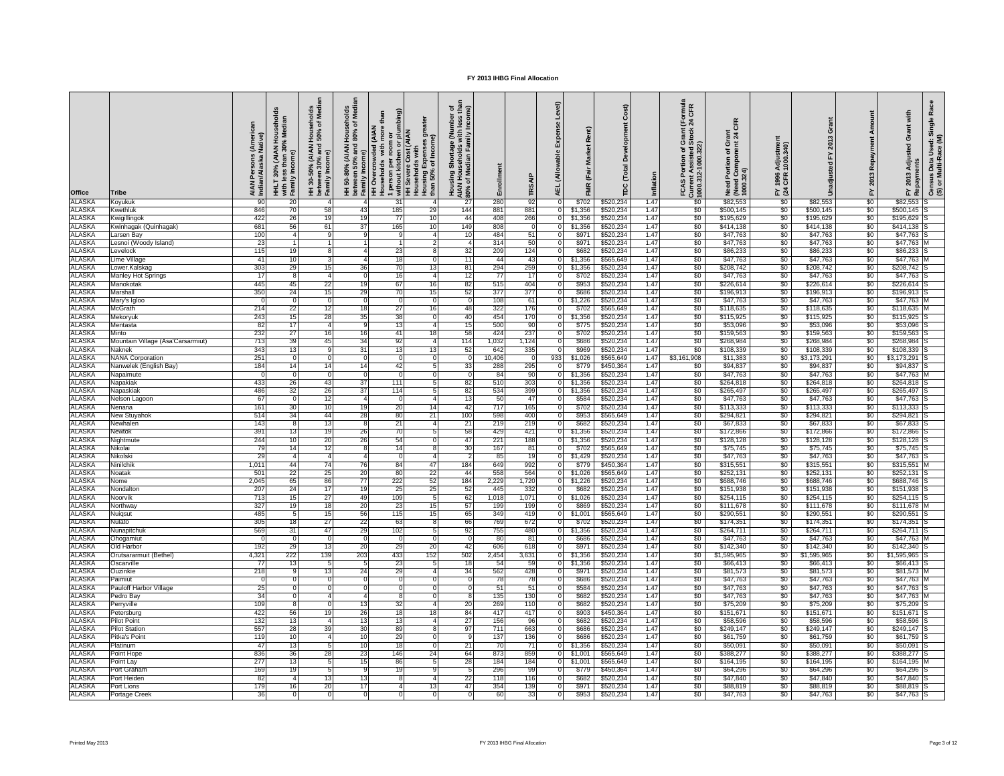| Office                         | Tribe                               | AIAN Persons (American<br>Indian/Alaska Native) | HHLT 30% (AIAN Households<br>with less than 30% Median<br>Family Income) | HH 30-50% (AIAN Households<br>between 30% and 50% of Medi<br>Family Income) | HH 50-80% (AIAN Households<br>between 50% and 80% of Medi<br>Family Income) | umbing)<br>HH Overcrowded (AIAN<br>Households  with more than<br>1 person per room or<br>ביל vithout kitchen or plumbing)<br>HH Severe Cost (AIAN | greater<br>Housing Expenses g<br>than 50% of Income)<br>Households with | Housing Shortage (Number of<br>AIAN Households with less tha<br>30% of Median Family Income) | Enrollment | న్<br>Ë    | Level)<br>Expense<br><b>AEL</b> (Allowable | Rent)<br><b>Market</b> | Development Cost)<br><b>TDC</b> (Total | Inflation    | f Grant (Formula<br>1 Stock 24 CFR<br><b>Current Assisted St<br/>1000.312-1000.322)</b><br>ិ ទី<br>Portion<br>FCASI | CFR<br>ಕ್ಷ ಸ<br>Need Portion of Gra<br>(Need Component 2)<br>100.324) | Adjustment<br>1000.340)<br>1996<br>CFR<br>$\geq \frac{3}{2}$ | òō<br>≧<br>Unadjusted  | FY 2013 Repayment Amount | Adjusted Grant with<br>Repayment<br>2013<br>고 | Census Data Used: Single Race<br>(S) or Multi-Race (M) |
|--------------------------------|-------------------------------------|-------------------------------------------------|--------------------------------------------------------------------------|-----------------------------------------------------------------------------|-----------------------------------------------------------------------------|---------------------------------------------------------------------------------------------------------------------------------------------------|-------------------------------------------------------------------------|----------------------------------------------------------------------------------------------|------------|------------|--------------------------------------------|------------------------|----------------------------------------|--------------|---------------------------------------------------------------------------------------------------------------------|-----------------------------------------------------------------------|--------------------------------------------------------------|------------------------|--------------------------|-----------------------------------------------|--------------------------------------------------------|
| <b>ALASKA</b>                  | Koyukuk                             |                                                 |                                                                          |                                                                             |                                                                             |                                                                                                                                                   |                                                                         |                                                                                              | 280        | 92         |                                            | \$702                  | \$520,234                              | 1.47         | \$0                                                                                                                 | \$82,553                                                              | \$0                                                          | \$82,553               | \$0                      | \$82,553                                      |                                                        |
| <b>ALASKA</b>                  | <b>Kwethluk</b>                     | 846                                             |                                                                          |                                                                             |                                                                             | 185                                                                                                                                               | 29                                                                      | 144                                                                                          | 881        | 881        |                                            | \$1,356                | \$520,234                              | 1.47         | \$0                                                                                                                 | \$500,145                                                             | \$0                                                          | \$500,145              | \$0                      | \$500,145                                     |                                                        |
| ALASKA                         | ≺wigillingok                        | 422                                             | 26                                                                       |                                                                             |                                                                             | 77                                                                                                                                                | 10                                                                      | 44                                                                                           | 408        | 266        |                                            | \$1,356                | \$520,234                              | 1.47         | \$0                                                                                                                 | \$195,629                                                             | \$0                                                          | \$195,629              | \$0                      | \$195,629                                     |                                                        |
| ALASKA<br>ALASKA               | Kwinhagak (Quinhagak)<br>Larsen Bay | 681<br>100                                      | 56                                                                       | 61                                                                          | 37                                                                          | 165                                                                                                                                               | 10                                                                      | 149<br>10                                                                                    | 808<br>484 | 51         |                                            | \$1,356<br>\$97        | \$520,234<br>\$520,234                 | 1.47<br>1.47 | \$0<br>\$0                                                                                                          | \$414,138<br>\$47,763                                                 | \$0<br>\$0                                                   | \$414,138<br>\$47,763  | \$0<br>\$0               | \$414,138<br>\$47,763                         |                                                        |
| ALASKA                         | esnoi (Woody Island).               | 23                                              |                                                                          |                                                                             |                                                                             |                                                                                                                                                   |                                                                         |                                                                                              | 314        | 50         |                                            | \$97                   | \$520,234                              | 1.47         | \$0                                                                                                                 | \$47,763                                                              | \$0                                                          | \$47,763               | \$0                      | \$47,763                                      |                                                        |
| ALASKA                         | _evelock                            | 115                                             |                                                                          |                                                                             |                                                                             | 23                                                                                                                                                |                                                                         | 32                                                                                           | 209        | 124        |                                            | \$68                   | \$520,234                              | 1.47         | \$0                                                                                                                 | \$86,233                                                              | \$0                                                          | \$86,233               | \$0                      | \$86,233                                      |                                                        |
| <b>ALASKA</b>                  | ∟ime Village                        | 41                                              |                                                                          |                                                                             |                                                                             | 18                                                                                                                                                |                                                                         | 11                                                                                           | 44         | 43         |                                            | \$1,356                | \$565,649                              | 1.47         | \$0                                                                                                                 | \$47,763                                                              | \$0                                                          | \$47,763               | \$0                      | \$47,763                                      |                                                        |
| ALASKA                         | ower.Kalskag                        | 303                                             | 29                                                                       | 15                                                                          |                                                                             | 70                                                                                                                                                |                                                                         | 81                                                                                           | 294        | 259        |                                            | \$1,356                | \$520,234                              | 1.47         | \$0                                                                                                                 | \$208,742                                                             | \$0                                                          | \$208,742              | \$0                      | \$208,742                                     |                                                        |
| ALASKA                         | Manley Hot Springs                  |                                                 |                                                                          |                                                                             |                                                                             | 16                                                                                                                                                |                                                                         | 12                                                                                           |            | 17         |                                            | \$702                  | \$520,234                              | 1.47         | \$0                                                                                                                 | \$47,763                                                              | \$0                                                          | \$47,763               | \$0                      | \$47,763                                      |                                                        |
| ALASKA                         | Manokotak                           | 445                                             | 45                                                                       | 22                                                                          | 1S                                                                          | 67                                                                                                                                                | 16                                                                      | 82                                                                                           | 515        | 404        |                                            | \$953                  | \$520,234                              | 1.47         | \$0                                                                                                                 | \$226,614                                                             | \$0                                                          | \$226,614              | \$0                      | \$226,614                                     |                                                        |
| ALASKA                         | Marshall                            | 350                                             | 24                                                                       | 15                                                                          | 29                                                                          | 70                                                                                                                                                | 15                                                                      | 52                                                                                           | 377        | 377        |                                            | \$686                  | \$520,234                              | 1.47         | \$0                                                                                                                 | \$196,913                                                             | \$0                                                          | \$196,913              | \$0                      | \$196,913                                     |                                                        |
| ALASKA                         | Mary's Igloo                        |                                                 |                                                                          |                                                                             |                                                                             | $\Omega$                                                                                                                                          |                                                                         |                                                                                              | 108        | 61         |                                            | \$1,226                | \$520,234                              | 1.47         | \$0                                                                                                                 | \$47,763                                                              | \$0                                                          | \$47,763               | \$0                      | \$47,763                                      |                                                        |
| <b>ALASKA</b><br><b>ALASKA</b> | McGrath<br>Mekoryuk                 | 214<br>243                                      | 22<br>15                                                                 | 12<br>28                                                                    | 18<br>35                                                                    | 27<br>38                                                                                                                                          | 16                                                                      | 48<br>40                                                                                     | 322<br>454 | 176<br>170 |                                            | \$702<br>\$1,356       | \$565,649<br>\$520,234                 | 1.47<br>1.47 | \$0<br>\$0                                                                                                          | \$118,635<br>\$115,925                                                | \$0<br>\$0                                                   | \$118,635<br>\$115,925 | \$0<br>\$0               | \$118,635<br>\$115,925                        |                                                        |
| <b>ALASKA</b>                  | Mentasta                            | 82                                              | 17                                                                       |                                                                             |                                                                             | 13                                                                                                                                                |                                                                         | 15                                                                                           | 500        | 90         |                                            | \$775                  | \$520,234                              | 1.47         | \$0                                                                                                                 | \$53,096                                                              | \$0                                                          | \$53,096               | \$0                      | \$53,096                                      |                                                        |
| <b>ALASKA</b>                  | Minto                               | 232                                             | 27                                                                       | 16                                                                          | 16                                                                          | 41                                                                                                                                                | 18                                                                      | 58                                                                                           | 424        | 237        |                                            | \$702                  | \$520,234                              | 1.47         | \$0                                                                                                                 | \$159,563                                                             | \$0                                                          | \$159,563              | \$0                      | \$159,563                                     |                                                        |
| <b>ALASKA</b>                  | Mountain Village (Asa'Carsarmiut)   | 713                                             | 39                                                                       | 45                                                                          | 34                                                                          | 92                                                                                                                                                |                                                                         | 114                                                                                          | 1,032      | 1,124      |                                            | \$686                  | \$520,234                              | 1.47         | \$0                                                                                                                 | \$268,984                                                             | \$0                                                          | \$268,984              | \$0                      | \$268,984                                     |                                                        |
| ALASKA                         | Vaknek                              | 343                                             | 13                                                                       |                                                                             | 31                                                                          | 13                                                                                                                                                | 13                                                                      | 52                                                                                           | 642        | 335        |                                            | \$969                  | \$520,234                              | 1.47         | \$0                                                                                                                 | \$108,339                                                             | \$0                                                          | \$108,339              | \$0                      | \$108,339                                     |                                                        |
| ALASKA                         | <b>VANA Corporation</b>             | 251                                             | 0                                                                        |                                                                             |                                                                             | 0                                                                                                                                                 |                                                                         |                                                                                              | 10,406     |            | 933                                        | \$1,026                | \$565,649                              | 1.47         | \$3,161,908                                                                                                         | \$11,383                                                              | \$0                                                          | \$3,173,291            | \$0                      | \$3,173,291                                   |                                                        |
| <b>ALASKA</b>                  | Nanwelek (English Bay)              | 184                                             | 14                                                                       | 14                                                                          |                                                                             | 42                                                                                                                                                |                                                                         | 33                                                                                           | 288        | 295        |                                            | \$779                  | \$450,364                              | 1.47         | \$0                                                                                                                 | \$94,837                                                              | \$0                                                          | \$94,837               | \$0                      | \$94,837                                      |                                                        |
| ALASKA                         | Vapaimute                           | -0                                              |                                                                          |                                                                             |                                                                             |                                                                                                                                                   |                                                                         |                                                                                              | -84        | 90         |                                            | \$1,356                | \$520,234                              | 1.47         | \$0                                                                                                                 | \$47,763                                                              | \$0                                                          | \$47,763               | \$0                      | \$47,763                                      |                                                        |
| <b>ALASKA</b><br>ALASKA        | Vapakiak<br>Napaskiak               | 433<br>486                                      | 26<br>32                                                                 | 43<br>26                                                                    | 37<br>37                                                                    | 111<br>114                                                                                                                                        |                                                                         | 82<br>82                                                                                     | 510<br>534 | 303<br>399 |                                            | \$1,356<br>\$1,356     | \$520,234<br>\$520,234                 | 1.47<br>1.47 | \$0<br>\$0                                                                                                          | \$264,818<br>\$265,497                                                | \$0<br>\$0                                                   | \$264,818<br>\$265,497 | \$0<br>\$0               | \$264,818<br>\$265,497                        |                                                        |
| ALASKA                         | <b>Velson Lagoon</b>                | 67                                              | $\Omega$                                                                 | 12                                                                          |                                                                             |                                                                                                                                                   |                                                                         | 13                                                                                           | 50         | 47         |                                            | \$584                  | \$520,234                              | 1.47         | \$0                                                                                                                 | \$47,763                                                              | \$0                                                          | \$47,763               | \$0                      | \$47,763                                      |                                                        |
| ALASKA                         | Venana                              | 161                                             | 30                                                                       | 10                                                                          | 19                                                                          | 20                                                                                                                                                | 14                                                                      | 42                                                                                           | 717        | 165        |                                            | \$702                  | \$520,234                              | 1.47         | \$0                                                                                                                 | \$113,333                                                             | \$0                                                          | \$113,333              | \$0                      | \$113,333                                     |                                                        |
| ALASKA                         | <b>Vew Stuyahol</b>                 | 514                                             | 34                                                                       | 44                                                                          | 28                                                                          | 80                                                                                                                                                | 21                                                                      | 100                                                                                          | 598        | 400        |                                            | \$95                   | \$565,649                              | 1.47         | \$0                                                                                                                 | \$294,821                                                             | \$0                                                          | \$294,82               | \$0                      | \$294,821                                     |                                                        |
| ALASKA                         | Vewhalen                            | 143                                             | $\overline{\mathbf{a}}$                                                  | 13                                                                          | R                                                                           | 21                                                                                                                                                |                                                                         | 21                                                                                           | 219        | 219        |                                            | \$682                  | \$520,234                              | 1.47         | \$0                                                                                                                 | \$67,833                                                              | \$0                                                          | \$67,833               | \$0                      | \$67,833                                      |                                                        |
| ALASKA                         | Newtok                              | 391                                             | 13                                                                       | 19                                                                          | 26                                                                          | 70                                                                                                                                                |                                                                         | 58                                                                                           | 429        | 421        |                                            | \$1,356                | \$520,234                              | 1.47         | \$0                                                                                                                 | \$172,866                                                             | \$0                                                          | \$172,866              | \$0                      | \$172,866                                     |                                                        |
| ALASKA                         | Nightmute                           | 244                                             | 10                                                                       | 20                                                                          | 26                                                                          | 54                                                                                                                                                |                                                                         | 47                                                                                           | 221        | 188        |                                            | \$1,356                | \$520,234                              | 1.47         | \$0                                                                                                                 | \$128,128                                                             | \$0                                                          | \$128,128              | \$0                      | \$128,128                                     |                                                        |
| ALASKA                         | Vikolai                             | 79                                              | 14                                                                       | 12                                                                          |                                                                             | 14                                                                                                                                                | 8                                                                       | 30                                                                                           | 167        | 81         |                                            | \$702                  | \$565,649                              | 1.47         | \$0                                                                                                                 | \$75,745                                                              | \$0                                                          | \$75,745               | \$0                      | \$75,745                                      |                                                        |
| <b>ALASKA</b><br>ALASKA        | Nikolski<br>Ninilchik               | 29<br>1,011                                     | $\overline{4}$<br>44                                                     | $\overline{4}$                                                              | $\overline{4}$<br>76                                                        | $\Omega$<br>84                                                                                                                                    | $\overline{4}$<br>47                                                    | $\overline{2}$<br>184                                                                        | 85<br>649  | 19<br>992  |                                            | \$1,429<br>\$779       | \$520,234<br>\$450,364                 | 1.47<br>1.47 | \$0<br>\$0                                                                                                          | \$47,763                                                              | \$0                                                          | \$47,763               | \$0<br>\$0               | \$47,763                                      |                                                        |
| ALASKA                         | Voatak                              | 501                                             | 22                                                                       | 74<br>25                                                                    | 20                                                                          | 80                                                                                                                                                | 22                                                                      | 44                                                                                           | 558        | 564        |                                            | \$1,026                | \$565,649                              | 1.47         | \$0                                                                                                                 | \$315,551<br>\$252,131                                                | \$0<br>\$0                                                   | \$315,551<br>\$252,131 | \$0                      | \$315,551<br>\$252,131                        |                                                        |
| ALASKA                         | Vome                                | 2,045                                           | 65                                                                       | 86                                                                          | 77                                                                          | 222                                                                                                                                               | 52                                                                      | 184                                                                                          | 2,229      | 1,720      |                                            | \$1,226                | \$520,234                              | 1.47         | \$0                                                                                                                 | \$688,746                                                             | \$0                                                          | \$688,746              | \$0                      | \$688,746                                     |                                                        |
| ALASKA                         | Vondalton                           | 207                                             | 24                                                                       | 17                                                                          | 19                                                                          | 25                                                                                                                                                | 25                                                                      | 52                                                                                           | 445        | 332        |                                            | \$682                  | \$520,234                              | 1.47         | \$0                                                                                                                 | \$151,938                                                             | \$0                                                          | \$151,938              | \$0                      | \$151,938                                     |                                                        |
| ALASKA                         | Noorvik                             | 713                                             | 15                                                                       | 27                                                                          | 49                                                                          | 109                                                                                                                                               | 5                                                                       | 62                                                                                           | 1,018      | 1,071      |                                            | \$1,026                | \$520,234                              | 1.47         | \$0                                                                                                                 | \$254,115                                                             | \$0                                                          | \$254,115              | \$0                      | \$254,115                                     |                                                        |
| ALASKA                         | Vorthway                            | 327                                             | 19                                                                       | 18                                                                          | 20                                                                          | 23                                                                                                                                                | 15                                                                      | 57                                                                                           | 199        | 199        |                                            | \$869                  | \$520,234                              | 1.47         | \$0                                                                                                                 | \$111,678                                                             | \$0                                                          | \$111,678              | \$0                      | \$111,678                                     |                                                        |
| ALASKA                         | Nuiqsut                             | 485                                             |                                                                          | 15                                                                          | 56                                                                          | 115                                                                                                                                               |                                                                         | 65                                                                                           | 349        | 419        |                                            | \$1,001                | \$565,649                              | 1.47         | \$0                                                                                                                 | \$290,551                                                             | \$0                                                          | \$290,551              | \$0                      | \$290,551                                     |                                                        |
| ALASKA                         | Vulato                              | 305                                             |                                                                          | 27                                                                          | 22                                                                          | 63                                                                                                                                                |                                                                         | 66                                                                                           | 769        | 672        |                                            | \$702                  | \$520,234                              | 1.47         | \$0                                                                                                                 | \$174,351                                                             | \$0                                                          | \$174,351              | \$0                      | \$174,351                                     |                                                        |
| ALASKA<br>ALASKA               | Nunapitchuŀ                         | 569                                             | 31                                                                       | 47                                                                          | 2 <sup>c</sup>                                                              | 102                                                                                                                                               |                                                                         | 92                                                                                           | 755<br>-80 | 480<br>81  |                                            | \$1,356<br>\$686       | \$520,234<br>\$520,234                 | 1.47<br>1.47 | \$0<br>\$0                                                                                                          | \$264,711<br>\$47,763                                                 | \$0<br>\$0                                                   | \$264,711<br>\$47,763  | \$0<br>\$0               | \$264,711<br>\$47,763                         |                                                        |
| ALASKA                         | Ohogamiut<br>Old Harbor             | 192                                             | 29                                                                       | 13                                                                          | 20                                                                          | 29                                                                                                                                                | 20                                                                      | 42                                                                                           | 606        | 618        |                                            | \$97                   | \$520,234                              | 1.47         | \$0                                                                                                                 | \$142,340                                                             | \$0                                                          | \$142,340              | \$0                      | \$142,340                                     |                                                        |
| ALASKA                         | Orutsararmuit (Bethel)              | 4,321                                           | 222                                                                      | 139                                                                         | 203                                                                         | 433                                                                                                                                               | 152                                                                     | 502                                                                                          | 2,454      | 3,631      |                                            | \$1,356                | \$520,234                              | 1.47         | \$0                                                                                                                 | \$1,595,965                                                           | \$0                                                          | \$1,595,965            | \$0                      | \$1,595,965                                   |                                                        |
| ALASKA                         | Oscarville                          | 77                                              | 13                                                                       |                                                                             |                                                                             | 23                                                                                                                                                |                                                                         |                                                                                              | -54        | 59         |                                            | \$1,356                | \$520,234                              | 1.47         | \$0                                                                                                                 | \$66,413                                                              | \$0                                                          | \$66,413               | \$0                      | \$66,413                                      |                                                        |
| ALASKA                         | Ouzinkie                            | 218                                             |                                                                          | 13                                                                          | 24                                                                          | 29                                                                                                                                                |                                                                         | 34                                                                                           | 562        | 428        |                                            | \$971                  | \$520,234                              | 1.47         | \$0                                                                                                                 | \$81,573                                                              | \$0                                                          | \$81,573               | \$0                      | \$81,573                                      |                                                        |
| ALASKA                         | Paimiut                             |                                                 |                                                                          |                                                                             |                                                                             | $\Omega$                                                                                                                                          |                                                                         |                                                                                              | -78        | 78         |                                            | \$686                  | \$520,234                              | 1.47         | \$0                                                                                                                 | \$47,763                                                              | \$0                                                          | \$47,763               | \$0                      | \$47,763                                      |                                                        |
| ALASKA                         | Pauloff Harbor Village              | 25                                              |                                                                          |                                                                             |                                                                             |                                                                                                                                                   |                                                                         |                                                                                              | 51         | 51         |                                            | \$584                  | \$520,234                              | 1.47         | \$0                                                                                                                 | \$47,763                                                              | \$0                                                          | \$47,763               | \$0                      | \$47,763                                      |                                                        |
| ALASKA                         | Pedro Bay                           | 34                                              |                                                                          |                                                                             |                                                                             |                                                                                                                                                   |                                                                         |                                                                                              | 135        | 130        |                                            | \$682                  | \$520,234                              | 1.47         | \$0                                                                                                                 | \$47,763                                                              | \$0                                                          | \$47,763               | \$0                      | \$47,763                                      |                                                        |
| <b>ALASKA</b><br>ALASKA        | Perryville<br>Petersburg            | 109<br>422                                      | 56                                                                       | 19                                                                          | 13<br>26                                                                    | 32<br>18                                                                                                                                          |                                                                         | 20<br>84                                                                                     | 269<br>417 | 110<br>417 |                                            | \$682<br>\$903         | \$520,234<br>\$450,364                 | 1.47<br>1.47 | \$0<br>\$0                                                                                                          | \$75,209<br>\$151,671                                                 | \$0<br>\$0                                                   | \$75,209<br>\$151,67   | \$0<br>\$0               | \$75,209<br>\$151,671                         |                                                        |
| ALASKA                         | Pilot Point                         | 132                                             | 13                                                                       |                                                                             | 13                                                                          | 13                                                                                                                                                |                                                                         | 27                                                                                           | 156        | 96         |                                            | \$682                  | \$520,234                              | 1.47         | \$0                                                                                                                 | \$58,596                                                              | \$0                                                          | \$58,596               | \$0                      | \$58,596                                      |                                                        |
| ALASKA                         | <b>Pilot Station</b>                | 557                                             | 28                                                                       | 39                                                                          | 30                                                                          | 89                                                                                                                                                |                                                                         | 97                                                                                           | 711        | 663        |                                            | \$686                  | \$520,234                              | 1.47         | \$0                                                                                                                 | \$249,147                                                             | \$0                                                          | \$249,147              | \$0                      | \$249,147                                     |                                                        |
| ALASKA                         | Pitka's Point                       | 119                                             | 10                                                                       |                                                                             | 10                                                                          | 29                                                                                                                                                |                                                                         |                                                                                              | 137        | 136        |                                            | \$686                  | \$520,234                              | 1.47         | \$0                                                                                                                 | \$61,759                                                              | \$0                                                          | \$61,759               | \$0                      | \$61,759                                      |                                                        |
| ALASKA                         | Platinum                            | 47                                              | 13                                                                       |                                                                             | 10                                                                          | 18                                                                                                                                                |                                                                         | 21                                                                                           | 70         | -71        |                                            | \$1,356                | \$520,234                              | 1.47         | \$0                                                                                                                 | \$50,091                                                              | \$0                                                          | \$50,091               | \$0                      | \$50,091                                      |                                                        |
| ALASKA                         | Point Hope                          | 836                                             | 36                                                                       | 28                                                                          | 23                                                                          | 146                                                                                                                                               | 24                                                                      | 64                                                                                           | 873        | 859        |                                            | \$1,00                 | \$565,649                              | 1.47         | \$0                                                                                                                 | \$388,277                                                             | \$0                                                          | \$388,277              | \$0                      | \$388,277                                     |                                                        |
| <b>ALASKA</b>                  | Point Lay                           | 277                                             | 13                                                                       | 5                                                                           | 15                                                                          | 86                                                                                                                                                |                                                                         | 28                                                                                           | 184        | 184        |                                            | \$1,00'                | \$565,649                              | 1.47         | \$0                                                                                                                 | \$164,195                                                             | \$0                                                          | \$164,195              | \$0                      | \$164,195                                     |                                                        |
| ALASKA                         | Port Graham                         | 169                                             | 19                                                                       |                                                                             | q                                                                           | 19                                                                                                                                                |                                                                         | 5                                                                                            | 296        | 99         |                                            | \$779                  | \$450,364                              | 1.47         | \$0                                                                                                                 | \$64,296                                                              | \$0                                                          | \$64,296               | \$0                      | \$64,296                                      |                                                        |
| ALASKA                         | Port Heider                         | 82                                              | $\overline{4}$                                                           | 13                                                                          | 13                                                                          |                                                                                                                                                   |                                                                         | 22                                                                                           | 118        | 116        |                                            | \$682                  | \$520,234                              | 1.47         | \$0                                                                                                                 | \$47,840                                                              | \$0                                                          | \$47,840               | \$0                      | \$47,840                                      |                                                        |
| ALASKA<br>ALASKA               | Port Lions                          | 179<br>36                                       | 16                                                                       | 20                                                                          | 17                                                                          |                                                                                                                                                   | 13                                                                      | 47                                                                                           | 354<br>60  | 139<br>33  |                                            | \$97'<br>\$953         | \$520,234<br>\$520,234                 | 1.47<br>1.47 | \$0<br>\$0                                                                                                          | \$88,819<br>\$47,763                                                  | \$0<br>\$0                                                   | \$88,819<br>\$47,763   | \$0<br>\$0               | \$88,819<br>\$47,763                          |                                                        |
|                                | Portage Cree                        |                                                 |                                                                          |                                                                             |                                                                             |                                                                                                                                                   |                                                                         |                                                                                              |            |            |                                            |                        |                                        |              |                                                                                                                     |                                                                       |                                                              |                        |                          |                                               |                                                        |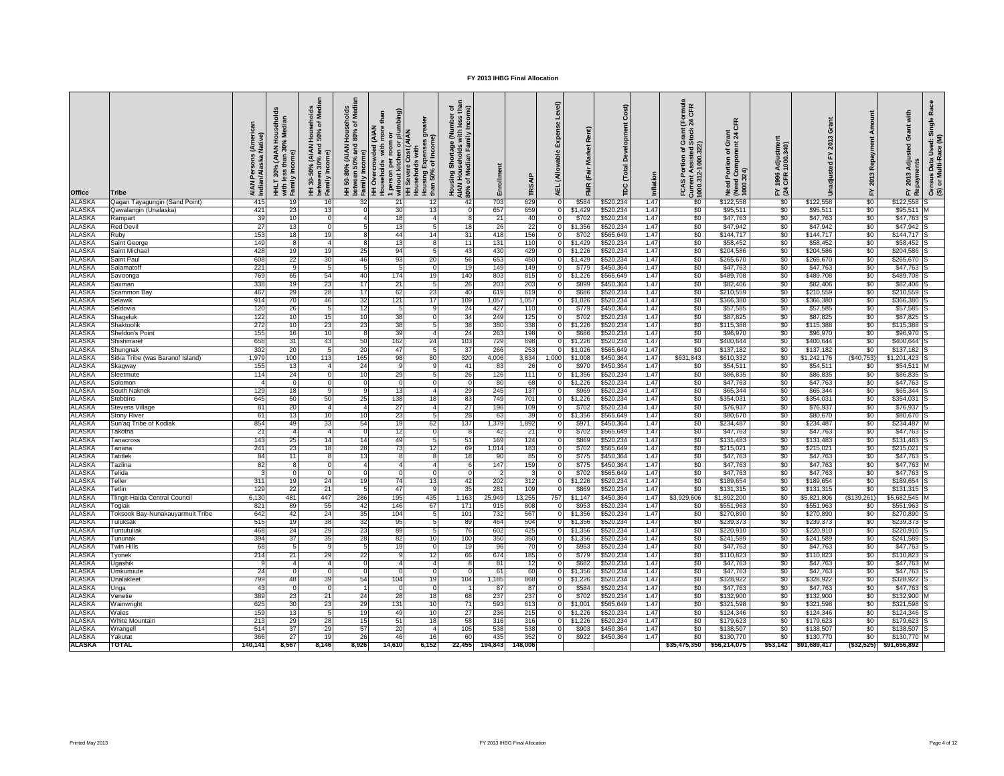| <b>ALASKA</b><br>415<br>703<br>\$122,558<br>\$0<br>\$122,558<br>Qagan Tayagungin (Sand Point)<br>32<br>21<br>629<br>\$584<br>\$520,234<br>1.47<br>\$0<br>\$0<br>\$122,558<br>12<br>ALASKA<br>421<br>30<br>657<br>659<br>\$0<br>\$95,511<br>\$0<br>\$95,51'<br>\$0<br>\$95,511<br>23<br>\$1,429<br>\$520,234<br>1.47<br>Qawalangin (Unalaska)<br>13<br>13<br>ALASKA<br>\$47,763<br>\$0<br>\$47,763<br>\$0<br>\$47,763<br>\$702<br>\$520,234<br>\$0<br>Rampart<br>39<br>10<br>18<br>21<br>40<br>1.47<br><b>ALASKA</b><br>27<br>22<br>\$1,356<br>\$520,234<br>\$0<br>\$47,942<br>\$0<br>\$47,942<br>\$0<br>\$47,942<br>Red Devi<br>13<br>13<br>26<br>1.47<br>18<br>156<br>\$0<br>\$0<br>ALASKA<br>\$702<br>\$565,649<br>1.47<br>\$0<br>\$144,717<br>\$144,717<br>\$144,717<br>₹uby<br>153<br>44<br>418<br>31<br><b>ALASKA</b><br>\$58,452<br>\$58,452<br>\$0<br>\$58,452<br>\$0<br>Saint George<br>149<br>131<br>110<br>\$1,429<br>\$520,234<br>1.47<br>SO.<br>13<br>11<br>8<br>ALASKA<br>428<br>\$204,586<br>\$204,586<br>\$0<br>\$204,586<br>Saint Michae<br>94<br>43<br>430<br>429<br>\$1,226<br>\$520,234<br>1.47<br>\$0<br>\$0<br>19<br>19<br>25<br>ALASKA<br>\$0<br>608<br>653<br>450<br>\$265,670<br>\$0<br>\$265,670<br>\$265,670<br>93<br>56<br>\$1,429<br>\$520,234<br>\$0<br>Saint Pau<br>22<br>30<br>46<br>20<br>1.47<br>ALASKA<br>221<br>\$0<br>19<br>149<br>149<br>\$779<br>\$450,364<br>1.47<br>SO.<br>\$47,763<br>\$0<br>\$47,763<br>\$47,763<br>Salamatof<br>q<br>5<br>5<br>$\Omega$<br>ALASKA<br>769<br>815<br>\$489,708<br>\$0<br>\$489,708<br>\$0<br>\$489,708<br>65<br>54<br>174<br>19<br>140<br>803<br>\$565,649<br>1.47<br>\$0<br>40<br>\$1,226<br>Savoonga<br>\$82,406<br>\$0<br>\$82,406<br>\$0<br>\$82,406<br><b>ALASKA</b><br>338<br>23<br>21<br>26<br>203<br>203<br>\$899<br>\$450,364<br>1.47<br>\$0<br>Saxman<br>19<br>17<br>5<br>ALASKA<br>467<br>619<br>\$210,559<br>\$0<br>Scammon Bay<br>29<br>28<br>62<br>23<br>40<br>619<br>\$686<br>\$520,234<br>1.47<br>\$0<br>\$210,559<br>\$0<br>\$210,559<br>17<br>ALASKA<br>914<br>121<br>109<br>1,05<br>1,057<br>\$520,234<br>\$0<br>\$366,380<br>\$0<br>\$366,380<br>\$0<br>\$366,380<br>Selawik<br>46<br>32<br>\$1,026<br>1.47<br>70<br>17<br>\$57,585<br>\$0<br>\$0<br><b>ALASKA</b><br>Seldovia<br>120<br>26<br>12<br>24<br>427<br>110<br>\$779<br>\$450,364<br>1.47<br>\$0<br>\$57,585<br>\$57,585<br>5<br>5<br>\$0<br>\$0<br>ALASKA<br>122<br>38<br>249<br>125<br>\$702<br>\$520,234<br>1.47<br>\$0<br>\$87,825<br>\$87,825<br>\$87,825<br><b>Shageluk</b><br>10<br>15<br>34<br>10<br>272<br><b>ALASKA</b><br>380<br>338<br>\$520,234<br>\$115,388<br>\$0<br>\$115,388<br>\$0<br>\$115,388<br>Shaktoolik<br>10<br>23<br>23<br>38<br>38<br>\$1,226<br>1.47<br>\$0<br><b>ALASKA</b><br>Sheldon's Point<br>155<br>39<br>263<br>198<br>\$686<br>\$520,234<br>1.47<br>\$0<br>\$96,970<br>\$0<br>\$96,970<br>\$0<br>\$96,970<br>16<br>10<br>24<br><b>ALASKA</b><br>658<br>162<br>698<br>\$520,234<br>\$400,644<br>\$0<br>\$400,644<br>\$0<br>\$400,644<br>103<br>729<br>\$0<br>Shishmare<br>31<br>43<br>50<br>24<br>\$1,226<br>1.47<br><b>ALASKA</b><br>\$0<br>302<br>253<br>\$0<br>\$137,182<br>Shungnak<br>20<br>20<br>47<br>37<br>266<br>\$1,026<br>\$565,649<br>1.47<br>\$0<br>\$137,182<br>\$137,182<br>5<br>ALASKA<br>1,979<br>100<br>165<br>98<br>3,834<br>\$450,364<br>\$0<br>\$1,242,176<br>Sitka Tribe (was Baranof Island)<br>113<br>80<br>320<br>4,006<br>\$1,008<br>1.47<br>\$631,843<br>\$610,332<br>$($ \$40,753)<br>\$1,201,423<br>1,000<br>26<br>\$54,511<br>\$0<br>\$54,51<br>\$54,511<br>ALASKA<br>155<br>24<br>\$97<br>\$450,364<br>\$0<br>1.47<br>\$0<br>Skagway<br>41<br>83<br>ALASKA<br>\$86,835<br>\$86,835<br>\$0<br>Sleetmute<br>114<br>24<br>29<br>126<br>111<br>\$1,356<br>\$520,234<br>1.47<br>\$0<br>\$0<br>\$86,835<br>10<br>26<br>ALASKA<br>\$47,763<br>\$1,226<br>\$520,234<br>\$0<br>\$47,763<br>\$0<br>\$0<br>\$47,763<br>Solomon<br>80<br>68<br>1.47<br>$\Omega$<br>\$65,344<br>\$0<br>ALASKA<br>245<br>137<br>\$969<br>\$0<br>\$65,344<br>\$0<br>\$65,344<br>129<br>29<br>\$520,234<br>1.47<br>South Naknek<br>18<br>13<br><b>ALASKA</b><br>645<br>138<br>749<br>701<br>\$520,234<br>1.47<br>\$0<br>\$354,031<br>\$0<br>\$354,031<br>\$0<br>\$354,031<br><b>Stebbins</b><br>50<br>50<br>83<br>\$1,226<br>25<br>18<br>27<br>\$0<br>\$0<br><b>ALASKA</b><br>20<br>196<br>109<br>\$702<br>\$520,234<br>1.47<br>\$0<br>\$76,937<br>\$76,937<br>\$76,937<br>81<br>27<br>Stevens Village<br><b>ALASKA</b><br>\$565,649<br>\$80,670<br>\$0<br>\$80,670<br>\$0<br>\$80,670<br><b>Stony River</b><br>23<br>28<br>63<br>39<br>\$1,356<br>1.47<br>\$0<br>61<br>13<br>10<br>\$0<br><b>ALASKA</b><br>854<br>54<br>19<br>137<br>1,379<br>1,892<br>\$97'<br>\$450,364<br>\$0<br>\$234,487<br>\$0<br>\$234,487<br>\$234,487<br>Sun'aq Tribe of Kodial<br>49<br>33<br>62<br>1.47<br>ALASKA<br>\$0<br>\$702<br>\$565,649<br>\$0<br>\$47,763<br>\$0<br>\$47,763<br>\$47,763<br>Takotna<br>21<br>12<br>42<br>21<br>1.47<br>$\overline{4}$<br>ALASKA<br>49<br>\$0<br>\$0<br>143<br>14<br>169<br>124<br>\$869<br>\$520,234<br>1.47<br>SO.<br>\$131,483<br>\$131,483<br>\$131,483<br>Tanacross<br>25<br>14<br>51<br>241<br>\$0<br>\$0<br>ALASKA<br>23<br>18<br>73<br>69<br>183<br>\$702<br>\$565,649<br>1.47<br>\$0<br>\$215,021<br>\$215,021<br>\$215,021<br>28<br>12<br>1,014<br>Tanana<br>\$0<br>\$0<br><b>ALASKA</b><br>84<br>85<br>\$775<br>\$450,364<br>1.47<br>\$0<br>\$47,763<br>\$47,763<br>\$47,763<br>Tatitlek<br>11<br>8<br>13<br>8<br>18<br>90<br>ALASKA<br>147<br>159<br>\$450,364<br>\$47,763<br>\$0<br>\$47,763<br>\$0<br>Tazlina<br>82<br>\$775<br>1.47<br>\$0<br>\$47,763<br>$\mathbf{g}$<br>ALASKA<br>\$702<br>\$565,649<br>\$0<br>\$47,763<br>\$0<br>\$47,763<br>\$0<br>\$47,763<br>Telida<br>1.47<br><b>ALASKA</b><br>\$0<br>202<br>312<br>\$520,234<br>\$0<br>\$189,654<br>\$0<br>\$189,654<br>\$189,654<br>eller<br>311<br>19<br>24<br>74<br>13<br>42<br>\$1,226<br>1.47<br>19<br>ALASKA<br>281<br>\$0<br>\$0<br>129<br>22<br>47<br>35<br>109<br>\$869<br>\$520,234<br>1.47<br>\$0<br>\$131,315<br>\$131,315<br>\$131,315<br>"etlin<br>21<br><b>ALASKA</b><br>481<br>447<br>286<br>195<br>435<br>25,949<br>13,255<br>757<br>\$450,364<br>1.47<br>\$0<br>\$5,821,806<br>(\$139,261<br>\$5,682,545<br>Tlingit-Haida Central Council<br>6,130<br>\$1,147<br>\$3,929,606<br>\$1,892,200<br>1,163<br><b>ALASKA</b><br>\$551,963<br>821<br>89<br>55<br>146<br>67<br>915<br>808<br>\$953<br>\$520,234<br>1.47<br>\$551,963<br>\$0<br>\$551,963<br>\$0<br>Togiak<br>42<br>171<br>\$0<br><b>ALASKA</b><br>642<br>104<br>567<br>\$520,234<br>\$270,890<br>\$0<br>\$270,890<br>\$0<br>\$270,890<br>42<br>24<br>732<br>1.47<br>\$0<br>Toksook Bay-Nunakauyarmuit Tribe<br>35<br>101<br>\$1,356<br><b>ALASKA</b><br>515<br>95<br>\$239,373<br>\$0<br>\$0<br>\$239,373<br>Tuluksal<br>19<br>38<br>32<br>89<br>464<br>504<br>\$1,356<br>\$520,234<br>1.47<br>\$0<br>\$239,373<br>ALASKA<br>468<br>24<br>29<br>89<br>425<br>\$220,910<br>\$0<br>\$220,910<br>\$0<br>\$220,910<br>23<br>602<br>\$1,356<br>\$520,234<br>1.47<br>\$0<br>Tuntutulial<br>76<br>35<br>ALASKA<br>394<br>37<br>82<br>350<br>350<br>\$241,589<br>\$0<br>\$241,589<br>\$0<br>\$241,589<br>28<br>100<br>\$1,356<br>\$520,234<br>1.47<br>10<br>\$0<br>Tununak<br>ALASKA<br>\$0<br>Twin Hills<br>68<br>19<br>96<br>70<br>\$953<br>\$520,234<br>1.47<br>\$47,763<br>\$0<br>\$47,763<br>\$47,763<br>10<br>\$0<br>5<br>9<br>ALASKA<br>\$0<br>214<br>66<br>674<br>185<br>\$779<br>\$520,234<br>1.47<br>\$0<br>\$110,823<br>\$0<br>\$110,823<br>\$110,823<br>Tyonek<br>21<br>29<br>22<br>12<br>ALASKA<br>\$0<br>\$682<br>\$520,234<br>\$0<br>\$47,763<br>\$0<br>\$47,763<br>-81<br>1.47<br>\$47,763<br>Jgashik<br>12<br>-9<br>\$0<br>\$0<br>ALASKA<br>24<br>60<br>\$520,234<br>\$0<br>\$47,763<br>\$47,763<br>\$47,763<br>Umkumiute<br>61<br>\$1,356<br>1.47<br>$\Omega$<br>$\Omega$<br>ALASKA<br>799<br>\$0<br>\$328,922<br>\$0<br>\$328,922<br>104<br>868<br>\$1,226<br>\$520,234<br>1.47<br>\$0<br>\$328,922<br>Jnalakleet<br>48<br>39<br>54<br>19<br>1,185<br>104<br><b>ALASKA</b><br>\$584<br>\$520,234<br>\$47,763<br>\$0<br>\$47,763<br>\$0<br>\$47,763<br>Jnga<br>43<br>87<br>1.47<br>\$0<br>87<br>ALASKA<br>389<br>28<br>\$520,234<br>\$132,900<br>\$0<br>\$132,900<br>\$0<br>\$132,900<br>√enetie<br>23<br>21<br>24<br>18<br>68<br>237<br>237<br>\$702<br>1.47<br>\$0<br>ALASKA<br>\$0<br>625<br>131<br>593<br>\$565,649<br>\$0<br>\$321,598<br>\$0<br>\$321,598<br>\$321,598<br>Wainwright<br>30<br>23<br>29<br>10<br>613<br>\$1,00<br>1.47<br>71<br>ALASKA<br>Wales<br>159<br>13<br>49<br>10<br>236<br>215<br>\$1,226<br>\$520,234<br>1.47<br>\$124,346<br>\$0<br>\$124,346<br>\$0<br>\$124,346<br>5<br>19<br>27<br>\$0<br>ALASKA<br>White Mountain<br>213<br>29<br>28<br>51<br>58<br>316<br>316<br>\$1,226<br>\$520,234<br>1.47<br>\$179,623<br>\$0<br>\$179,623<br>\$0<br>\$179,623<br>15<br>18<br>\$0<br>514<br>29<br>20<br>538<br>\$0<br>\$138,507<br>\$0<br>\$138,507<br><b>ALASKA</b><br>Wrange<br>37<br>57<br>105<br>538<br>\$903<br>\$450,364<br>1.47<br>\$0<br>\$138,507<br><b>ALASKA</b><br>366<br>46<br>435<br>352<br>\$0<br>\$130,770<br>\$0<br>Yakutat<br>27<br>19<br>26<br>60<br>\$922<br>\$450,364<br>1.47<br>\$0<br>\$130,770<br>\$130,770<br>16<br><b>ALASKA</b><br>94,843<br> 48,006<br>$($ \$32,525)<br>TOTAL<br>40,141<br>8,567<br>8,146<br>8,926<br>14,610<br>6,152<br>22,455<br>\$35,475,350<br>\$56,214,075<br>\$53,142<br>\$91,689,417<br>\$91,656,892 | Office | <b>Tribe</b> | Persons (Americ<br>AIAN Persons (Ameri<br>Indian/Alaska Native) | HHLT 30% (AIAN Households<br>with less than 30% Median<br>with less t<br>Family Inc | Households<br>I 50% of Media<br>HH 30-50% (AIAN<br>between 30% and<br>Income)<br>between<br>Family In | Median<br><b>olds</b><br>HH 50-80% (AIAN Househo<br>between 50% and 80% of M<br>} Family Income) | 1 person per room or<br>without kitchen or plumbing)<br>HH Severe Cost (AIAN<br>than<br>HH Overcrowded (AIAN<br>Households with more | Housing Expenses greater<br>than 50% of Income)<br>with<br>Households | Housing Shortage (Number of<br>AIAN Households with less tha<br>80% of Median Family Income) | Enrollment | TRSA | Level)<br>Expense<br>AEL (Allowable | Rent)<br>Market<br>(Fair<br>FMR | Cost)<br><b>Development</b><br>Total<br>ě | Inflation | (Formula<br>24 CFR<br><b>Stock</b><br>ဖ<br>Current Assisted S<br>1000.312-1000.322)<br>৳<br>Portion<br>CAS | CFR<br>Need Portion of Grant<br>(Need Component 24 C<br>1000.324) | Adjustment<br>1000.340)<br>FY 1996<br>(24 CFR | Grant<br>2013<br>Unadjusted | Repayment Amoun<br>2013<br>놊 | with<br>Grant<br>2013 Adjusted<br>도 흢 | Race<br>Census Data Used: Single<br>(S) or Multi-Race (M) |
|-------------------------------------------------------------------------------------------------------------------------------------------------------------------------------------------------------------------------------------------------------------------------------------------------------------------------------------------------------------------------------------------------------------------------------------------------------------------------------------------------------------------------------------------------------------------------------------------------------------------------------------------------------------------------------------------------------------------------------------------------------------------------------------------------------------------------------------------------------------------------------------------------------------------------------------------------------------------------------------------------------------------------------------------------------------------------------------------------------------------------------------------------------------------------------------------------------------------------------------------------------------------------------------------------------------------------------------------------------------------------------------------------------------------------------------------------------------------------------------------------------------------------------------------------------------------------------------------------------------------------------------------------------------------------------------------------------------------------------------------------------------------------------------------------------------------------------------------------------------------------------------------------------------------------------------------------------------------------------------------------------------------------------------------------------------------------------------------------------------------------------------------------------------------------------------------------------------------------------------------------------------------------------------------------------------------------------------------------------------------------------------------------------------------------------------------------------------------------------------------------------------------------------------------------------------------------------------------------------------------------------------------------------------------------------------------------------------------------------------------------------------------------------------------------------------------------------------------------------------------------------------------------------------------------------------------------------------------------------------------------------------------------------------------------------------------------------------------------------------------------------------------------------------------------------------------------------------------------------------------------------------------------------------------------------------------------------------------------------------------------------------------------------------------------------------------------------------------------------------------------------------------------------------------------------------------------------------------------------------------------------------------------------------------------------------------------------------------------------------------------------------------------------------------------------------------------------------------------------------------------------------------------------------------------------------------------------------------------------------------------------------------------------------------------------------------------------------------------------------------------------------------------------------------------------------------------------------------------------------------------------------------------------------------------------------------------------------------------------------------------------------------------------------------------------------------------------------------------------------------------------------------------------------------------------------------------------------------------------------------------------------------------------------------------------------------------------------------------------------------------------------------------------------------------------------------------------------------------------------------------------------------------------------------------------------------------------------------------------------------------------------------------------------------------------------------------------------------------------------------------------------------------------------------------------------------------------------------------------------------------------------------------------------------------------------------------------------------------------------------------------------------------------------------------------------------------------------------------------------------------------------------------------------------------------------------------------------------------------------------------------------------------------------------------------------------------------------------------------------------------------------------------------------------------------------------------------------------------------------------------------------------------------------------------------------------------------------------------------------------------------------------------------------------------------------------------------------------------------------------------------------------------------------------------------------------------------------------------------------------------------------------------------------------------------------------------------------------------------------------------------------------------------------------------------------------------------------------------------------------------------------------------------------------------------------------------------------------------------------------------------------------------------------------------------------------------------------------------------------------------------------------------------------------------------------------------------------------------------------------------------------------------------------------------------------------------------------------------------------------------------------------------------------------------------------------------------------------------------------------------------------------------------------------------------------------------------------------------------------------------------------------------------------------------------------------------------------------------------------------------------------------------------------------------------------------------------------------------------------------------------------------------------------------------------------------------------------------------------------------------------------------------------------------------------------------------------------------------------------------------------------------------------------------------------------------------------------------------------------------------------------------------------------------------------------------------------------------------------------------------------------------------------------------------------------------------------------------------------------------------------------------------------------------------------------------------------------------------------------------------------------------------------------------------------------------------------------------------------------------------------------------------------------------------------------------------------------------------------------------------------------------------------------------------------------------------------------------------------------------------------------------------------------------------------------------------------------------------------------------------------------------------------------------------------------------------------------------------------------------------------------------------------------------------------------------------------------------------------------------------------------------------------------------------------------------------------------------------------------------------------------------------------------------------------------------------------------------------------------------------------------------------------------------------------------------------------------------------------------------------------------------------------------------------------------------------------------------------------------------------------------------------------------------------------|--------|--------------|-----------------------------------------------------------------|-------------------------------------------------------------------------------------|-------------------------------------------------------------------------------------------------------|--------------------------------------------------------------------------------------------------|--------------------------------------------------------------------------------------------------------------------------------------|-----------------------------------------------------------------------|----------------------------------------------------------------------------------------------|------------|------|-------------------------------------|---------------------------------|-------------------------------------------|-----------|------------------------------------------------------------------------------------------------------------|-------------------------------------------------------------------|-----------------------------------------------|-----------------------------|------------------------------|---------------------------------------|-----------------------------------------------------------|
|                                                                                                                                                                                                                                                                                                                                                                                                                                                                                                                                                                                                                                                                                                                                                                                                                                                                                                                                                                                                                                                                                                                                                                                                                                                                                                                                                                                                                                                                                                                                                                                                                                                                                                                                                                                                                                                                                                                                                                                                                                                                                                                                                                                                                                                                                                                                                                                                                                                                                                                                                                                                                                                                                                                                                                                                                                                                                                                                                                                                                                                                                                                                                                                                                                                                                                                                                                                                                                                                                                                                                                                                                                                                                                                                                                                                                                                                                                                                                                                                                                                                                                                                                                                                                                                                                                                                                                                                                                                                                                                                                                                                                                                                                                                                                                                                                                                                                                                                                                                                                                                                                                                                                                                                                                                                                                                                                                                                                                                                                                                                                                                                                                                                                                                                                                                                                                                                                                                                                                                                                                                                                                                                                                                                                                                                                                                                                                                                                                                                                                                                                                                                                                                                                                                                                                                                                                                                                                                                                                                                                                                                                                                                                                                                                                                                                                                                                                                                                                                                                                                                                                                                                                                                                                                                                                                                                                                                                                                                                                                                                                                                                                                                                                                                                                                                                                                                                                                                                                                                                                                                                                                                                                                                                                                                                                                                                                                                                                                                                                                                                                                                                                                                                                                                                                                                                                                                                                                                                                                                                                                                                       |        |              |                                                                 |                                                                                     |                                                                                                       |                                                                                                  |                                                                                                                                      |                                                                       |                                                                                              |            |      |                                     |                                 |                                           |           |                                                                                                            |                                                                   |                                               |                             |                              |                                       |                                                           |
|                                                                                                                                                                                                                                                                                                                                                                                                                                                                                                                                                                                                                                                                                                                                                                                                                                                                                                                                                                                                                                                                                                                                                                                                                                                                                                                                                                                                                                                                                                                                                                                                                                                                                                                                                                                                                                                                                                                                                                                                                                                                                                                                                                                                                                                                                                                                                                                                                                                                                                                                                                                                                                                                                                                                                                                                                                                                                                                                                                                                                                                                                                                                                                                                                                                                                                                                                                                                                                                                                                                                                                                                                                                                                                                                                                                                                                                                                                                                                                                                                                                                                                                                                                                                                                                                                                                                                                                                                                                                                                                                                                                                                                                                                                                                                                                                                                                                                                                                                                                                                                                                                                                                                                                                                                                                                                                                                                                                                                                                                                                                                                                                                                                                                                                                                                                                                                                                                                                                                                                                                                                                                                                                                                                                                                                                                                                                                                                                                                                                                                                                                                                                                                                                                                                                                                                                                                                                                                                                                                                                                                                                                                                                                                                                                                                                                                                                                                                                                                                                                                                                                                                                                                                                                                                                                                                                                                                                                                                                                                                                                                                                                                                                                                                                                                                                                                                                                                                                                                                                                                                                                                                                                                                                                                                                                                                                                                                                                                                                                                                                                                                                                                                                                                                                                                                                                                                                                                                                                                                                                                                                                       |        |              |                                                                 |                                                                                     |                                                                                                       |                                                                                                  |                                                                                                                                      |                                                                       |                                                                                              |            |      |                                     |                                 |                                           |           |                                                                                                            |                                                                   |                                               |                             |                              |                                       |                                                           |
|                                                                                                                                                                                                                                                                                                                                                                                                                                                                                                                                                                                                                                                                                                                                                                                                                                                                                                                                                                                                                                                                                                                                                                                                                                                                                                                                                                                                                                                                                                                                                                                                                                                                                                                                                                                                                                                                                                                                                                                                                                                                                                                                                                                                                                                                                                                                                                                                                                                                                                                                                                                                                                                                                                                                                                                                                                                                                                                                                                                                                                                                                                                                                                                                                                                                                                                                                                                                                                                                                                                                                                                                                                                                                                                                                                                                                                                                                                                                                                                                                                                                                                                                                                                                                                                                                                                                                                                                                                                                                                                                                                                                                                                                                                                                                                                                                                                                                                                                                                                                                                                                                                                                                                                                                                                                                                                                                                                                                                                                                                                                                                                                                                                                                                                                                                                                                                                                                                                                                                                                                                                                                                                                                                                                                                                                                                                                                                                                                                                                                                                                                                                                                                                                                                                                                                                                                                                                                                                                                                                                                                                                                                                                                                                                                                                                                                                                                                                                                                                                                                                                                                                                                                                                                                                                                                                                                                                                                                                                                                                                                                                                                                                                                                                                                                                                                                                                                                                                                                                                                                                                                                                                                                                                                                                                                                                                                                                                                                                                                                                                                                                                                                                                                                                                                                                                                                                                                                                                                                                                                                                                                       |        |              |                                                                 |                                                                                     |                                                                                                       |                                                                                                  |                                                                                                                                      |                                                                       |                                                                                              |            |      |                                     |                                 |                                           |           |                                                                                                            |                                                                   |                                               |                             |                              |                                       |                                                           |
|                                                                                                                                                                                                                                                                                                                                                                                                                                                                                                                                                                                                                                                                                                                                                                                                                                                                                                                                                                                                                                                                                                                                                                                                                                                                                                                                                                                                                                                                                                                                                                                                                                                                                                                                                                                                                                                                                                                                                                                                                                                                                                                                                                                                                                                                                                                                                                                                                                                                                                                                                                                                                                                                                                                                                                                                                                                                                                                                                                                                                                                                                                                                                                                                                                                                                                                                                                                                                                                                                                                                                                                                                                                                                                                                                                                                                                                                                                                                                                                                                                                                                                                                                                                                                                                                                                                                                                                                                                                                                                                                                                                                                                                                                                                                                                                                                                                                                                                                                                                                                                                                                                                                                                                                                                                                                                                                                                                                                                                                                                                                                                                                                                                                                                                                                                                                                                                                                                                                                                                                                                                                                                                                                                                                                                                                                                                                                                                                                                                                                                                                                                                                                                                                                                                                                                                                                                                                                                                                                                                                                                                                                                                                                                                                                                                                                                                                                                                                                                                                                                                                                                                                                                                                                                                                                                                                                                                                                                                                                                                                                                                                                                                                                                                                                                                                                                                                                                                                                                                                                                                                                                                                                                                                                                                                                                                                                                                                                                                                                                                                                                                                                                                                                                                                                                                                                                                                                                                                                                                                                                                                                       |        |              |                                                                 |                                                                                     |                                                                                                       |                                                                                                  |                                                                                                                                      |                                                                       |                                                                                              |            |      |                                     |                                 |                                           |           |                                                                                                            |                                                                   |                                               |                             |                              |                                       |                                                           |
|                                                                                                                                                                                                                                                                                                                                                                                                                                                                                                                                                                                                                                                                                                                                                                                                                                                                                                                                                                                                                                                                                                                                                                                                                                                                                                                                                                                                                                                                                                                                                                                                                                                                                                                                                                                                                                                                                                                                                                                                                                                                                                                                                                                                                                                                                                                                                                                                                                                                                                                                                                                                                                                                                                                                                                                                                                                                                                                                                                                                                                                                                                                                                                                                                                                                                                                                                                                                                                                                                                                                                                                                                                                                                                                                                                                                                                                                                                                                                                                                                                                                                                                                                                                                                                                                                                                                                                                                                                                                                                                                                                                                                                                                                                                                                                                                                                                                                                                                                                                                                                                                                                                                                                                                                                                                                                                                                                                                                                                                                                                                                                                                                                                                                                                                                                                                                                                                                                                                                                                                                                                                                                                                                                                                                                                                                                                                                                                                                                                                                                                                                                                                                                                                                                                                                                                                                                                                                                                                                                                                                                                                                                                                                                                                                                                                                                                                                                                                                                                                                                                                                                                                                                                                                                                                                                                                                                                                                                                                                                                                                                                                                                                                                                                                                                                                                                                                                                                                                                                                                                                                                                                                                                                                                                                                                                                                                                                                                                                                                                                                                                                                                                                                                                                                                                                                                                                                                                                                                                                                                                                                                       |        |              |                                                                 |                                                                                     |                                                                                                       |                                                                                                  |                                                                                                                                      |                                                                       |                                                                                              |            |      |                                     |                                 |                                           |           |                                                                                                            |                                                                   |                                               |                             |                              |                                       |                                                           |
|                                                                                                                                                                                                                                                                                                                                                                                                                                                                                                                                                                                                                                                                                                                                                                                                                                                                                                                                                                                                                                                                                                                                                                                                                                                                                                                                                                                                                                                                                                                                                                                                                                                                                                                                                                                                                                                                                                                                                                                                                                                                                                                                                                                                                                                                                                                                                                                                                                                                                                                                                                                                                                                                                                                                                                                                                                                                                                                                                                                                                                                                                                                                                                                                                                                                                                                                                                                                                                                                                                                                                                                                                                                                                                                                                                                                                                                                                                                                                                                                                                                                                                                                                                                                                                                                                                                                                                                                                                                                                                                                                                                                                                                                                                                                                                                                                                                                                                                                                                                                                                                                                                                                                                                                                                                                                                                                                                                                                                                                                                                                                                                                                                                                                                                                                                                                                                                                                                                                                                                                                                                                                                                                                                                                                                                                                                                                                                                                                                                                                                                                                                                                                                                                                                                                                                                                                                                                                                                                                                                                                                                                                                                                                                                                                                                                                                                                                                                                                                                                                                                                                                                                                                                                                                                                                                                                                                                                                                                                                                                                                                                                                                                                                                                                                                                                                                                                                                                                                                                                                                                                                                                                                                                                                                                                                                                                                                                                                                                                                                                                                                                                                                                                                                                                                                                                                                                                                                                                                                                                                                                                                       |        |              |                                                                 |                                                                                     |                                                                                                       |                                                                                                  |                                                                                                                                      |                                                                       |                                                                                              |            |      |                                     |                                 |                                           |           |                                                                                                            |                                                                   |                                               |                             |                              |                                       |                                                           |
|                                                                                                                                                                                                                                                                                                                                                                                                                                                                                                                                                                                                                                                                                                                                                                                                                                                                                                                                                                                                                                                                                                                                                                                                                                                                                                                                                                                                                                                                                                                                                                                                                                                                                                                                                                                                                                                                                                                                                                                                                                                                                                                                                                                                                                                                                                                                                                                                                                                                                                                                                                                                                                                                                                                                                                                                                                                                                                                                                                                                                                                                                                                                                                                                                                                                                                                                                                                                                                                                                                                                                                                                                                                                                                                                                                                                                                                                                                                                                                                                                                                                                                                                                                                                                                                                                                                                                                                                                                                                                                                                                                                                                                                                                                                                                                                                                                                                                                                                                                                                                                                                                                                                                                                                                                                                                                                                                                                                                                                                                                                                                                                                                                                                                                                                                                                                                                                                                                                                                                                                                                                                                                                                                                                                                                                                                                                                                                                                                                                                                                                                                                                                                                                                                                                                                                                                                                                                                                                                                                                                                                                                                                                                                                                                                                                                                                                                                                                                                                                                                                                                                                                                                                                                                                                                                                                                                                                                                                                                                                                                                                                                                                                                                                                                                                                                                                                                                                                                                                                                                                                                                                                                                                                                                                                                                                                                                                                                                                                                                                                                                                                                                                                                                                                                                                                                                                                                                                                                                                                                                                                                                       |        |              |                                                                 |                                                                                     |                                                                                                       |                                                                                                  |                                                                                                                                      |                                                                       |                                                                                              |            |      |                                     |                                 |                                           |           |                                                                                                            |                                                                   |                                               |                             |                              |                                       |                                                           |
|                                                                                                                                                                                                                                                                                                                                                                                                                                                                                                                                                                                                                                                                                                                                                                                                                                                                                                                                                                                                                                                                                                                                                                                                                                                                                                                                                                                                                                                                                                                                                                                                                                                                                                                                                                                                                                                                                                                                                                                                                                                                                                                                                                                                                                                                                                                                                                                                                                                                                                                                                                                                                                                                                                                                                                                                                                                                                                                                                                                                                                                                                                                                                                                                                                                                                                                                                                                                                                                                                                                                                                                                                                                                                                                                                                                                                                                                                                                                                                                                                                                                                                                                                                                                                                                                                                                                                                                                                                                                                                                                                                                                                                                                                                                                                                                                                                                                                                                                                                                                                                                                                                                                                                                                                                                                                                                                                                                                                                                                                                                                                                                                                                                                                                                                                                                                                                                                                                                                                                                                                                                                                                                                                                                                                                                                                                                                                                                                                                                                                                                                                                                                                                                                                                                                                                                                                                                                                                                                                                                                                                                                                                                                                                                                                                                                                                                                                                                                                                                                                                                                                                                                                                                                                                                                                                                                                                                                                                                                                                                                                                                                                                                                                                                                                                                                                                                                                                                                                                                                                                                                                                                                                                                                                                                                                                                                                                                                                                                                                                                                                                                                                                                                                                                                                                                                                                                                                                                                                                                                                                                                                       |        |              |                                                                 |                                                                                     |                                                                                                       |                                                                                                  |                                                                                                                                      |                                                                       |                                                                                              |            |      |                                     |                                 |                                           |           |                                                                                                            |                                                                   |                                               |                             |                              |                                       |                                                           |
|                                                                                                                                                                                                                                                                                                                                                                                                                                                                                                                                                                                                                                                                                                                                                                                                                                                                                                                                                                                                                                                                                                                                                                                                                                                                                                                                                                                                                                                                                                                                                                                                                                                                                                                                                                                                                                                                                                                                                                                                                                                                                                                                                                                                                                                                                                                                                                                                                                                                                                                                                                                                                                                                                                                                                                                                                                                                                                                                                                                                                                                                                                                                                                                                                                                                                                                                                                                                                                                                                                                                                                                                                                                                                                                                                                                                                                                                                                                                                                                                                                                                                                                                                                                                                                                                                                                                                                                                                                                                                                                                                                                                                                                                                                                                                                                                                                                                                                                                                                                                                                                                                                                                                                                                                                                                                                                                                                                                                                                                                                                                                                                                                                                                                                                                                                                                                                                                                                                                                                                                                                                                                                                                                                                                                                                                                                                                                                                                                                                                                                                                                                                                                                                                                                                                                                                                                                                                                                                                                                                                                                                                                                                                                                                                                                                                                                                                                                                                                                                                                                                                                                                                                                                                                                                                                                                                                                                                                                                                                                                                                                                                                                                                                                                                                                                                                                                                                                                                                                                                                                                                                                                                                                                                                                                                                                                                                                                                                                                                                                                                                                                                                                                                                                                                                                                                                                                                                                                                                                                                                                                                                       |        |              |                                                                 |                                                                                     |                                                                                                       |                                                                                                  |                                                                                                                                      |                                                                       |                                                                                              |            |      |                                     |                                 |                                           |           |                                                                                                            |                                                                   |                                               |                             |                              |                                       |                                                           |
|                                                                                                                                                                                                                                                                                                                                                                                                                                                                                                                                                                                                                                                                                                                                                                                                                                                                                                                                                                                                                                                                                                                                                                                                                                                                                                                                                                                                                                                                                                                                                                                                                                                                                                                                                                                                                                                                                                                                                                                                                                                                                                                                                                                                                                                                                                                                                                                                                                                                                                                                                                                                                                                                                                                                                                                                                                                                                                                                                                                                                                                                                                                                                                                                                                                                                                                                                                                                                                                                                                                                                                                                                                                                                                                                                                                                                                                                                                                                                                                                                                                                                                                                                                                                                                                                                                                                                                                                                                                                                                                                                                                                                                                                                                                                                                                                                                                                                                                                                                                                                                                                                                                                                                                                                                                                                                                                                                                                                                                                                                                                                                                                                                                                                                                                                                                                                                                                                                                                                                                                                                                                                                                                                                                                                                                                                                                                                                                                                                                                                                                                                                                                                                                                                                                                                                                                                                                                                                                                                                                                                                                                                                                                                                                                                                                                                                                                                                                                                                                                                                                                                                                                                                                                                                                                                                                                                                                                                                                                                                                                                                                                                                                                                                                                                                                                                                                                                                                                                                                                                                                                                                                                                                                                                                                                                                                                                                                                                                                                                                                                                                                                                                                                                                                                                                                                                                                                                                                                                                                                                                                                                       |        |              |                                                                 |                                                                                     |                                                                                                       |                                                                                                  |                                                                                                                                      |                                                                       |                                                                                              |            |      |                                     |                                 |                                           |           |                                                                                                            |                                                                   |                                               |                             |                              |                                       |                                                           |
|                                                                                                                                                                                                                                                                                                                                                                                                                                                                                                                                                                                                                                                                                                                                                                                                                                                                                                                                                                                                                                                                                                                                                                                                                                                                                                                                                                                                                                                                                                                                                                                                                                                                                                                                                                                                                                                                                                                                                                                                                                                                                                                                                                                                                                                                                                                                                                                                                                                                                                                                                                                                                                                                                                                                                                                                                                                                                                                                                                                                                                                                                                                                                                                                                                                                                                                                                                                                                                                                                                                                                                                                                                                                                                                                                                                                                                                                                                                                                                                                                                                                                                                                                                                                                                                                                                                                                                                                                                                                                                                                                                                                                                                                                                                                                                                                                                                                                                                                                                                                                                                                                                                                                                                                                                                                                                                                                                                                                                                                                                                                                                                                                                                                                                                                                                                                                                                                                                                                                                                                                                                                                                                                                                                                                                                                                                                                                                                                                                                                                                                                                                                                                                                                                                                                                                                                                                                                                                                                                                                                                                                                                                                                                                                                                                                                                                                                                                                                                                                                                                                                                                                                                                                                                                                                                                                                                                                                                                                                                                                                                                                                                                                                                                                                                                                                                                                                                                                                                                                                                                                                                                                                                                                                                                                                                                                                                                                                                                                                                                                                                                                                                                                                                                                                                                                                                                                                                                                                                                                                                                                                                       |        |              |                                                                 |                                                                                     |                                                                                                       |                                                                                                  |                                                                                                                                      |                                                                       |                                                                                              |            |      |                                     |                                 |                                           |           |                                                                                                            |                                                                   |                                               |                             |                              |                                       |                                                           |
|                                                                                                                                                                                                                                                                                                                                                                                                                                                                                                                                                                                                                                                                                                                                                                                                                                                                                                                                                                                                                                                                                                                                                                                                                                                                                                                                                                                                                                                                                                                                                                                                                                                                                                                                                                                                                                                                                                                                                                                                                                                                                                                                                                                                                                                                                                                                                                                                                                                                                                                                                                                                                                                                                                                                                                                                                                                                                                                                                                                                                                                                                                                                                                                                                                                                                                                                                                                                                                                                                                                                                                                                                                                                                                                                                                                                                                                                                                                                                                                                                                                                                                                                                                                                                                                                                                                                                                                                                                                                                                                                                                                                                                                                                                                                                                                                                                                                                                                                                                                                                                                                                                                                                                                                                                                                                                                                                                                                                                                                                                                                                                                                                                                                                                                                                                                                                                                                                                                                                                                                                                                                                                                                                                                                                                                                                                                                                                                                                                                                                                                                                                                                                                                                                                                                                                                                                                                                                                                                                                                                                                                                                                                                                                                                                                                                                                                                                                                                                                                                                                                                                                                                                                                                                                                                                                                                                                                                                                                                                                                                                                                                                                                                                                                                                                                                                                                                                                                                                                                                                                                                                                                                                                                                                                                                                                                                                                                                                                                                                                                                                                                                                                                                                                                                                                                                                                                                                                                                                                                                                                                                                       |        |              |                                                                 |                                                                                     |                                                                                                       |                                                                                                  |                                                                                                                                      |                                                                       |                                                                                              |            |      |                                     |                                 |                                           |           |                                                                                                            |                                                                   |                                               |                             |                              |                                       |                                                           |
|                                                                                                                                                                                                                                                                                                                                                                                                                                                                                                                                                                                                                                                                                                                                                                                                                                                                                                                                                                                                                                                                                                                                                                                                                                                                                                                                                                                                                                                                                                                                                                                                                                                                                                                                                                                                                                                                                                                                                                                                                                                                                                                                                                                                                                                                                                                                                                                                                                                                                                                                                                                                                                                                                                                                                                                                                                                                                                                                                                                                                                                                                                                                                                                                                                                                                                                                                                                                                                                                                                                                                                                                                                                                                                                                                                                                                                                                                                                                                                                                                                                                                                                                                                                                                                                                                                                                                                                                                                                                                                                                                                                                                                                                                                                                                                                                                                                                                                                                                                                                                                                                                                                                                                                                                                                                                                                                                                                                                                                                                                                                                                                                                                                                                                                                                                                                                                                                                                                                                                                                                                                                                                                                                                                                                                                                                                                                                                                                                                                                                                                                                                                                                                                                                                                                                                                                                                                                                                                                                                                                                                                                                                                                                                                                                                                                                                                                                                                                                                                                                                                                                                                                                                                                                                                                                                                                                                                                                                                                                                                                                                                                                                                                                                                                                                                                                                                                                                                                                                                                                                                                                                                                                                                                                                                                                                                                                                                                                                                                                                                                                                                                                                                                                                                                                                                                                                                                                                                                                                                                                                                                                       |        |              |                                                                 |                                                                                     |                                                                                                       |                                                                                                  |                                                                                                                                      |                                                                       |                                                                                              |            |      |                                     |                                 |                                           |           |                                                                                                            |                                                                   |                                               |                             |                              |                                       |                                                           |
|                                                                                                                                                                                                                                                                                                                                                                                                                                                                                                                                                                                                                                                                                                                                                                                                                                                                                                                                                                                                                                                                                                                                                                                                                                                                                                                                                                                                                                                                                                                                                                                                                                                                                                                                                                                                                                                                                                                                                                                                                                                                                                                                                                                                                                                                                                                                                                                                                                                                                                                                                                                                                                                                                                                                                                                                                                                                                                                                                                                                                                                                                                                                                                                                                                                                                                                                                                                                                                                                                                                                                                                                                                                                                                                                                                                                                                                                                                                                                                                                                                                                                                                                                                                                                                                                                                                                                                                                                                                                                                                                                                                                                                                                                                                                                                                                                                                                                                                                                                                                                                                                                                                                                                                                                                                                                                                                                                                                                                                                                                                                                                                                                                                                                                                                                                                                                                                                                                                                                                                                                                                                                                                                                                                                                                                                                                                                                                                                                                                                                                                                                                                                                                                                                                                                                                                                                                                                                                                                                                                                                                                                                                                                                                                                                                                                                                                                                                                                                                                                                                                                                                                                                                                                                                                                                                                                                                                                                                                                                                                                                                                                                                                                                                                                                                                                                                                                                                                                                                                                                                                                                                                                                                                                                                                                                                                                                                                                                                                                                                                                                                                                                                                                                                                                                                                                                                                                                                                                                                                                                                                                                       |        |              |                                                                 |                                                                                     |                                                                                                       |                                                                                                  |                                                                                                                                      |                                                                       |                                                                                              |            |      |                                     |                                 |                                           |           |                                                                                                            |                                                                   |                                               |                             |                              |                                       |                                                           |
|                                                                                                                                                                                                                                                                                                                                                                                                                                                                                                                                                                                                                                                                                                                                                                                                                                                                                                                                                                                                                                                                                                                                                                                                                                                                                                                                                                                                                                                                                                                                                                                                                                                                                                                                                                                                                                                                                                                                                                                                                                                                                                                                                                                                                                                                                                                                                                                                                                                                                                                                                                                                                                                                                                                                                                                                                                                                                                                                                                                                                                                                                                                                                                                                                                                                                                                                                                                                                                                                                                                                                                                                                                                                                                                                                                                                                                                                                                                                                                                                                                                                                                                                                                                                                                                                                                                                                                                                                                                                                                                                                                                                                                                                                                                                                                                                                                                                                                                                                                                                                                                                                                                                                                                                                                                                                                                                                                                                                                                                                                                                                                                                                                                                                                                                                                                                                                                                                                                                                                                                                                                                                                                                                                                                                                                                                                                                                                                                                                                                                                                                                                                                                                                                                                                                                                                                                                                                                                                                                                                                                                                                                                                                                                                                                                                                                                                                                                                                                                                                                                                                                                                                                                                                                                                                                                                                                                                                                                                                                                                                                                                                                                                                                                                                                                                                                                                                                                                                                                                                                                                                                                                                                                                                                                                                                                                                                                                                                                                                                                                                                                                                                                                                                                                                                                                                                                                                                                                                                                                                                                                                                       |        |              |                                                                 |                                                                                     |                                                                                                       |                                                                                                  |                                                                                                                                      |                                                                       |                                                                                              |            |      |                                     |                                 |                                           |           |                                                                                                            |                                                                   |                                               |                             |                              |                                       |                                                           |
|                                                                                                                                                                                                                                                                                                                                                                                                                                                                                                                                                                                                                                                                                                                                                                                                                                                                                                                                                                                                                                                                                                                                                                                                                                                                                                                                                                                                                                                                                                                                                                                                                                                                                                                                                                                                                                                                                                                                                                                                                                                                                                                                                                                                                                                                                                                                                                                                                                                                                                                                                                                                                                                                                                                                                                                                                                                                                                                                                                                                                                                                                                                                                                                                                                                                                                                                                                                                                                                                                                                                                                                                                                                                                                                                                                                                                                                                                                                                                                                                                                                                                                                                                                                                                                                                                                                                                                                                                                                                                                                                                                                                                                                                                                                                                                                                                                                                                                                                                                                                                                                                                                                                                                                                                                                                                                                                                                                                                                                                                                                                                                                                                                                                                                                                                                                                                                                                                                                                                                                                                                                                                                                                                                                                                                                                                                                                                                                                                                                                                                                                                                                                                                                                                                                                                                                                                                                                                                                                                                                                                                                                                                                                                                                                                                                                                                                                                                                                                                                                                                                                                                                                                                                                                                                                                                                                                                                                                                                                                                                                                                                                                                                                                                                                                                                                                                                                                                                                                                                                                                                                                                                                                                                                                                                                                                                                                                                                                                                                                                                                                                                                                                                                                                                                                                                                                                                                                                                                                                                                                                                                                       |        |              |                                                                 |                                                                                     |                                                                                                       |                                                                                                  |                                                                                                                                      |                                                                       |                                                                                              |            |      |                                     |                                 |                                           |           |                                                                                                            |                                                                   |                                               |                             |                              |                                       |                                                           |
|                                                                                                                                                                                                                                                                                                                                                                                                                                                                                                                                                                                                                                                                                                                                                                                                                                                                                                                                                                                                                                                                                                                                                                                                                                                                                                                                                                                                                                                                                                                                                                                                                                                                                                                                                                                                                                                                                                                                                                                                                                                                                                                                                                                                                                                                                                                                                                                                                                                                                                                                                                                                                                                                                                                                                                                                                                                                                                                                                                                                                                                                                                                                                                                                                                                                                                                                                                                                                                                                                                                                                                                                                                                                                                                                                                                                                                                                                                                                                                                                                                                                                                                                                                                                                                                                                                                                                                                                                                                                                                                                                                                                                                                                                                                                                                                                                                                                                                                                                                                                                                                                                                                                                                                                                                                                                                                                                                                                                                                                                                                                                                                                                                                                                                                                                                                                                                                                                                                                                                                                                                                                                                                                                                                                                                                                                                                                                                                                                                                                                                                                                                                                                                                                                                                                                                                                                                                                                                                                                                                                                                                                                                                                                                                                                                                                                                                                                                                                                                                                                                                                                                                                                                                                                                                                                                                                                                                                                                                                                                                                                                                                                                                                                                                                                                                                                                                                                                                                                                                                                                                                                                                                                                                                                                                                                                                                                                                                                                                                                                                                                                                                                                                                                                                                                                                                                                                                                                                                                                                                                                                                                       |        |              |                                                                 |                                                                                     |                                                                                                       |                                                                                                  |                                                                                                                                      |                                                                       |                                                                                              |            |      |                                     |                                 |                                           |           |                                                                                                            |                                                                   |                                               |                             |                              |                                       |                                                           |
|                                                                                                                                                                                                                                                                                                                                                                                                                                                                                                                                                                                                                                                                                                                                                                                                                                                                                                                                                                                                                                                                                                                                                                                                                                                                                                                                                                                                                                                                                                                                                                                                                                                                                                                                                                                                                                                                                                                                                                                                                                                                                                                                                                                                                                                                                                                                                                                                                                                                                                                                                                                                                                                                                                                                                                                                                                                                                                                                                                                                                                                                                                                                                                                                                                                                                                                                                                                                                                                                                                                                                                                                                                                                                                                                                                                                                                                                                                                                                                                                                                                                                                                                                                                                                                                                                                                                                                                                                                                                                                                                                                                                                                                                                                                                                                                                                                                                                                                                                                                                                                                                                                                                                                                                                                                                                                                                                                                                                                                                                                                                                                                                                                                                                                                                                                                                                                                                                                                                                                                                                                                                                                                                                                                                                                                                                                                                                                                                                                                                                                                                                                                                                                                                                                                                                                                                                                                                                                                                                                                                                                                                                                                                                                                                                                                                                                                                                                                                                                                                                                                                                                                                                                                                                                                                                                                                                                                                                                                                                                                                                                                                                                                                                                                                                                                                                                                                                                                                                                                                                                                                                                                                                                                                                                                                                                                                                                                                                                                                                                                                                                                                                                                                                                                                                                                                                                                                                                                                                                                                                                                                                       |        |              |                                                                 |                                                                                     |                                                                                                       |                                                                                                  |                                                                                                                                      |                                                                       |                                                                                              |            |      |                                     |                                 |                                           |           |                                                                                                            |                                                                   |                                               |                             |                              |                                       |                                                           |
|                                                                                                                                                                                                                                                                                                                                                                                                                                                                                                                                                                                                                                                                                                                                                                                                                                                                                                                                                                                                                                                                                                                                                                                                                                                                                                                                                                                                                                                                                                                                                                                                                                                                                                                                                                                                                                                                                                                                                                                                                                                                                                                                                                                                                                                                                                                                                                                                                                                                                                                                                                                                                                                                                                                                                                                                                                                                                                                                                                                                                                                                                                                                                                                                                                                                                                                                                                                                                                                                                                                                                                                                                                                                                                                                                                                                                                                                                                                                                                                                                                                                                                                                                                                                                                                                                                                                                                                                                                                                                                                                                                                                                                                                                                                                                                                                                                                                                                                                                                                                                                                                                                                                                                                                                                                                                                                                                                                                                                                                                                                                                                                                                                                                                                                                                                                                                                                                                                                                                                                                                                                                                                                                                                                                                                                                                                                                                                                                                                                                                                                                                                                                                                                                                                                                                                                                                                                                                                                                                                                                                                                                                                                                                                                                                                                                                                                                                                                                                                                                                                                                                                                                                                                                                                                                                                                                                                                                                                                                                                                                                                                                                                                                                                                                                                                                                                                                                                                                                                                                                                                                                                                                                                                                                                                                                                                                                                                                                                                                                                                                                                                                                                                                                                                                                                                                                                                                                                                                                                                                                                                                                       |        |              |                                                                 |                                                                                     |                                                                                                       |                                                                                                  |                                                                                                                                      |                                                                       |                                                                                              |            |      |                                     |                                 |                                           |           |                                                                                                            |                                                                   |                                               |                             |                              |                                       |                                                           |
|                                                                                                                                                                                                                                                                                                                                                                                                                                                                                                                                                                                                                                                                                                                                                                                                                                                                                                                                                                                                                                                                                                                                                                                                                                                                                                                                                                                                                                                                                                                                                                                                                                                                                                                                                                                                                                                                                                                                                                                                                                                                                                                                                                                                                                                                                                                                                                                                                                                                                                                                                                                                                                                                                                                                                                                                                                                                                                                                                                                                                                                                                                                                                                                                                                                                                                                                                                                                                                                                                                                                                                                                                                                                                                                                                                                                                                                                                                                                                                                                                                                                                                                                                                                                                                                                                                                                                                                                                                                                                                                                                                                                                                                                                                                                                                                                                                                                                                                                                                                                                                                                                                                                                                                                                                                                                                                                                                                                                                                                                                                                                                                                                                                                                                                                                                                                                                                                                                                                                                                                                                                                                                                                                                                                                                                                                                                                                                                                                                                                                                                                                                                                                                                                                                                                                                                                                                                                                                                                                                                                                                                                                                                                                                                                                                                                                                                                                                                                                                                                                                                                                                                                                                                                                                                                                                                                                                                                                                                                                                                                                                                                                                                                                                                                                                                                                                                                                                                                                                                                                                                                                                                                                                                                                                                                                                                                                                                                                                                                                                                                                                                                                                                                                                                                                                                                                                                                                                                                                                                                                                                                                       |        |              |                                                                 |                                                                                     |                                                                                                       |                                                                                                  |                                                                                                                                      |                                                                       |                                                                                              |            |      |                                     |                                 |                                           |           |                                                                                                            |                                                                   |                                               |                             |                              |                                       |                                                           |
|                                                                                                                                                                                                                                                                                                                                                                                                                                                                                                                                                                                                                                                                                                                                                                                                                                                                                                                                                                                                                                                                                                                                                                                                                                                                                                                                                                                                                                                                                                                                                                                                                                                                                                                                                                                                                                                                                                                                                                                                                                                                                                                                                                                                                                                                                                                                                                                                                                                                                                                                                                                                                                                                                                                                                                                                                                                                                                                                                                                                                                                                                                                                                                                                                                                                                                                                                                                                                                                                                                                                                                                                                                                                                                                                                                                                                                                                                                                                                                                                                                                                                                                                                                                                                                                                                                                                                                                                                                                                                                                                                                                                                                                                                                                                                                                                                                                                                                                                                                                                                                                                                                                                                                                                                                                                                                                                                                                                                                                                                                                                                                                                                                                                                                                                                                                                                                                                                                                                                                                                                                                                                                                                                                                                                                                                                                                                                                                                                                                                                                                                                                                                                                                                                                                                                                                                                                                                                                                                                                                                                                                                                                                                                                                                                                                                                                                                                                                                                                                                                                                                                                                                                                                                                                                                                                                                                                                                                                                                                                                                                                                                                                                                                                                                                                                                                                                                                                                                                                                                                                                                                                                                                                                                                                                                                                                                                                                                                                                                                                                                                                                                                                                                                                                                                                                                                                                                                                                                                                                                                                                                                       |        |              |                                                                 |                                                                                     |                                                                                                       |                                                                                                  |                                                                                                                                      |                                                                       |                                                                                              |            |      |                                     |                                 |                                           |           |                                                                                                            |                                                                   |                                               |                             |                              |                                       |                                                           |
|                                                                                                                                                                                                                                                                                                                                                                                                                                                                                                                                                                                                                                                                                                                                                                                                                                                                                                                                                                                                                                                                                                                                                                                                                                                                                                                                                                                                                                                                                                                                                                                                                                                                                                                                                                                                                                                                                                                                                                                                                                                                                                                                                                                                                                                                                                                                                                                                                                                                                                                                                                                                                                                                                                                                                                                                                                                                                                                                                                                                                                                                                                                                                                                                                                                                                                                                                                                                                                                                                                                                                                                                                                                                                                                                                                                                                                                                                                                                                                                                                                                                                                                                                                                                                                                                                                                                                                                                                                                                                                                                                                                                                                                                                                                                                                                                                                                                                                                                                                                                                                                                                                                                                                                                                                                                                                                                                                                                                                                                                                                                                                                                                                                                                                                                                                                                                                                                                                                                                                                                                                                                                                                                                                                                                                                                                                                                                                                                                                                                                                                                                                                                                                                                                                                                                                                                                                                                                                                                                                                                                                                                                                                                                                                                                                                                                                                                                                                                                                                                                                                                                                                                                                                                                                                                                                                                                                                                                                                                                                                                                                                                                                                                                                                                                                                                                                                                                                                                                                                                                                                                                                                                                                                                                                                                                                                                                                                                                                                                                                                                                                                                                                                                                                                                                                                                                                                                                                                                                                                                                                                                                       |        |              |                                                                 |                                                                                     |                                                                                                       |                                                                                                  |                                                                                                                                      |                                                                       |                                                                                              |            |      |                                     |                                 |                                           |           |                                                                                                            |                                                                   |                                               |                             |                              |                                       |                                                           |
|                                                                                                                                                                                                                                                                                                                                                                                                                                                                                                                                                                                                                                                                                                                                                                                                                                                                                                                                                                                                                                                                                                                                                                                                                                                                                                                                                                                                                                                                                                                                                                                                                                                                                                                                                                                                                                                                                                                                                                                                                                                                                                                                                                                                                                                                                                                                                                                                                                                                                                                                                                                                                                                                                                                                                                                                                                                                                                                                                                                                                                                                                                                                                                                                                                                                                                                                                                                                                                                                                                                                                                                                                                                                                                                                                                                                                                                                                                                                                                                                                                                                                                                                                                                                                                                                                                                                                                                                                                                                                                                                                                                                                                                                                                                                                                                                                                                                                                                                                                                                                                                                                                                                                                                                                                                                                                                                                                                                                                                                                                                                                                                                                                                                                                                                                                                                                                                                                                                                                                                                                                                                                                                                                                                                                                                                                                                                                                                                                                                                                                                                                                                                                                                                                                                                                                                                                                                                                                                                                                                                                                                                                                                                                                                                                                                                                                                                                                                                                                                                                                                                                                                                                                                                                                                                                                                                                                                                                                                                                                                                                                                                                                                                                                                                                                                                                                                                                                                                                                                                                                                                                                                                                                                                                                                                                                                                                                                                                                                                                                                                                                                                                                                                                                                                                                                                                                                                                                                                                                                                                                                                                       |        |              |                                                                 |                                                                                     |                                                                                                       |                                                                                                  |                                                                                                                                      |                                                                       |                                                                                              |            |      |                                     |                                 |                                           |           |                                                                                                            |                                                                   |                                               |                             |                              |                                       |                                                           |
|                                                                                                                                                                                                                                                                                                                                                                                                                                                                                                                                                                                                                                                                                                                                                                                                                                                                                                                                                                                                                                                                                                                                                                                                                                                                                                                                                                                                                                                                                                                                                                                                                                                                                                                                                                                                                                                                                                                                                                                                                                                                                                                                                                                                                                                                                                                                                                                                                                                                                                                                                                                                                                                                                                                                                                                                                                                                                                                                                                                                                                                                                                                                                                                                                                                                                                                                                                                                                                                                                                                                                                                                                                                                                                                                                                                                                                                                                                                                                                                                                                                                                                                                                                                                                                                                                                                                                                                                                                                                                                                                                                                                                                                                                                                                                                                                                                                                                                                                                                                                                                                                                                                                                                                                                                                                                                                                                                                                                                                                                                                                                                                                                                                                                                                                                                                                                                                                                                                                                                                                                                                                                                                                                                                                                                                                                                                                                                                                                                                                                                                                                                                                                                                                                                                                                                                                                                                                                                                                                                                                                                                                                                                                                                                                                                                                                                                                                                                                                                                                                                                                                                                                                                                                                                                                                                                                                                                                                                                                                                                                                                                                                                                                                                                                                                                                                                                                                                                                                                                                                                                                                                                                                                                                                                                                                                                                                                                                                                                                                                                                                                                                                                                                                                                                                                                                                                                                                                                                                                                                                                                                                       |        |              |                                                                 |                                                                                     |                                                                                                       |                                                                                                  |                                                                                                                                      |                                                                       |                                                                                              |            |      |                                     |                                 |                                           |           |                                                                                                            |                                                                   |                                               |                             |                              |                                       |                                                           |
|                                                                                                                                                                                                                                                                                                                                                                                                                                                                                                                                                                                                                                                                                                                                                                                                                                                                                                                                                                                                                                                                                                                                                                                                                                                                                                                                                                                                                                                                                                                                                                                                                                                                                                                                                                                                                                                                                                                                                                                                                                                                                                                                                                                                                                                                                                                                                                                                                                                                                                                                                                                                                                                                                                                                                                                                                                                                                                                                                                                                                                                                                                                                                                                                                                                                                                                                                                                                                                                                                                                                                                                                                                                                                                                                                                                                                                                                                                                                                                                                                                                                                                                                                                                                                                                                                                                                                                                                                                                                                                                                                                                                                                                                                                                                                                                                                                                                                                                                                                                                                                                                                                                                                                                                                                                                                                                                                                                                                                                                                                                                                                                                                                                                                                                                                                                                                                                                                                                                                                                                                                                                                                                                                                                                                                                                                                                                                                                                                                                                                                                                                                                                                                                                                                                                                                                                                                                                                                                                                                                                                                                                                                                                                                                                                                                                                                                                                                                                                                                                                                                                                                                                                                                                                                                                                                                                                                                                                                                                                                                                                                                                                                                                                                                                                                                                                                                                                                                                                                                                                                                                                                                                                                                                                                                                                                                                                                                                                                                                                                                                                                                                                                                                                                                                                                                                                                                                                                                                                                                                                                                                                       |        |              |                                                                 |                                                                                     |                                                                                                       |                                                                                                  |                                                                                                                                      |                                                                       |                                                                                              |            |      |                                     |                                 |                                           |           |                                                                                                            |                                                                   |                                               |                             |                              |                                       |                                                           |
|                                                                                                                                                                                                                                                                                                                                                                                                                                                                                                                                                                                                                                                                                                                                                                                                                                                                                                                                                                                                                                                                                                                                                                                                                                                                                                                                                                                                                                                                                                                                                                                                                                                                                                                                                                                                                                                                                                                                                                                                                                                                                                                                                                                                                                                                                                                                                                                                                                                                                                                                                                                                                                                                                                                                                                                                                                                                                                                                                                                                                                                                                                                                                                                                                                                                                                                                                                                                                                                                                                                                                                                                                                                                                                                                                                                                                                                                                                                                                                                                                                                                                                                                                                                                                                                                                                                                                                                                                                                                                                                                                                                                                                                                                                                                                                                                                                                                                                                                                                                                                                                                                                                                                                                                                                                                                                                                                                                                                                                                                                                                                                                                                                                                                                                                                                                                                                                                                                                                                                                                                                                                                                                                                                                                                                                                                                                                                                                                                                                                                                                                                                                                                                                                                                                                                                                                                                                                                                                                                                                                                                                                                                                                                                                                                                                                                                                                                                                                                                                                                                                                                                                                                                                                                                                                                                                                                                                                                                                                                                                                                                                                                                                                                                                                                                                                                                                                                                                                                                                                                                                                                                                                                                                                                                                                                                                                                                                                                                                                                                                                                                                                                                                                                                                                                                                                                                                                                                                                                                                                                                                                                       |        |              |                                                                 |                                                                                     |                                                                                                       |                                                                                                  |                                                                                                                                      |                                                                       |                                                                                              |            |      |                                     |                                 |                                           |           |                                                                                                            |                                                                   |                                               |                             |                              |                                       |                                                           |
|                                                                                                                                                                                                                                                                                                                                                                                                                                                                                                                                                                                                                                                                                                                                                                                                                                                                                                                                                                                                                                                                                                                                                                                                                                                                                                                                                                                                                                                                                                                                                                                                                                                                                                                                                                                                                                                                                                                                                                                                                                                                                                                                                                                                                                                                                                                                                                                                                                                                                                                                                                                                                                                                                                                                                                                                                                                                                                                                                                                                                                                                                                                                                                                                                                                                                                                                                                                                                                                                                                                                                                                                                                                                                                                                                                                                                                                                                                                                                                                                                                                                                                                                                                                                                                                                                                                                                                                                                                                                                                                                                                                                                                                                                                                                                                                                                                                                                                                                                                                                                                                                                                                                                                                                                                                                                                                                                                                                                                                                                                                                                                                                                                                                                                                                                                                                                                                                                                                                                                                                                                                                                                                                                                                                                                                                                                                                                                                                                                                                                                                                                                                                                                                                                                                                                                                                                                                                                                                                                                                                                                                                                                                                                                                                                                                                                                                                                                                                                                                                                                                                                                                                                                                                                                                                                                                                                                                                                                                                                                                                                                                                                                                                                                                                                                                                                                                                                                                                                                                                                                                                                                                                                                                                                                                                                                                                                                                                                                                                                                                                                                                                                                                                                                                                                                                                                                                                                                                                                                                                                                                                                       |        |              |                                                                 |                                                                                     |                                                                                                       |                                                                                                  |                                                                                                                                      |                                                                       |                                                                                              |            |      |                                     |                                 |                                           |           |                                                                                                            |                                                                   |                                               |                             |                              |                                       |                                                           |
|                                                                                                                                                                                                                                                                                                                                                                                                                                                                                                                                                                                                                                                                                                                                                                                                                                                                                                                                                                                                                                                                                                                                                                                                                                                                                                                                                                                                                                                                                                                                                                                                                                                                                                                                                                                                                                                                                                                                                                                                                                                                                                                                                                                                                                                                                                                                                                                                                                                                                                                                                                                                                                                                                                                                                                                                                                                                                                                                                                                                                                                                                                                                                                                                                                                                                                                                                                                                                                                                                                                                                                                                                                                                                                                                                                                                                                                                                                                                                                                                                                                                                                                                                                                                                                                                                                                                                                                                                                                                                                                                                                                                                                                                                                                                                                                                                                                                                                                                                                                                                                                                                                                                                                                                                                                                                                                                                                                                                                                                                                                                                                                                                                                                                                                                                                                                                                                                                                                                                                                                                                                                                                                                                                                                                                                                                                                                                                                                                                                                                                                                                                                                                                                                                                                                                                                                                                                                                                                                                                                                                                                                                                                                                                                                                                                                                                                                                                                                                                                                                                                                                                                                                                                                                                                                                                                                                                                                                                                                                                                                                                                                                                                                                                                                                                                                                                                                                                                                                                                                                                                                                                                                                                                                                                                                                                                                                                                                                                                                                                                                                                                                                                                                                                                                                                                                                                                                                                                                                                                                                                                                                       |        |              |                                                                 |                                                                                     |                                                                                                       |                                                                                                  |                                                                                                                                      |                                                                       |                                                                                              |            |      |                                     |                                 |                                           |           |                                                                                                            |                                                                   |                                               |                             |                              |                                       |                                                           |
|                                                                                                                                                                                                                                                                                                                                                                                                                                                                                                                                                                                                                                                                                                                                                                                                                                                                                                                                                                                                                                                                                                                                                                                                                                                                                                                                                                                                                                                                                                                                                                                                                                                                                                                                                                                                                                                                                                                                                                                                                                                                                                                                                                                                                                                                                                                                                                                                                                                                                                                                                                                                                                                                                                                                                                                                                                                                                                                                                                                                                                                                                                                                                                                                                                                                                                                                                                                                                                                                                                                                                                                                                                                                                                                                                                                                                                                                                                                                                                                                                                                                                                                                                                                                                                                                                                                                                                                                                                                                                                                                                                                                                                                                                                                                                                                                                                                                                                                                                                                                                                                                                                                                                                                                                                                                                                                                                                                                                                                                                                                                                                                                                                                                                                                                                                                                                                                                                                                                                                                                                                                                                                                                                                                                                                                                                                                                                                                                                                                                                                                                                                                                                                                                                                                                                                                                                                                                                                                                                                                                                                                                                                                                                                                                                                                                                                                                                                                                                                                                                                                                                                                                                                                                                                                                                                                                                                                                                                                                                                                                                                                                                                                                                                                                                                                                                                                                                                                                                                                                                                                                                                                                                                                                                                                                                                                                                                                                                                                                                                                                                                                                                                                                                                                                                                                                                                                                                                                                                                                                                                                                                       |        |              |                                                                 |                                                                                     |                                                                                                       |                                                                                                  |                                                                                                                                      |                                                                       |                                                                                              |            |      |                                     |                                 |                                           |           |                                                                                                            |                                                                   |                                               |                             |                              |                                       |                                                           |
|                                                                                                                                                                                                                                                                                                                                                                                                                                                                                                                                                                                                                                                                                                                                                                                                                                                                                                                                                                                                                                                                                                                                                                                                                                                                                                                                                                                                                                                                                                                                                                                                                                                                                                                                                                                                                                                                                                                                                                                                                                                                                                                                                                                                                                                                                                                                                                                                                                                                                                                                                                                                                                                                                                                                                                                                                                                                                                                                                                                                                                                                                                                                                                                                                                                                                                                                                                                                                                                                                                                                                                                                                                                                                                                                                                                                                                                                                                                                                                                                                                                                                                                                                                                                                                                                                                                                                                                                                                                                                                                                                                                                                                                                                                                                                                                                                                                                                                                                                                                                                                                                                                                                                                                                                                                                                                                                                                                                                                                                                                                                                                                                                                                                                                                                                                                                                                                                                                                                                                                                                                                                                                                                                                                                                                                                                                                                                                                                                                                                                                                                                                                                                                                                                                                                                                                                                                                                                                                                                                                                                                                                                                                                                                                                                                                                                                                                                                                                                                                                                                                                                                                                                                                                                                                                                                                                                                                                                                                                                                                                                                                                                                                                                                                                                                                                                                                                                                                                                                                                                                                                                                                                                                                                                                                                                                                                                                                                                                                                                                                                                                                                                                                                                                                                                                                                                                                                                                                                                                                                                                                                                       |        |              |                                                                 |                                                                                     |                                                                                                       |                                                                                                  |                                                                                                                                      |                                                                       |                                                                                              |            |      |                                     |                                 |                                           |           |                                                                                                            |                                                                   |                                               |                             |                              |                                       |                                                           |
|                                                                                                                                                                                                                                                                                                                                                                                                                                                                                                                                                                                                                                                                                                                                                                                                                                                                                                                                                                                                                                                                                                                                                                                                                                                                                                                                                                                                                                                                                                                                                                                                                                                                                                                                                                                                                                                                                                                                                                                                                                                                                                                                                                                                                                                                                                                                                                                                                                                                                                                                                                                                                                                                                                                                                                                                                                                                                                                                                                                                                                                                                                                                                                                                                                                                                                                                                                                                                                                                                                                                                                                                                                                                                                                                                                                                                                                                                                                                                                                                                                                                                                                                                                                                                                                                                                                                                                                                                                                                                                                                                                                                                                                                                                                                                                                                                                                                                                                                                                                                                                                                                                                                                                                                                                                                                                                                                                                                                                                                                                                                                                                                                                                                                                                                                                                                                                                                                                                                                                                                                                                                                                                                                                                                                                                                                                                                                                                                                                                                                                                                                                                                                                                                                                                                                                                                                                                                                                                                                                                                                                                                                                                                                                                                                                                                                                                                                                                                                                                                                                                                                                                                                                                                                                                                                                                                                                                                                                                                                                                                                                                                                                                                                                                                                                                                                                                                                                                                                                                                                                                                                                                                                                                                                                                                                                                                                                                                                                                                                                                                                                                                                                                                                                                                                                                                                                                                                                                                                                                                                                                                                       |        |              |                                                                 |                                                                                     |                                                                                                       |                                                                                                  |                                                                                                                                      |                                                                       |                                                                                              |            |      |                                     |                                 |                                           |           |                                                                                                            |                                                                   |                                               |                             |                              |                                       |                                                           |
|                                                                                                                                                                                                                                                                                                                                                                                                                                                                                                                                                                                                                                                                                                                                                                                                                                                                                                                                                                                                                                                                                                                                                                                                                                                                                                                                                                                                                                                                                                                                                                                                                                                                                                                                                                                                                                                                                                                                                                                                                                                                                                                                                                                                                                                                                                                                                                                                                                                                                                                                                                                                                                                                                                                                                                                                                                                                                                                                                                                                                                                                                                                                                                                                                                                                                                                                                                                                                                                                                                                                                                                                                                                                                                                                                                                                                                                                                                                                                                                                                                                                                                                                                                                                                                                                                                                                                                                                                                                                                                                                                                                                                                                                                                                                                                                                                                                                                                                                                                                                                                                                                                                                                                                                                                                                                                                                                                                                                                                                                                                                                                                                                                                                                                                                                                                                                                                                                                                                                                                                                                                                                                                                                                                                                                                                                                                                                                                                                                                                                                                                                                                                                                                                                                                                                                                                                                                                                                                                                                                                                                                                                                                                                                                                                                                                                                                                                                                                                                                                                                                                                                                                                                                                                                                                                                                                                                                                                                                                                                                                                                                                                                                                                                                                                                                                                                                                                                                                                                                                                                                                                                                                                                                                                                                                                                                                                                                                                                                                                                                                                                                                                                                                                                                                                                                                                                                                                                                                                                                                                                                                                       |        |              |                                                                 |                                                                                     |                                                                                                       |                                                                                                  |                                                                                                                                      |                                                                       |                                                                                              |            |      |                                     |                                 |                                           |           |                                                                                                            |                                                                   |                                               |                             |                              |                                       |                                                           |
|                                                                                                                                                                                                                                                                                                                                                                                                                                                                                                                                                                                                                                                                                                                                                                                                                                                                                                                                                                                                                                                                                                                                                                                                                                                                                                                                                                                                                                                                                                                                                                                                                                                                                                                                                                                                                                                                                                                                                                                                                                                                                                                                                                                                                                                                                                                                                                                                                                                                                                                                                                                                                                                                                                                                                                                                                                                                                                                                                                                                                                                                                                                                                                                                                                                                                                                                                                                                                                                                                                                                                                                                                                                                                                                                                                                                                                                                                                                                                                                                                                                                                                                                                                                                                                                                                                                                                                                                                                                                                                                                                                                                                                                                                                                                                                                                                                                                                                                                                                                                                                                                                                                                                                                                                                                                                                                                                                                                                                                                                                                                                                                                                                                                                                                                                                                                                                                                                                                                                                                                                                                                                                                                                                                                                                                                                                                                                                                                                                                                                                                                                                                                                                                                                                                                                                                                                                                                                                                                                                                                                                                                                                                                                                                                                                                                                                                                                                                                                                                                                                                                                                                                                                                                                                                                                                                                                                                                                                                                                                                                                                                                                                                                                                                                                                                                                                                                                                                                                                                                                                                                                                                                                                                                                                                                                                                                                                                                                                                                                                                                                                                                                                                                                                                                                                                                                                                                                                                                                                                                                                                                                       |        |              |                                                                 |                                                                                     |                                                                                                       |                                                                                                  |                                                                                                                                      |                                                                       |                                                                                              |            |      |                                     |                                 |                                           |           |                                                                                                            |                                                                   |                                               |                             |                              |                                       |                                                           |
|                                                                                                                                                                                                                                                                                                                                                                                                                                                                                                                                                                                                                                                                                                                                                                                                                                                                                                                                                                                                                                                                                                                                                                                                                                                                                                                                                                                                                                                                                                                                                                                                                                                                                                                                                                                                                                                                                                                                                                                                                                                                                                                                                                                                                                                                                                                                                                                                                                                                                                                                                                                                                                                                                                                                                                                                                                                                                                                                                                                                                                                                                                                                                                                                                                                                                                                                                                                                                                                                                                                                                                                                                                                                                                                                                                                                                                                                                                                                                                                                                                                                                                                                                                                                                                                                                                                                                                                                                                                                                                                                                                                                                                                                                                                                                                                                                                                                                                                                                                                                                                                                                                                                                                                                                                                                                                                                                                                                                                                                                                                                                                                                                                                                                                                                                                                                                                                                                                                                                                                                                                                                                                                                                                                                                                                                                                                                                                                                                                                                                                                                                                                                                                                                                                                                                                                                                                                                                                                                                                                                                                                                                                                                                                                                                                                                                                                                                                                                                                                                                                                                                                                                                                                                                                                                                                                                                                                                                                                                                                                                                                                                                                                                                                                                                                                                                                                                                                                                                                                                                                                                                                                                                                                                                                                                                                                                                                                                                                                                                                                                                                                                                                                                                                                                                                                                                                                                                                                                                                                                                                                                                       |        |              |                                                                 |                                                                                     |                                                                                                       |                                                                                                  |                                                                                                                                      |                                                                       |                                                                                              |            |      |                                     |                                 |                                           |           |                                                                                                            |                                                                   |                                               |                             |                              |                                       |                                                           |
|                                                                                                                                                                                                                                                                                                                                                                                                                                                                                                                                                                                                                                                                                                                                                                                                                                                                                                                                                                                                                                                                                                                                                                                                                                                                                                                                                                                                                                                                                                                                                                                                                                                                                                                                                                                                                                                                                                                                                                                                                                                                                                                                                                                                                                                                                                                                                                                                                                                                                                                                                                                                                                                                                                                                                                                                                                                                                                                                                                                                                                                                                                                                                                                                                                                                                                                                                                                                                                                                                                                                                                                                                                                                                                                                                                                                                                                                                                                                                                                                                                                                                                                                                                                                                                                                                                                                                                                                                                                                                                                                                                                                                                                                                                                                                                                                                                                                                                                                                                                                                                                                                                                                                                                                                                                                                                                                                                                                                                                                                                                                                                                                                                                                                                                                                                                                                                                                                                                                                                                                                                                                                                                                                                                                                                                                                                                                                                                                                                                                                                                                                                                                                                                                                                                                                                                                                                                                                                                                                                                                                                                                                                                                                                                                                                                                                                                                                                                                                                                                                                                                                                                                                                                                                                                                                                                                                                                                                                                                                                                                                                                                                                                                                                                                                                                                                                                                                                                                                                                                                                                                                                                                                                                                                                                                                                                                                                                                                                                                                                                                                                                                                                                                                                                                                                                                                                                                                                                                                                                                                                                                                       |        |              |                                                                 |                                                                                     |                                                                                                       |                                                                                                  |                                                                                                                                      |                                                                       |                                                                                              |            |      |                                     |                                 |                                           |           |                                                                                                            |                                                                   |                                               |                             |                              |                                       |                                                           |
|                                                                                                                                                                                                                                                                                                                                                                                                                                                                                                                                                                                                                                                                                                                                                                                                                                                                                                                                                                                                                                                                                                                                                                                                                                                                                                                                                                                                                                                                                                                                                                                                                                                                                                                                                                                                                                                                                                                                                                                                                                                                                                                                                                                                                                                                                                                                                                                                                                                                                                                                                                                                                                                                                                                                                                                                                                                                                                                                                                                                                                                                                                                                                                                                                                                                                                                                                                                                                                                                                                                                                                                                                                                                                                                                                                                                                                                                                                                                                                                                                                                                                                                                                                                                                                                                                                                                                                                                                                                                                                                                                                                                                                                                                                                                                                                                                                                                                                                                                                                                                                                                                                                                                                                                                                                                                                                                                                                                                                                                                                                                                                                                                                                                                                                                                                                                                                                                                                                                                                                                                                                                                                                                                                                                                                                                                                                                                                                                                                                                                                                                                                                                                                                                                                                                                                                                                                                                                                                                                                                                                                                                                                                                                                                                                                                                                                                                                                                                                                                                                                                                                                                                                                                                                                                                                                                                                                                                                                                                                                                                                                                                                                                                                                                                                                                                                                                                                                                                                                                                                                                                                                                                                                                                                                                                                                                                                                                                                                                                                                                                                                                                                                                                                                                                                                                                                                                                                                                                                                                                                                                                                       |        |              |                                                                 |                                                                                     |                                                                                                       |                                                                                                  |                                                                                                                                      |                                                                       |                                                                                              |            |      |                                     |                                 |                                           |           |                                                                                                            |                                                                   |                                               |                             |                              |                                       |                                                           |
|                                                                                                                                                                                                                                                                                                                                                                                                                                                                                                                                                                                                                                                                                                                                                                                                                                                                                                                                                                                                                                                                                                                                                                                                                                                                                                                                                                                                                                                                                                                                                                                                                                                                                                                                                                                                                                                                                                                                                                                                                                                                                                                                                                                                                                                                                                                                                                                                                                                                                                                                                                                                                                                                                                                                                                                                                                                                                                                                                                                                                                                                                                                                                                                                                                                                                                                                                                                                                                                                                                                                                                                                                                                                                                                                                                                                                                                                                                                                                                                                                                                                                                                                                                                                                                                                                                                                                                                                                                                                                                                                                                                                                                                                                                                                                                                                                                                                                                                                                                                                                                                                                                                                                                                                                                                                                                                                                                                                                                                                                                                                                                                                                                                                                                                                                                                                                                                                                                                                                                                                                                                                                                                                                                                                                                                                                                                                                                                                                                                                                                                                                                                                                                                                                                                                                                                                                                                                                                                                                                                                                                                                                                                                                                                                                                                                                                                                                                                                                                                                                                                                                                                                                                                                                                                                                                                                                                                                                                                                                                                                                                                                                                                                                                                                                                                                                                                                                                                                                                                                                                                                                                                                                                                                                                                                                                                                                                                                                                                                                                                                                                                                                                                                                                                                                                                                                                                                                                                                                                                                                                                                                       |        |              |                                                                 |                                                                                     |                                                                                                       |                                                                                                  |                                                                                                                                      |                                                                       |                                                                                              |            |      |                                     |                                 |                                           |           |                                                                                                            |                                                                   |                                               |                             |                              |                                       |                                                           |
|                                                                                                                                                                                                                                                                                                                                                                                                                                                                                                                                                                                                                                                                                                                                                                                                                                                                                                                                                                                                                                                                                                                                                                                                                                                                                                                                                                                                                                                                                                                                                                                                                                                                                                                                                                                                                                                                                                                                                                                                                                                                                                                                                                                                                                                                                                                                                                                                                                                                                                                                                                                                                                                                                                                                                                                                                                                                                                                                                                                                                                                                                                                                                                                                                                                                                                                                                                                                                                                                                                                                                                                                                                                                                                                                                                                                                                                                                                                                                                                                                                                                                                                                                                                                                                                                                                                                                                                                                                                                                                                                                                                                                                                                                                                                                                                                                                                                                                                                                                                                                                                                                                                                                                                                                                                                                                                                                                                                                                                                                                                                                                                                                                                                                                                                                                                                                                                                                                                                                                                                                                                                                                                                                                                                                                                                                                                                                                                                                                                                                                                                                                                                                                                                                                                                                                                                                                                                                                                                                                                                                                                                                                                                                                                                                                                                                                                                                                                                                                                                                                                                                                                                                                                                                                                                                                                                                                                                                                                                                                                                                                                                                                                                                                                                                                                                                                                                                                                                                                                                                                                                                                                                                                                                                                                                                                                                                                                                                                                                                                                                                                                                                                                                                                                                                                                                                                                                                                                                                                                                                                                                                       |        |              |                                                                 |                                                                                     |                                                                                                       |                                                                                                  |                                                                                                                                      |                                                                       |                                                                                              |            |      |                                     |                                 |                                           |           |                                                                                                            |                                                                   |                                               |                             |                              |                                       |                                                           |
|                                                                                                                                                                                                                                                                                                                                                                                                                                                                                                                                                                                                                                                                                                                                                                                                                                                                                                                                                                                                                                                                                                                                                                                                                                                                                                                                                                                                                                                                                                                                                                                                                                                                                                                                                                                                                                                                                                                                                                                                                                                                                                                                                                                                                                                                                                                                                                                                                                                                                                                                                                                                                                                                                                                                                                                                                                                                                                                                                                                                                                                                                                                                                                                                                                                                                                                                                                                                                                                                                                                                                                                                                                                                                                                                                                                                                                                                                                                                                                                                                                                                                                                                                                                                                                                                                                                                                                                                                                                                                                                                                                                                                                                                                                                                                                                                                                                                                                                                                                                                                                                                                                                                                                                                                                                                                                                                                                                                                                                                                                                                                                                                                                                                                                                                                                                                                                                                                                                                                                                                                                                                                                                                                                                                                                                                                                                                                                                                                                                                                                                                                                                                                                                                                                                                                                                                                                                                                                                                                                                                                                                                                                                                                                                                                                                                                                                                                                                                                                                                                                                                                                                                                                                                                                                                                                                                                                                                                                                                                                                                                                                                                                                                                                                                                                                                                                                                                                                                                                                                                                                                                                                                                                                                                                                                                                                                                                                                                                                                                                                                                                                                                                                                                                                                                                                                                                                                                                                                                                                                                                                                                       |        |              |                                                                 |                                                                                     |                                                                                                       |                                                                                                  |                                                                                                                                      |                                                                       |                                                                                              |            |      |                                     |                                 |                                           |           |                                                                                                            |                                                                   |                                               |                             |                              |                                       |                                                           |
|                                                                                                                                                                                                                                                                                                                                                                                                                                                                                                                                                                                                                                                                                                                                                                                                                                                                                                                                                                                                                                                                                                                                                                                                                                                                                                                                                                                                                                                                                                                                                                                                                                                                                                                                                                                                                                                                                                                                                                                                                                                                                                                                                                                                                                                                                                                                                                                                                                                                                                                                                                                                                                                                                                                                                                                                                                                                                                                                                                                                                                                                                                                                                                                                                                                                                                                                                                                                                                                                                                                                                                                                                                                                                                                                                                                                                                                                                                                                                                                                                                                                                                                                                                                                                                                                                                                                                                                                                                                                                                                                                                                                                                                                                                                                                                                                                                                                                                                                                                                                                                                                                                                                                                                                                                                                                                                                                                                                                                                                                                                                                                                                                                                                                                                                                                                                                                                                                                                                                                                                                                                                                                                                                                                                                                                                                                                                                                                                                                                                                                                                                                                                                                                                                                                                                                                                                                                                                                                                                                                                                                                                                                                                                                                                                                                                                                                                                                                                                                                                                                                                                                                                                                                                                                                                                                                                                                                                                                                                                                                                                                                                                                                                                                                                                                                                                                                                                                                                                                                                                                                                                                                                                                                                                                                                                                                                                                                                                                                                                                                                                                                                                                                                                                                                                                                                                                                                                                                                                                                                                                                                                       |        |              |                                                                 |                                                                                     |                                                                                                       |                                                                                                  |                                                                                                                                      |                                                                       |                                                                                              |            |      |                                     |                                 |                                           |           |                                                                                                            |                                                                   |                                               |                             |                              |                                       |                                                           |
|                                                                                                                                                                                                                                                                                                                                                                                                                                                                                                                                                                                                                                                                                                                                                                                                                                                                                                                                                                                                                                                                                                                                                                                                                                                                                                                                                                                                                                                                                                                                                                                                                                                                                                                                                                                                                                                                                                                                                                                                                                                                                                                                                                                                                                                                                                                                                                                                                                                                                                                                                                                                                                                                                                                                                                                                                                                                                                                                                                                                                                                                                                                                                                                                                                                                                                                                                                                                                                                                                                                                                                                                                                                                                                                                                                                                                                                                                                                                                                                                                                                                                                                                                                                                                                                                                                                                                                                                                                                                                                                                                                                                                                                                                                                                                                                                                                                                                                                                                                                                                                                                                                                                                                                                                                                                                                                                                                                                                                                                                                                                                                                                                                                                                                                                                                                                                                                                                                                                                                                                                                                                                                                                                                                                                                                                                                                                                                                                                                                                                                                                                                                                                                                                                                                                                                                                                                                                                                                                                                                                                                                                                                                                                                                                                                                                                                                                                                                                                                                                                                                                                                                                                                                                                                                                                                                                                                                                                                                                                                                                                                                                                                                                                                                                                                                                                                                                                                                                                                                                                                                                                                                                                                                                                                                                                                                                                                                                                                                                                                                                                                                                                                                                                                                                                                                                                                                                                                                                                                                                                                                                                       |        |              |                                                                 |                                                                                     |                                                                                                       |                                                                                                  |                                                                                                                                      |                                                                       |                                                                                              |            |      |                                     |                                 |                                           |           |                                                                                                            |                                                                   |                                               |                             |                              |                                       |                                                           |
|                                                                                                                                                                                                                                                                                                                                                                                                                                                                                                                                                                                                                                                                                                                                                                                                                                                                                                                                                                                                                                                                                                                                                                                                                                                                                                                                                                                                                                                                                                                                                                                                                                                                                                                                                                                                                                                                                                                                                                                                                                                                                                                                                                                                                                                                                                                                                                                                                                                                                                                                                                                                                                                                                                                                                                                                                                                                                                                                                                                                                                                                                                                                                                                                                                                                                                                                                                                                                                                                                                                                                                                                                                                                                                                                                                                                                                                                                                                                                                                                                                                                                                                                                                                                                                                                                                                                                                                                                                                                                                                                                                                                                                                                                                                                                                                                                                                                                                                                                                                                                                                                                                                                                                                                                                                                                                                                                                                                                                                                                                                                                                                                                                                                                                                                                                                                                                                                                                                                                                                                                                                                                                                                                                                                                                                                                                                                                                                                                                                                                                                                                                                                                                                                                                                                                                                                                                                                                                                                                                                                                                                                                                                                                                                                                                                                                                                                                                                                                                                                                                                                                                                                                                                                                                                                                                                                                                                                                                                                                                                                                                                                                                                                                                                                                                                                                                                                                                                                                                                                                                                                                                                                                                                                                                                                                                                                                                                                                                                                                                                                                                                                                                                                                                                                                                                                                                                                                                                                                                                                                                                                                       |        |              |                                                                 |                                                                                     |                                                                                                       |                                                                                                  |                                                                                                                                      |                                                                       |                                                                                              |            |      |                                     |                                 |                                           |           |                                                                                                            |                                                                   |                                               |                             |                              |                                       |                                                           |
|                                                                                                                                                                                                                                                                                                                                                                                                                                                                                                                                                                                                                                                                                                                                                                                                                                                                                                                                                                                                                                                                                                                                                                                                                                                                                                                                                                                                                                                                                                                                                                                                                                                                                                                                                                                                                                                                                                                                                                                                                                                                                                                                                                                                                                                                                                                                                                                                                                                                                                                                                                                                                                                                                                                                                                                                                                                                                                                                                                                                                                                                                                                                                                                                                                                                                                                                                                                                                                                                                                                                                                                                                                                                                                                                                                                                                                                                                                                                                                                                                                                                                                                                                                                                                                                                                                                                                                                                                                                                                                                                                                                                                                                                                                                                                                                                                                                                                                                                                                                                                                                                                                                                                                                                                                                                                                                                                                                                                                                                                                                                                                                                                                                                                                                                                                                                                                                                                                                                                                                                                                                                                                                                                                                                                                                                                                                                                                                                                                                                                                                                                                                                                                                                                                                                                                                                                                                                                                                                                                                                                                                                                                                                                                                                                                                                                                                                                                                                                                                                                                                                                                                                                                                                                                                                                                                                                                                                                                                                                                                                                                                                                                                                                                                                                                                                                                                                                                                                                                                                                                                                                                                                                                                                                                                                                                                                                                                                                                                                                                                                                                                                                                                                                                                                                                                                                                                                                                                                                                                                                                                                                       |        |              |                                                                 |                                                                                     |                                                                                                       |                                                                                                  |                                                                                                                                      |                                                                       |                                                                                              |            |      |                                     |                                 |                                           |           |                                                                                                            |                                                                   |                                               |                             |                              |                                       |                                                           |
|                                                                                                                                                                                                                                                                                                                                                                                                                                                                                                                                                                                                                                                                                                                                                                                                                                                                                                                                                                                                                                                                                                                                                                                                                                                                                                                                                                                                                                                                                                                                                                                                                                                                                                                                                                                                                                                                                                                                                                                                                                                                                                                                                                                                                                                                                                                                                                                                                                                                                                                                                                                                                                                                                                                                                                                                                                                                                                                                                                                                                                                                                                                                                                                                                                                                                                                                                                                                                                                                                                                                                                                                                                                                                                                                                                                                                                                                                                                                                                                                                                                                                                                                                                                                                                                                                                                                                                                                                                                                                                                                                                                                                                                                                                                                                                                                                                                                                                                                                                                                                                                                                                                                                                                                                                                                                                                                                                                                                                                                                                                                                                                                                                                                                                                                                                                                                                                                                                                                                                                                                                                                                                                                                                                                                                                                                                                                                                                                                                                                                                                                                                                                                                                                                                                                                                                                                                                                                                                                                                                                                                                                                                                                                                                                                                                                                                                                                                                                                                                                                                                                                                                                                                                                                                                                                                                                                                                                                                                                                                                                                                                                                                                                                                                                                                                                                                                                                                                                                                                                                                                                                                                                                                                                                                                                                                                                                                                                                                                                                                                                                                                                                                                                                                                                                                                                                                                                                                                                                                                                                                                                                       |        |              |                                                                 |                                                                                     |                                                                                                       |                                                                                                  |                                                                                                                                      |                                                                       |                                                                                              |            |      |                                     |                                 |                                           |           |                                                                                                            |                                                                   |                                               |                             |                              |                                       |                                                           |
|                                                                                                                                                                                                                                                                                                                                                                                                                                                                                                                                                                                                                                                                                                                                                                                                                                                                                                                                                                                                                                                                                                                                                                                                                                                                                                                                                                                                                                                                                                                                                                                                                                                                                                                                                                                                                                                                                                                                                                                                                                                                                                                                                                                                                                                                                                                                                                                                                                                                                                                                                                                                                                                                                                                                                                                                                                                                                                                                                                                                                                                                                                                                                                                                                                                                                                                                                                                                                                                                                                                                                                                                                                                                                                                                                                                                                                                                                                                                                                                                                                                                                                                                                                                                                                                                                                                                                                                                                                                                                                                                                                                                                                                                                                                                                                                                                                                                                                                                                                                                                                                                                                                                                                                                                                                                                                                                                                                                                                                                                                                                                                                                                                                                                                                                                                                                                                                                                                                                                                                                                                                                                                                                                                                                                                                                                                                                                                                                                                                                                                                                                                                                                                                                                                                                                                                                                                                                                                                                                                                                                                                                                                                                                                                                                                                                                                                                                                                                                                                                                                                                                                                                                                                                                                                                                                                                                                                                                                                                                                                                                                                                                                                                                                                                                                                                                                                                                                                                                                                                                                                                                                                                                                                                                                                                                                                                                                                                                                                                                                                                                                                                                                                                                                                                                                                                                                                                                                                                                                                                                                                                                       |        |              |                                                                 |                                                                                     |                                                                                                       |                                                                                                  |                                                                                                                                      |                                                                       |                                                                                              |            |      |                                     |                                 |                                           |           |                                                                                                            |                                                                   |                                               |                             |                              |                                       |                                                           |
|                                                                                                                                                                                                                                                                                                                                                                                                                                                                                                                                                                                                                                                                                                                                                                                                                                                                                                                                                                                                                                                                                                                                                                                                                                                                                                                                                                                                                                                                                                                                                                                                                                                                                                                                                                                                                                                                                                                                                                                                                                                                                                                                                                                                                                                                                                                                                                                                                                                                                                                                                                                                                                                                                                                                                                                                                                                                                                                                                                                                                                                                                                                                                                                                                                                                                                                                                                                                                                                                                                                                                                                                                                                                                                                                                                                                                                                                                                                                                                                                                                                                                                                                                                                                                                                                                                                                                                                                                                                                                                                                                                                                                                                                                                                                                                                                                                                                                                                                                                                                                                                                                                                                                                                                                                                                                                                                                                                                                                                                                                                                                                                                                                                                                                                                                                                                                                                                                                                                                                                                                                                                                                                                                                                                                                                                                                                                                                                                                                                                                                                                                                                                                                                                                                                                                                                                                                                                                                                                                                                                                                                                                                                                                                                                                                                                                                                                                                                                                                                                                                                                                                                                                                                                                                                                                                                                                                                                                                                                                                                                                                                                                                                                                                                                                                                                                                                                                                                                                                                                                                                                                                                                                                                                                                                                                                                                                                                                                                                                                                                                                                                                                                                                                                                                                                                                                                                                                                                                                                                                                                                                                       |        |              |                                                                 |                                                                                     |                                                                                                       |                                                                                                  |                                                                                                                                      |                                                                       |                                                                                              |            |      |                                     |                                 |                                           |           |                                                                                                            |                                                                   |                                               |                             |                              |                                       |                                                           |
|                                                                                                                                                                                                                                                                                                                                                                                                                                                                                                                                                                                                                                                                                                                                                                                                                                                                                                                                                                                                                                                                                                                                                                                                                                                                                                                                                                                                                                                                                                                                                                                                                                                                                                                                                                                                                                                                                                                                                                                                                                                                                                                                                                                                                                                                                                                                                                                                                                                                                                                                                                                                                                                                                                                                                                                                                                                                                                                                                                                                                                                                                                                                                                                                                                                                                                                                                                                                                                                                                                                                                                                                                                                                                                                                                                                                                                                                                                                                                                                                                                                                                                                                                                                                                                                                                                                                                                                                                                                                                                                                                                                                                                                                                                                                                                                                                                                                                                                                                                                                                                                                                                                                                                                                                                                                                                                                                                                                                                                                                                                                                                                                                                                                                                                                                                                                                                                                                                                                                                                                                                                                                                                                                                                                                                                                                                                                                                                                                                                                                                                                                                                                                                                                                                                                                                                                                                                                                                                                                                                                                                                                                                                                                                                                                                                                                                                                                                                                                                                                                                                                                                                                                                                                                                                                                                                                                                                                                                                                                                                                                                                                                                                                                                                                                                                                                                                                                                                                                                                                                                                                                                                                                                                                                                                                                                                                                                                                                                                                                                                                                                                                                                                                                                                                                                                                                                                                                                                                                                                                                                                                                       |        |              |                                                                 |                                                                                     |                                                                                                       |                                                                                                  |                                                                                                                                      |                                                                       |                                                                                              |            |      |                                     |                                 |                                           |           |                                                                                                            |                                                                   |                                               |                             |                              |                                       |                                                           |
|                                                                                                                                                                                                                                                                                                                                                                                                                                                                                                                                                                                                                                                                                                                                                                                                                                                                                                                                                                                                                                                                                                                                                                                                                                                                                                                                                                                                                                                                                                                                                                                                                                                                                                                                                                                                                                                                                                                                                                                                                                                                                                                                                                                                                                                                                                                                                                                                                                                                                                                                                                                                                                                                                                                                                                                                                                                                                                                                                                                                                                                                                                                                                                                                                                                                                                                                                                                                                                                                                                                                                                                                                                                                                                                                                                                                                                                                                                                                                                                                                                                                                                                                                                                                                                                                                                                                                                                                                                                                                                                                                                                                                                                                                                                                                                                                                                                                                                                                                                                                                                                                                                                                                                                                                                                                                                                                                                                                                                                                                                                                                                                                                                                                                                                                                                                                                                                                                                                                                                                                                                                                                                                                                                                                                                                                                                                                                                                                                                                                                                                                                                                                                                                                                                                                                                                                                                                                                                                                                                                                                                                                                                                                                                                                                                                                                                                                                                                                                                                                                                                                                                                                                                                                                                                                                                                                                                                                                                                                                                                                                                                                                                                                                                                                                                                                                                                                                                                                                                                                                                                                                                                                                                                                                                                                                                                                                                                                                                                                                                                                                                                                                                                                                                                                                                                                                                                                                                                                                                                                                                                                                       |        |              |                                                                 |                                                                                     |                                                                                                       |                                                                                                  |                                                                                                                                      |                                                                       |                                                                                              |            |      |                                     |                                 |                                           |           |                                                                                                            |                                                                   |                                               |                             |                              |                                       |                                                           |
|                                                                                                                                                                                                                                                                                                                                                                                                                                                                                                                                                                                                                                                                                                                                                                                                                                                                                                                                                                                                                                                                                                                                                                                                                                                                                                                                                                                                                                                                                                                                                                                                                                                                                                                                                                                                                                                                                                                                                                                                                                                                                                                                                                                                                                                                                                                                                                                                                                                                                                                                                                                                                                                                                                                                                                                                                                                                                                                                                                                                                                                                                                                                                                                                                                                                                                                                                                                                                                                                                                                                                                                                                                                                                                                                                                                                                                                                                                                                                                                                                                                                                                                                                                                                                                                                                                                                                                                                                                                                                                                                                                                                                                                                                                                                                                                                                                                                                                                                                                                                                                                                                                                                                                                                                                                                                                                                                                                                                                                                                                                                                                                                                                                                                                                                                                                                                                                                                                                                                                                                                                                                                                                                                                                                                                                                                                                                                                                                                                                                                                                                                                                                                                                                                                                                                                                                                                                                                                                                                                                                                                                                                                                                                                                                                                                                                                                                                                                                                                                                                                                                                                                                                                                                                                                                                                                                                                                                                                                                                                                                                                                                                                                                                                                                                                                                                                                                                                                                                                                                                                                                                                                                                                                                                                                                                                                                                                                                                                                                                                                                                                                                                                                                                                                                                                                                                                                                                                                                                                                                                                                                                       |        |              |                                                                 |                                                                                     |                                                                                                       |                                                                                                  |                                                                                                                                      |                                                                       |                                                                                              |            |      |                                     |                                 |                                           |           |                                                                                                            |                                                                   |                                               |                             |                              |                                       |                                                           |
|                                                                                                                                                                                                                                                                                                                                                                                                                                                                                                                                                                                                                                                                                                                                                                                                                                                                                                                                                                                                                                                                                                                                                                                                                                                                                                                                                                                                                                                                                                                                                                                                                                                                                                                                                                                                                                                                                                                                                                                                                                                                                                                                                                                                                                                                                                                                                                                                                                                                                                                                                                                                                                                                                                                                                                                                                                                                                                                                                                                                                                                                                                                                                                                                                                                                                                                                                                                                                                                                                                                                                                                                                                                                                                                                                                                                                                                                                                                                                                                                                                                                                                                                                                                                                                                                                                                                                                                                                                                                                                                                                                                                                                                                                                                                                                                                                                                                                                                                                                                                                                                                                                                                                                                                                                                                                                                                                                                                                                                                                                                                                                                                                                                                                                                                                                                                                                                                                                                                                                                                                                                                                                                                                                                                                                                                                                                                                                                                                                                                                                                                                                                                                                                                                                                                                                                                                                                                                                                                                                                                                                                                                                                                                                                                                                                                                                                                                                                                                                                                                                                                                                                                                                                                                                                                                                                                                                                                                                                                                                                                                                                                                                                                                                                                                                                                                                                                                                                                                                                                                                                                                                                                                                                                                                                                                                                                                                                                                                                                                                                                                                                                                                                                                                                                                                                                                                                                                                                                                                                                                                                                                       |        |              |                                                                 |                                                                                     |                                                                                                       |                                                                                                  |                                                                                                                                      |                                                                       |                                                                                              |            |      |                                     |                                 |                                           |           |                                                                                                            |                                                                   |                                               |                             |                              |                                       |                                                           |
|                                                                                                                                                                                                                                                                                                                                                                                                                                                                                                                                                                                                                                                                                                                                                                                                                                                                                                                                                                                                                                                                                                                                                                                                                                                                                                                                                                                                                                                                                                                                                                                                                                                                                                                                                                                                                                                                                                                                                                                                                                                                                                                                                                                                                                                                                                                                                                                                                                                                                                                                                                                                                                                                                                                                                                                                                                                                                                                                                                                                                                                                                                                                                                                                                                                                                                                                                                                                                                                                                                                                                                                                                                                                                                                                                                                                                                                                                                                                                                                                                                                                                                                                                                                                                                                                                                                                                                                                                                                                                                                                                                                                                                                                                                                                                                                                                                                                                                                                                                                                                                                                                                                                                                                                                                                                                                                                                                                                                                                                                                                                                                                                                                                                                                                                                                                                                                                                                                                                                                                                                                                                                                                                                                                                                                                                                                                                                                                                                                                                                                                                                                                                                                                                                                                                                                                                                                                                                                                                                                                                                                                                                                                                                                                                                                                                                                                                                                                                                                                                                                                                                                                                                                                                                                                                                                                                                                                                                                                                                                                                                                                                                                                                                                                                                                                                                                                                                                                                                                                                                                                                                                                                                                                                                                                                                                                                                                                                                                                                                                                                                                                                                                                                                                                                                                                                                                                                                                                                                                                                                                                                                       |        |              |                                                                 |                                                                                     |                                                                                                       |                                                                                                  |                                                                                                                                      |                                                                       |                                                                                              |            |      |                                     |                                 |                                           |           |                                                                                                            |                                                                   |                                               |                             |                              |                                       |                                                           |
|                                                                                                                                                                                                                                                                                                                                                                                                                                                                                                                                                                                                                                                                                                                                                                                                                                                                                                                                                                                                                                                                                                                                                                                                                                                                                                                                                                                                                                                                                                                                                                                                                                                                                                                                                                                                                                                                                                                                                                                                                                                                                                                                                                                                                                                                                                                                                                                                                                                                                                                                                                                                                                                                                                                                                                                                                                                                                                                                                                                                                                                                                                                                                                                                                                                                                                                                                                                                                                                                                                                                                                                                                                                                                                                                                                                                                                                                                                                                                                                                                                                                                                                                                                                                                                                                                                                                                                                                                                                                                                                                                                                                                                                                                                                                                                                                                                                                                                                                                                                                                                                                                                                                                                                                                                                                                                                                                                                                                                                                                                                                                                                                                                                                                                                                                                                                                                                                                                                                                                                                                                                                                                                                                                                                                                                                                                                                                                                                                                                                                                                                                                                                                                                                                                                                                                                                                                                                                                                                                                                                                                                                                                                                                                                                                                                                                                                                                                                                                                                                                                                                                                                                                                                                                                                                                                                                                                                                                                                                                                                                                                                                                                                                                                                                                                                                                                                                                                                                                                                                                                                                                                                                                                                                                                                                                                                                                                                                                                                                                                                                                                                                                                                                                                                                                                                                                                                                                                                                                                                                                                                                                       |        |              |                                                                 |                                                                                     |                                                                                                       |                                                                                                  |                                                                                                                                      |                                                                       |                                                                                              |            |      |                                     |                                 |                                           |           |                                                                                                            |                                                                   |                                               |                             |                              |                                       |                                                           |
|                                                                                                                                                                                                                                                                                                                                                                                                                                                                                                                                                                                                                                                                                                                                                                                                                                                                                                                                                                                                                                                                                                                                                                                                                                                                                                                                                                                                                                                                                                                                                                                                                                                                                                                                                                                                                                                                                                                                                                                                                                                                                                                                                                                                                                                                                                                                                                                                                                                                                                                                                                                                                                                                                                                                                                                                                                                                                                                                                                                                                                                                                                                                                                                                                                                                                                                                                                                                                                                                                                                                                                                                                                                                                                                                                                                                                                                                                                                                                                                                                                                                                                                                                                                                                                                                                                                                                                                                                                                                                                                                                                                                                                                                                                                                                                                                                                                                                                                                                                                                                                                                                                                                                                                                                                                                                                                                                                                                                                                                                                                                                                                                                                                                                                                                                                                                                                                                                                                                                                                                                                                                                                                                                                                                                                                                                                                                                                                                                                                                                                                                                                                                                                                                                                                                                                                                                                                                                                                                                                                                                                                                                                                                                                                                                                                                                                                                                                                                                                                                                                                                                                                                                                                                                                                                                                                                                                                                                                                                                                                                                                                                                                                                                                                                                                                                                                                                                                                                                                                                                                                                                                                                                                                                                                                                                                                                                                                                                                                                                                                                                                                                                                                                                                                                                                                                                                                                                                                                                                                                                                                                                       |        |              |                                                                 |                                                                                     |                                                                                                       |                                                                                                  |                                                                                                                                      |                                                                       |                                                                                              |            |      |                                     |                                 |                                           |           |                                                                                                            |                                                                   |                                               |                             |                              |                                       |                                                           |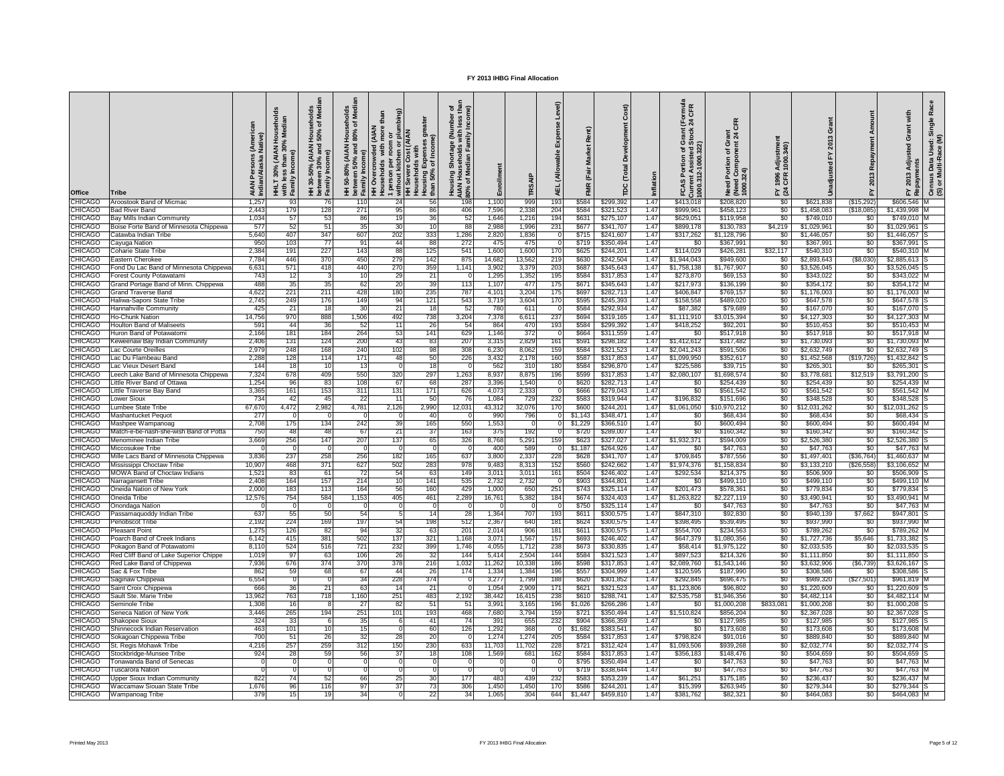| Office                           | Tribe                                                          | AIAN Persons (Americ<br>Indian/Alaska Native) | HHLT 30% (AIAN Househol<br>with less than 30% Median<br>Family Income) | Medi<br>৽<br>Househ<br>50% of<br>and<br>le)<br>(AIAN<br>HH 30-50%<br>between 30'<br>Family Inco | Households<br>180% of Media<br>l 50-80% (AIAN H<br>tween 50% and 8<br>between 50% an<br>Family Income)<br>Ξ | 1 person per room or<br>without kitchen or plumbing)<br>more<br>(AIAN<br>with<br>ouseholds<br>ó | great<br><b>NAIA)</b><br>Income)<br>with<br>Expense<br>ouseholds<br>lousing Exp<br>han 50% of l<br>than | ㅎ 픈<br>mber<br>less<br>Ē<br>Shortage<br>useholds<br>뤖<br>Medi<br>Housing<br>৳<br>10% | rollment<br>띹   | TRSA           | Level)<br>ex⊒<br>wable<br>š<br>AEI. |                    | Cost)<br>Development<br>Total<br>ë | nflation     | ormula<br>4 CFR<br>⊾ี ∡ี<br>Grant<br>Stock<br>'চ মু<br>Portion<br>Assis<br>Current As:<br>1000.312-10<br>CAS | CFR<br>듄 정<br>Need Portion of Gra<br>(Need Component 2)<br>1000.324) | Adjustmen<br>1000.340)<br>1996<br>CFR<br>≿ প্ৰ | ة<br>قا                    | Amount<br>Repayment<br>2013<br>고 | with<br>iant<br>ö<br>Adjusted<br>FY 2013 Adju<br>Repayments | Race<br>Census Data Used: Single<br>(S) or Multi-Race (M) |
|----------------------------------|----------------------------------------------------------------|-----------------------------------------------|------------------------------------------------------------------------|-------------------------------------------------------------------------------------------------|-------------------------------------------------------------------------------------------------------------|-------------------------------------------------------------------------------------------------|---------------------------------------------------------------------------------------------------------|--------------------------------------------------------------------------------------|-----------------|----------------|-------------------------------------|--------------------|------------------------------------|--------------|--------------------------------------------------------------------------------------------------------------|----------------------------------------------------------------------|------------------------------------------------|----------------------------|----------------------------------|-------------------------------------------------------------|-----------------------------------------------------------|
| CHICAGO                          | Aroostook Band of Micmac                                       | 1,257                                         | 9.                                                                     |                                                                                                 | 11                                                                                                          | 24                                                                                              | 56                                                                                                      | 198                                                                                  | 1,100           | 999            | 193                                 | \$584              | \$299,392                          | 1.47         | \$413,018                                                                                                    | \$208,820                                                            | \$0                                            | \$621,838                  | ( \$15,292)                      | \$606,546                                                   |                                                           |
| CHICAGO                          | <b>Bad River Band</b>                                          | 2.443                                         | 179                                                                    | 128                                                                                             | 271                                                                                                         | 95                                                                                              | 86                                                                                                      | 406                                                                                  | 7,596           | 2,338          | 204                                 | \$584              | \$321,523                          | 1.47         | \$999.961                                                                                                    | \$458,123                                                            | \$0                                            | \$1,458,083                | (S18,085)                        | \$1.439.998                                                 |                                                           |
| <b>CHICAGO</b><br><b>CHICAGO</b> | Bay Mills Indian Community                                     | 1,034<br>577                                  | 57<br>52                                                               | 53<br>51                                                                                        | 86<br>35                                                                                                    | 19<br>30                                                                                        | 36<br>10                                                                                                | 52<br>88                                                                             | 1.646<br>2,98   | 1,216<br>1,996 | 194<br>231                          | \$631<br>\$677     | \$275,107<br>\$341,707             | 1.47<br>1.47 | \$629.051<br>\$899,178                                                                                       | \$119,958<br>\$130,783                                               | \$0<br>\$4,219                                 | \$749,010<br>\$1,029,961   | SO.<br>\$0                       | \$749,010                                                   |                                                           |
| <b>CHICAGO</b>                   | Boise Forte Band of Minnesota Chippewa<br>Catawba Indian Tribe | 5,640                                         | 407                                                                    | 347                                                                                             | 607                                                                                                         | 202                                                                                             | 333                                                                                                     | 1,286                                                                                | 2,82            | 1,836          |                                     | \$715              | \$241,607                          | 1.4          | \$317,262                                                                                                    | \$1,128,796                                                          | \$0                                            | \$1,446,057                | \$0                              | \$1,029,961<br>\$1,446,057                                  |                                                           |
| CHICAGO                          | Cayuga Nation                                                  | 950                                           | 103                                                                    | 77                                                                                              | 91                                                                                                          | 44                                                                                              | 88                                                                                                      | 272                                                                                  | 475             | 475            |                                     | \$719              | \$350,494                          | 1.4          | SC.                                                                                                          | \$367,991                                                            | \$0                                            | \$367,991                  | \$0                              | \$367,991                                                   |                                                           |
| CHICAGO                          | Coharie State Tribe                                            | 2,384                                         | 191                                                                    | 227                                                                                             | 143                                                                                                         | 88                                                                                              | 125                                                                                                     | 541                                                                                  | 1,600           | 1,600          | 170                                 | \$625              | \$244,201                          | 1.4          | \$114,029                                                                                                    | \$426,281                                                            | \$32,117                                       | \$540,310                  | \$0                              | \$540,310                                                   |                                                           |
| <b>CHICAGO</b>                   | Eastern Cherokee                                               | 7,784                                         | 446                                                                    | 37C                                                                                             | 450                                                                                                         | 279                                                                                             | 142                                                                                                     | 875                                                                                  | 14,68           | 13,562         | 219                                 | \$630              | \$242,504                          | 1.4          | \$1,944,043                                                                                                  | \$949,600                                                            | \$0                                            | \$2,893,643                | (S8,030)                         | \$2,885,6                                                   |                                                           |
| <b>CHICAGO</b>                   | Fond Du Lac Band of Minnesota Chippewa                         | 6,63                                          | 571                                                                    | 418                                                                                             | 440                                                                                                         | 270                                                                                             | 359                                                                                                     | 1,14'                                                                                | 3,90            | 3,379          | 203                                 | \$687              | \$345,643                          | 1.4          | \$1,758,138                                                                                                  | \$1,767,907                                                          | \$0                                            | \$3,526,045                | \$0                              | \$3,526,045                                                 |                                                           |
| <b>CHICAGO</b>                   | Forest County Potawatami                                       | 743                                           | 12                                                                     |                                                                                                 | 10                                                                                                          | 29                                                                                              | 21                                                                                                      |                                                                                      | 1,29            | 1,352          | 195                                 | \$584              | \$317,853                          | 1.4          | \$273,870                                                                                                    | \$69,153                                                             | \$0                                            | \$343,022                  | \$0                              | \$343,022                                                   |                                                           |
| <b>CHICAGO</b><br><b>CHICAGO</b> | Grand Portage Band of Minn. Chippewa<br>Grand Traverse Band    | 488<br>4,622                                  | 35<br>221                                                              | 35<br>211                                                                                       | 62<br>428                                                                                                   | 20<br>180                                                                                       | 39<br>235                                                                                               | 113<br>78                                                                            | 1,107<br>4,10   | 477<br>3,204   | 175<br>175                          | \$671<br>\$697     | \$345,643<br>\$282,713             | 1.47<br>1.4  | \$217,973<br>\$406,847                                                                                       | \$136,199<br>\$769,157                                               | \$0<br>\$0                                     | \$354,172<br>\$1,176,003   | \$0<br>\$0                       | \$354,172<br>\$1,176,003                                    |                                                           |
| <b>CHICAGO</b>                   | Haliwa-Saponi State Tribe                                      | 2,745                                         | 249                                                                    | 176                                                                                             | 149                                                                                                         | 94                                                                                              | 121                                                                                                     | 543                                                                                  | 3,71            | 3,604          | 170                                 | \$595              | \$245,393                          | 1.4          | \$158,558                                                                                                    | \$489,020                                                            | \$0                                            | \$647,578                  | \$0                              | \$647,578                                                   |                                                           |
| <b>CHICAGO</b>                   | Iannahville Community                                          | 425                                           | 21                                                                     |                                                                                                 | 30                                                                                                          | 21                                                                                              |                                                                                                         | 52                                                                                   | 78              | 611            |                                     | \$584              | \$292,934                          | 1.4          | \$87,382                                                                                                     | \$79,689                                                             | \$0                                            | \$167,070                  | \$0                              | \$167,070                                                   |                                                           |
| <b>CHICAGO</b>                   | <b>Ho-Chunk Nation</b>                                         | 14,756                                        | 970                                                                    | 888                                                                                             | 1,506                                                                                                       | 492                                                                                             | 738                                                                                                     | 3,204                                                                                | 7,37            | 6,611          | 237                                 | \$694              | \$319,165                          | 1.4          | \$1,111,910                                                                                                  | \$3,015,394                                                          | \$0                                            | \$4,127,303                | \$0                              | \$4,127,303                                                 |                                                           |
| <b>CHICAGO</b>                   | Houlton Band of Maliseets                                      | 59'                                           | 44                                                                     | 36                                                                                              | 52                                                                                                          | 11                                                                                              | 26                                                                                                      | 54                                                                                   | 86              | 470            | 193                                 | \$584              | \$299,392                          | 1.4          | \$418,252                                                                                                    | \$92,201                                                             | \$0                                            | \$510,453                  | \$0                              | \$510,453                                                   |                                                           |
| <b>CHICAGO</b>                   | Huron Band of Potawatom                                        | 2,166                                         | 181                                                                    | 184                                                                                             | 264                                                                                                         | 53                                                                                              | 141                                                                                                     | 629                                                                                  | 1,140           | 372            |                                     | \$664              | \$311,559                          | 1.4          |                                                                                                              | \$517,91                                                             | \$0                                            | \$517,91                   | \$0                              | \$517,91                                                    |                                                           |
| <b>CHICAGO</b>                   | Geweenaw Bay Indian Community                                  | 2,406                                         | 131                                                                    | 124                                                                                             | 200                                                                                                         | 43                                                                                              | 83                                                                                                      | 207                                                                                  | 3,31!           | 2,829          | 161                                 | \$591              | \$298,182                          | 1.4          | \$1,412,612                                                                                                  | \$317,482                                                            | \$0                                            | \$1,730,093                | \$0                              | \$1,730,093                                                 |                                                           |
| <b>CHICAGO</b><br><b>CHICAGO</b> | .ac Courte Oreilles<br>.ac Du Flambeau Band                    | 2,979<br>2,288                                | 248<br>128                                                             | 168<br>114                                                                                      | 240<br>171                                                                                                  | 102<br>48                                                                                       | 98<br>50                                                                                                | 308<br>226                                                                           | 6,23<br>3,43    | 8,062<br>2,178 | 159<br>160                          | \$584<br>\$587     | \$321,523<br>\$317,853             | 1.4<br>1.4   | \$2,041,243<br>\$1,099,950                                                                                   | \$591,506<br>\$352,61                                                | \$0<br>\$0                                     | \$2,632,749<br>\$1,452,568 | \$0<br>(\$19,726                 | \$2,632,749<br>\$1,432,842                                  |                                                           |
| <b>CHICAGO</b>                   | ac Vieux Desert Band.                                          | 144                                           |                                                                        |                                                                                                 |                                                                                                             |                                                                                                 |                                                                                                         |                                                                                      | 56              | 310            | 180                                 | \$584              | \$296,870                          | 1.4          | \$225,586                                                                                                    | \$39,715                                                             | \$0                                            | \$265,30                   | \$0                              | \$265,301                                                   |                                                           |
| CHICAGO                          | eech Lake Band of Minnesota Chippewa.                          | 7,324                                         | 678                                                                    | 409                                                                                             | 550                                                                                                         | 320                                                                                             | 297                                                                                                     | 1,263                                                                                | 8,937           | 8,875          | 196                                 | \$599              | \$317,853                          | 1.47         | \$2,080,107                                                                                                  | \$1,698,574                                                          | \$0                                            | \$3,778,681                | \$12,519                         | \$3,791,200                                                 |                                                           |
| <b>CHICAGO</b>                   | Little River Band of Ottawa                                    | 1,254                                         | 96                                                                     | 83                                                                                              | 108                                                                                                         | 67                                                                                              | 68                                                                                                      | 287                                                                                  | 3,396           | 1,540          |                                     | \$620              | \$282,713                          | 1.4          | S0                                                                                                           | \$254,439                                                            | \$0                                            | \$254,439                  | \$0                              | \$254,439                                                   |                                                           |
| CHICAGO                          | ittle Traverse Bay Band.                                       | 3,365                                         | 161                                                                    | 153                                                                                             | 311                                                                                                         | 131                                                                                             | 171                                                                                                     | 626                                                                                  | 4,07            | 2,333          |                                     | \$666              | \$279,043                          | 1.4          | \$0                                                                                                          | \$561,542                                                            | \$0                                            | \$561,542                  | \$0                              | \$561,542                                                   |                                                           |
| <b>CHICAGO</b>                   | ower Sioux.                                                    | 734                                           | 42                                                                     | 45                                                                                              | 22                                                                                                          | 11                                                                                              | 50                                                                                                      | 76                                                                                   | 1,08            | 729            | 232                                 | \$583              | \$319,944                          | 1.47         | \$196,832                                                                                                    | \$151,696                                                            | \$0                                            | \$348,528                  | \$0                              | \$348,528                                                   |                                                           |
| <b>CHICAGO</b><br><b>CHICAGO</b> | umbee State Tribe                                              | 67,670                                        | 4,472                                                                  | 2,982                                                                                           | 4,781                                                                                                       | 2,126                                                                                           | 2,990                                                                                                   | 12,031                                                                               | 43,312          | 32,076         | 170                                 | \$600              | \$244,201                          | 1.47         | \$1,061,050                                                                                                  | \$10,970,212                                                         | \$0                                            | 312,031,262                | \$0                              | \$12,031,262                                                |                                                           |
| CHICAGO                          | Mashantucket Pequot<br>Mashpee Wampanoag                       | 277<br>2,708                                  | 175                                                                    | 134                                                                                             | 242                                                                                                         | 39                                                                                              | 40<br>165                                                                                               | 550                                                                                  | 990<br>1,55     | 796            |                                     | \$1,143<br>\$1,229 | \$348,471<br>\$366,510             | 1.47<br>1.4  | SC<br>\$0                                                                                                    | \$68,434<br>\$600,494                                                | \$0<br>\$0                                     | \$68,434<br>\$600,494      | \$0<br>\$0                       | \$68,434<br>\$600,494                                       |                                                           |
| CHICAGO                          | Aatch-e-be-nash-she-wish Band of Potta                         | 750                                           | 48                                                                     | 48                                                                                              | 67                                                                                                          | 21                                                                                              | 37                                                                                                      | 163                                                                                  | 375             | 192            |                                     | \$720              | \$289,007                          | 1.4          | \$0                                                                                                          | \$160,342                                                            | \$0                                            | \$160,342                  | \$0                              | \$160,342                                                   |                                                           |
| CHICAGO                          | Aenominee Indian Tribe                                         | 3,669                                         | 256                                                                    | 147                                                                                             | 207                                                                                                         | 137                                                                                             | 65                                                                                                      | 326                                                                                  | 8,768           | 5,291          | 15S                                 | \$623              | \$327,027                          | 1.47         | \$1,932,371                                                                                                  | \$594,009                                                            | \$0                                            | \$2,526,380                | \$0                              | \$2,526,380                                                 |                                                           |
| CHICAGO                          | <i>A</i> iccosukee Tribe                                       |                                               |                                                                        |                                                                                                 |                                                                                                             |                                                                                                 |                                                                                                         |                                                                                      | 400             | 589            |                                     | \$1,187            | \$264,926                          | 1.4          | SC.                                                                                                          | \$47,763                                                             | \$0                                            | \$47,763                   | \$0                              | \$47,763                                                    |                                                           |
| CHICAGO                          | <b>Mille Lacs Band of Minnesota Chippewa</b>                   | 3,836                                         | 237                                                                    | 258                                                                                             | 256                                                                                                         | 182                                                                                             | 165                                                                                                     | 637                                                                                  | 3,800           | 2,337          | 228                                 | \$628              | \$341,707                          | 1.47         | \$709,845                                                                                                    | \$787,556                                                            | \$0                                            | \$1,497,401                | (\$36,764)                       | \$1,460,637                                                 |                                                           |
| CHICAGO                          | Aississippi Choctaw Tribe                                      | 10,907                                        | 468                                                                    | 371                                                                                             | 627                                                                                                         | 502                                                                                             | 283                                                                                                     | 978                                                                                  | 9,483           | 8,313          | 152                                 | \$560              | \$242,662                          | 1.47         | \$1,974,376                                                                                                  | \$1,158,834                                                          | \$0                                            | \$3,133,210                | (\$26,558                        | \$3,106,65                                                  |                                                           |
| CHICAGO<br>CHICAGO               | <b>MOWA Band of Choctaw Indians</b><br>Varragansett Tribe      | 1.52<br>2,40                                  | 83<br>164                                                              | 61<br>157                                                                                       | 72<br>214                                                                                                   | 54<br>10                                                                                        | 63<br>141                                                                                               | 149<br>535                                                                           | 3,01            | 3,01           | 161                                 | \$504<br>\$903     | \$246,402<br>\$344,801             | 1.4<br>1.4   | \$292,534                                                                                                    | \$214.375<br>\$499,110                                               | \$0<br>\$0                                     | \$506,909<br>\$499,110     | \$0<br>\$0                       | \$506,909<br>\$499,110                                      |                                                           |
| CHICAGO                          | Oneida Nation of New York                                      | 2.00                                          | 183                                                                    | 113                                                                                             | 164                                                                                                         | 56                                                                                              | 160                                                                                                     | 429                                                                                  | 2,73<br>1.00    | 2,732<br>650   | 251                                 | \$743              | \$325,114                          | 1.47         | \$C<br>\$201.473                                                                                             | \$578,361                                                            | \$0                                            | \$779,834                  | SO.                              | \$779.834                                                   |                                                           |
| CHICAGO                          | Oneida Tribe                                                   | 12,576                                        | 754                                                                    | 584                                                                                             | 1,153                                                                                                       | 405                                                                                             | 461                                                                                                     | 2,289                                                                                | 16,761          | 5,382          | 184                                 | \$674              | \$324,403                          | 1.47         | \$1,263,822                                                                                                  | \$2,227,119                                                          | \$0                                            | \$3,490,941                | \$0                              | \$3.490.941                                                 |                                                           |
| <b>HICAGO</b>                    | Dnondaga Nation                                                |                                               | $\Omega$                                                               |                                                                                                 |                                                                                                             | $\overline{0}$                                                                                  |                                                                                                         |                                                                                      |                 |                |                                     | \$750              | \$325,114                          | 1.47         | SC                                                                                                           | \$47,763                                                             | \$0                                            | \$47,763                   | \$0                              | \$47,763                                                    |                                                           |
| CHICAGO                          | Passamaquoddy Indian Tribe                                     | 637                                           | 55                                                                     | 50                                                                                              | 54                                                                                                          | -5                                                                                              | 14                                                                                                      | 28                                                                                   | 1,364           | 707            | 193                                 | \$611              | \$300,575                          | 1.47         | \$847,310                                                                                                    | \$92,830                                                             | \$0                                            | \$940,139                  | \$7,662                          | \$947,801                                                   |                                                           |
| <b>CHICAGO</b>                   | Penobscot Tribe                                                | 2,192                                         | 224                                                                    | 169                                                                                             | 197                                                                                                         | 54                                                                                              | 198                                                                                                     | 512                                                                                  | 2,367           | 640            | 181                                 | \$624              | \$300,575                          | 1.4          | \$398.495                                                                                                    | \$539,495                                                            | \$0                                            | \$937,990                  | \$0                              | \$937,990                                                   |                                                           |
| CHICAGO<br>CHICAGO               | Pleasant Point                                                 | 1.275<br>6.142                                | 126<br>415                                                             | 82<br>381                                                                                       | 94<br>502                                                                                                   | 32<br>137                                                                                       | 63<br>321                                                                                               | 201<br>1.168                                                                         | 2,014<br>3,07   | 906<br>1,567   | 181<br>157                          | \$611<br>\$693     | \$300,575                          | 1.4<br>1.4   | \$554,700<br>\$647,379                                                                                       | \$234,563<br>\$1,080,356                                             | \$0<br>\$0                                     | \$789,262<br>\$1,727,736   | \$0<br>\$5.646                   | \$789.262                                                   |                                                           |
| CHICAGO                          | Poarch Band of Creek Indians<br>Pokagon Band of Potawatomi     | 8,110                                         | 524                                                                    | 516                                                                                             | 721                                                                                                         | 232                                                                                             | 399                                                                                                     | 1,746                                                                                | 4,05            | 1,712          | 238                                 | \$673              | \$246,402<br>\$330,835             | 1.47         | \$58,414                                                                                                     | \$1,975,122                                                          | \$0                                            | \$2,033,535                | \$0                              | \$1,733,382<br>\$2,033,535                                  |                                                           |
| CHICAGO                          | Red Cliff Band of Lake Superior Chippe                         | 1,019                                         | 97                                                                     | 63                                                                                              | 106                                                                                                         | 26                                                                                              | 32                                                                                                      | 144                                                                                  | 5,414           | 2,504          | 144                                 | \$584              | \$321,523                          | 1.47         | \$897,523                                                                                                    | \$214,326                                                            | \$0                                            | \$1,111,850                | \$0                              | \$1,111,850                                                 |                                                           |
| CHICAGO                          | Red Lake Band of Chippewa                                      | 7,936                                         | 676                                                                    | 374                                                                                             | 370                                                                                                         | 378                                                                                             | 216                                                                                                     | 1,032                                                                                | 11,262          | 10,338         | 186                                 | \$598              | \$317,853                          | 1.47         | \$2,089,760                                                                                                  | \$1,543,146                                                          | \$0                                            | \$3,632,906                | S6.739                           | \$3,626,167                                                 |                                                           |
| CHICAGO                          | Sac & Fox Tribe                                                | 862                                           | 59                                                                     | 68                                                                                              | 67                                                                                                          | 44                                                                                              | 26                                                                                                      | 174                                                                                  | 1,33            | 1,384          | 196                                 | \$557              | \$304,999                          | 1.47         | \$120,595                                                                                                    | \$187,990                                                            | \$0                                            | \$308,586                  | \$0                              | \$308,586                                                   |                                                           |
| CHICAGO                          | Saginaw Chippewa                                               | 6,554                                         |                                                                        |                                                                                                 | 34                                                                                                          | 228                                                                                             | 374                                                                                                     |                                                                                      | 3,27            | 1,799          | 188                                 | \$620              | \$301,852                          | 1.47         | \$292,845                                                                                                    | \$696,475                                                            | \$0                                            | \$989,320                  | \$27,501                         | \$961.819                                                   |                                                           |
| CHICAGO<br>CHICAGO               | Saint Croix Chippewa<br>Sault Ste. Marie Tribe                 | 666<br>13,962                                 | 36<br>763                                                              | 21<br>718                                                                                       | 63<br>1,160                                                                                                 | 14<br>251                                                                                       | 21<br>483                                                                                               |                                                                                      | 1,054<br>38,442 | 2,909          | 171<br>238                          | \$621<br>\$610     | \$321,523                          | 1.47<br>1.47 | \$1,123,806<br>\$2,535,758                                                                                   | \$96,802<br>\$1,946,356                                              | \$0<br>\$0                                     | \$1,220,609<br>\$4,482,114 | \$0<br>\$0                       | \$1.220.609                                                 |                                                           |
| <b>CHICAGO</b>                   | Seminole Tribe                                                 | 1.30 <sub>i</sub>                             | 16                                                                     |                                                                                                 | 27                                                                                                          | 82                                                                                              | 51                                                                                                      | 2,192<br>51                                                                          | 3,99            | 16,415         | 196                                 | \$1,026            | \$288,741<br>\$266,286             | 1.4          | \$0                                                                                                          |                                                                      |                                                | \$1,000,208                | \$0                              | \$4,482,114<br>\$1,000.208                                  |                                                           |
| <b>CHICAGO</b>                   | Seneca Nation of New York                                      | 3.446                                         | 265                                                                    | 194                                                                                             | 251                                                                                                         | 101                                                                                             | 193                                                                                                     | 468                                                                                  | 7,680           | 3,165<br>3,794 | 159                                 | \$721              | \$350,494                          | 1.47         | \$1,510,824                                                                                                  | \$1,000,208<br>\$856,204                                             | \$833,081<br>\$0                               | \$2,367,028                | \$0                              | \$2,367,028                                                 |                                                           |
| CHICAGO                          | Shakopee Sioux                                                 | 324                                           | 33                                                                     |                                                                                                 | 35                                                                                                          |                                                                                                 | 41                                                                                                      | 74                                                                                   | 39'             | 655            | 232                                 | \$904              | \$366,359                          | 1.47         | \$0                                                                                                          | \$127,985                                                            | \$0                                            | \$127,985                  | \$0                              | \$127,985                                                   |                                                           |
| CHICAGO                          | Shinnecock Indian Reservation                                  | 463                                           | 101                                                                    | 10                                                                                              | 15                                                                                                          |                                                                                                 | 60                                                                                                      | 126                                                                                  | 1,292           | 368            |                                     | \$1,682            | \$383,541                          | 1.47         | \$0                                                                                                          | \$173,608                                                            | \$0                                            | \$173,608                  | \$0                              | \$173,608                                                   |                                                           |
| <b>CHICAGO</b>                   | Sokagoan Chippewa Tribe                                        | 700                                           | 51                                                                     | 26                                                                                              | 32                                                                                                          | 28                                                                                              | 20                                                                                                      |                                                                                      | 1,27            | 1,274          | 205                                 | \$584              | \$317,853                          | 1.4          | \$798,824                                                                                                    | \$91,016                                                             | \$0                                            | \$889,840                  | \$0                              | \$889,840                                                   |                                                           |
| <b>CHICAGO</b>                   | St. Regis Mohawk Tribe                                         | 4,216                                         | 257                                                                    | 259                                                                                             | 312                                                                                                         | 150                                                                                             | 230                                                                                                     | 633                                                                                  | 11,70           | 11,702         | 228                                 | \$721              | \$312,424                          | 1.47         | \$1,093,506                                                                                                  | \$939,268                                                            | \$0                                            | \$2,032,774                | \$0                              | \$2,032,774                                                 |                                                           |
| <b>CHICAGO</b><br><b>CHICAGO</b> | Stockbridge-Munsee Tribe                                       | 924                                           | 28                                                                     | 59                                                                                              | 56                                                                                                          | 37                                                                                              |                                                                                                         | 108                                                                                  | 1,569           | 681            | 162                                 | \$584<br>\$795     | \$317,853<br>\$350,494             | 1.47<br>1.47 | \$356,183<br>\$0                                                                                             | \$148,476<br>\$47,763                                                | \$0<br>\$0                                     | \$504,659<br>\$47,763      | \$0<br>\$0                       | \$504,659<br>\$47,763                                       |                                                           |
| <b>CHICAGO</b>                   | "onawanda Band of Senecas<br><sup>r</sup> uscarora Nation      |                                               |                                                                        |                                                                                                 |                                                                                                             | $\circ$                                                                                         |                                                                                                         |                                                                                      |                 |                |                                     | \$719              | \$338,644                          | 1.47         | \$0                                                                                                          | \$47,763                                                             | \$0                                            | \$47,763                   | \$0                              | \$47,763                                                    |                                                           |
| <b>CHICAGO</b>                   | Jpper Sioux Indian Community                                   | 822                                           | 74                                                                     | 52                                                                                              | 66                                                                                                          | 25                                                                                              | 30                                                                                                      | 177                                                                                  | 483             | 439            | 232                                 | \$583              | \$353,239                          | 1.4          | \$61,251                                                                                                     | \$175,185                                                            | \$0                                            | \$236,437                  | \$0                              | \$236,437                                                   |                                                           |
| <b>CHICAGO</b>                   | Waccamaw Siouan State Tribe                                    | 1,676                                         | 96                                                                     | 116                                                                                             | 97                                                                                                          | 37                                                                                              | 73                                                                                                      | 306                                                                                  | 1,450           | 1,450          | 170                                 | \$586              | \$244,201                          | 1.47         | \$15,399                                                                                                     | \$263,945                                                            | \$0                                            | \$279,344                  | \$0                              | \$279,344                                                   |                                                           |
| <b>CHICAGO</b>                   | Wampanoag Tribe                                                | 379                                           | 15                                                                     | 19                                                                                              | 34                                                                                                          |                                                                                                 | 22                                                                                                      | 34                                                                                   | 1,065           | 304            | 644                                 | \$1,447            | \$459,810                          | 1.47         | \$381,762                                                                                                    | \$82,321                                                             | \$0                                            | \$464,083                  | \$0                              | \$464,083 M                                                 |                                                           |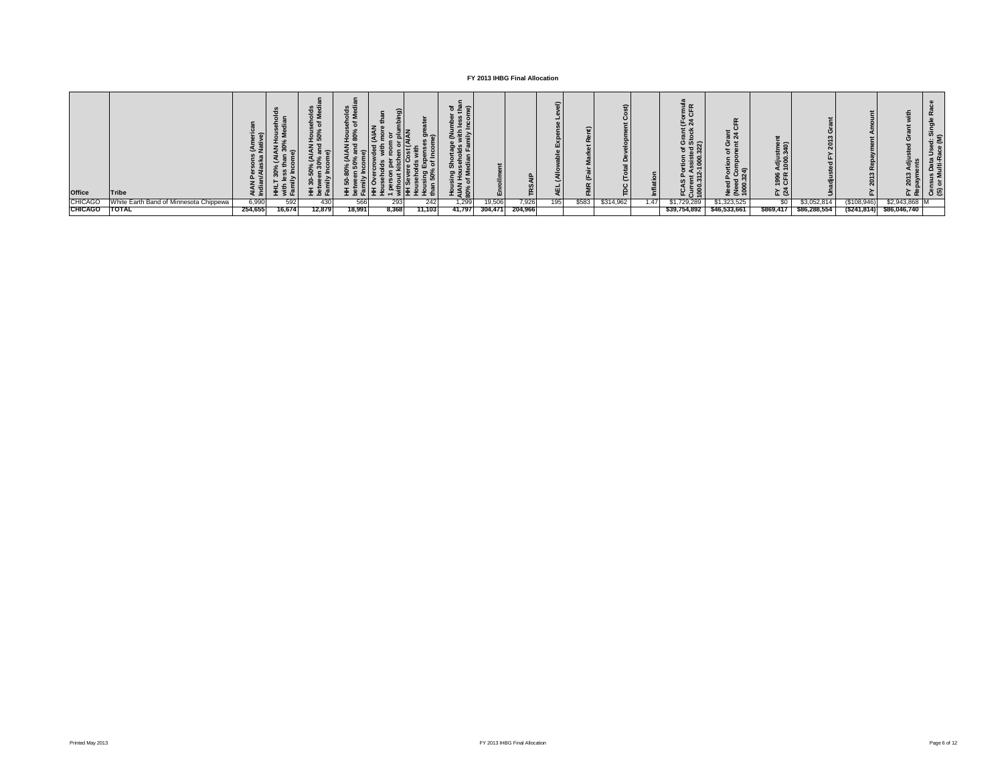| Office         | Tribe                            |         | 工多证    | $\circ$<br>ᆂᄚᄠ | ᆂᄚᄪ    | エ ェ <sub>マ</sub> - 3   エ エ | ಠಾ⇔    | ≐<br>τ.<br>ு<br>$-$ d $\overline{m}$ | ш       |         | $\Rightarrow$ |       |           |      | ن ج<br>ပေ ဟ<br>ລີ<br>≝ 공호 | ant<br>24 Cl<br>すき<br>ិ =<br>rtion<br>amno<br>ու<br>ಕ<br>불혼유 | ≗ ခ<br>$\frac{3}{9}$ 8<br>1996<br>CFR<br>도진 | $\sim$<br>≏<br>$\sim$ | $\sim$<br>e | Ĺκ            | ທ —<br>ලී ගු |
|----------------|----------------------------------|---------|--------|----------------|--------|----------------------------|--------|--------------------------------------|---------|---------|---------------|-------|-----------|------|---------------------------|--------------------------------------------------------------|---------------------------------------------|-----------------------|-------------|---------------|--------------|
| <b>CHICAGO</b> | Earth Band of Minnesota Chippewa | 6,990   | 592    | 430            | 566    | 293                        | 242    | 1,299                                | 19,506  | 7,926   | 195           | \$583 | \$314,962 | 1.47 | \$1,729,289               | \$1,323,525                                                  | \$0                                         | \$3,052,814           | (\$108,946) | \$2,943,868 M |              |
| <b>CHICAGO</b> | <b>TOTAL</b>                     | 254,655 | 16,674 | 12,879         | 18,991 | 8,368                      | 11,103 | 41,797                               | 304,471 | 204,966 |               |       |           |      | \$39,754,892              | \$46,533,661                                                 | \$869,417                                   | \$86,288,554          | (\$241,814) | \$86,046,740  |              |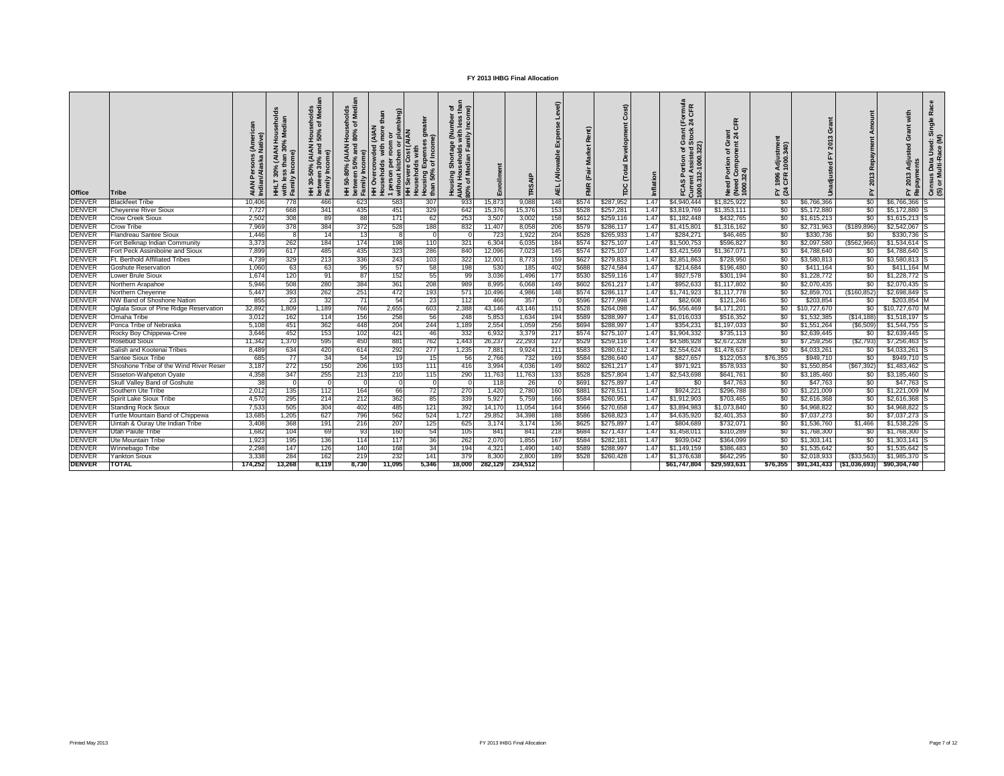| Office        | <b>Tribe</b>                           | : (Ameri<br>Native)<br>Indian/Alaska<br><b>AIAN</b> | 30% (AIAN Household<br>Medi<br>than 3<br>come)<br>£<br>HHLT 30%<br>with less<br>Family Inc | olds<br>Medi<br>ৢ<br>운 용<br><b>AIAN</b><br>등<br>30-50°<br>드<br>HH 30-5<br>betwee<br>Family | Median<br>ᅙ<br>Househ<br>80% of l<br>and<br>(AIAN<br>HH 50-80% (AIAI<br>between 50% an<br>Family Income) | plumbing)<br>more<br>(AIAN<br>HH Overcrowded (AIAN<br>1 person per room or<br>1 person per room or<br>1 without kitchen or plum<br>HH Severe Cost (AIAN | than 50% of Income)<br>than 50% of Income)<br>ouseholds<br>I. | $\epsilon$<br>ិ ក្ន<br>Income)<br>웉<br>٤<br>Family<br>Shortage<br>edian<br><b>Do</b><br>Σ<br>৳<br>gno<br>Hous<br>AIAN<br>80% | 틀<br>흹  |         | Tel)<br>ă<br>(Alloy<br>뭅 |              | È         | $\circ$ | (Formula<br>24 CFR<br>Grant<br>Stock<br>৳<br>ូន<br>ខេ<br>$2-1$<br>Current<br>1000.312<br>$\omega$<br>ပ္ပ | ত<br>೯ ಇ<br>Ō<br>৳<br>Need Portion<br>(Need Compor<br>1000.324) | ⊭<br>Adjustmer<br>1000.340)<br>1996<br>CFR<br>$E \geq 3$ |              |                                             | with<br>ö<br>sted<br>Adju<br>2013<br>로 중 | œ<br>Census Data Used: Single<br>(S) or Multi-Race (M) |
|---------------|----------------------------------------|-----------------------------------------------------|--------------------------------------------------------------------------------------------|--------------------------------------------------------------------------------------------|----------------------------------------------------------------------------------------------------------|---------------------------------------------------------------------------------------------------------------------------------------------------------|---------------------------------------------------------------|------------------------------------------------------------------------------------------------------------------------------|---------|---------|--------------------------|--------------|-----------|---------|----------------------------------------------------------------------------------------------------------|-----------------------------------------------------------------|----------------------------------------------------------|--------------|---------------------------------------------|------------------------------------------|--------------------------------------------------------|
| <b>DENVEF</b> | Blackfeet Tribe                        | 10,406                                              | 778                                                                                        | 466                                                                                        | 623                                                                                                      | 583                                                                                                                                                     | 307                                                           | 933                                                                                                                          | 15,873  | 9,088   | 148                      | \$574        | \$287,952 | 1.47    | \$4,940,444                                                                                              | \$1,825,922                                                     | \$0                                                      | \$6,766,366  | $\$0$                                       | \$6,766,366                              |                                                        |
| <b>DENVER</b> | <b>Cheyenne River Sioux</b>            | 7,727                                               | 668                                                                                        | 341                                                                                        | 435                                                                                                      | 451                                                                                                                                                     | 329                                                           | 642                                                                                                                          | 15,376  | 15,376  | 153                      | \$528        | \$257,281 | 1.47    | \$3,819,769                                                                                              | \$1,353,111                                                     | \$0                                                      | \$5,172,880  | $\$0$                                       | \$5,172,880                              |                                                        |
| <b>DENVER</b> | <b>Crow Creek Sioux</b>                | 2,502                                               | 308                                                                                        | 89                                                                                         | 88                                                                                                       | 171                                                                                                                                                     | 62                                                            | 253                                                                                                                          | 3,507   | 3,002   | 158                      | \$612        | \$259,116 | 1.47    | \$1,182,448                                                                                              | \$432,765                                                       | \$0                                                      | \$1,615,213  | \$0                                         | \$1,615,213                              |                                                        |
| <b>DENVER</b> | Crow Tribe                             | 7,969                                               | 378                                                                                        | 384                                                                                        | 372                                                                                                      | 528                                                                                                                                                     | 188                                                           | 832                                                                                                                          | 11,407  | 8,058   | 206                      | \$579        | \$286,117 | 1.47    | \$1,415,801                                                                                              | \$1,316,162                                                     | \$0                                                      | \$2,731,963  | (S189, 896)                                 | \$2,542,067                              |                                                        |
| <b>DENVER</b> | Flandreau Santee Sioux                 | 1.446                                               |                                                                                            | 14                                                                                         | 13                                                                                                       |                                                                                                                                                         |                                                               |                                                                                                                              | 723     | 1,922   | 204                      | \$528        | \$265,933 | 1.47    | \$284,27                                                                                                 | \$46,465                                                        | \$0                                                      | \$330,736    | \$0                                         | \$330,736                                |                                                        |
| <b>DENVER</b> | Fort Belknap Indian Community          | 3,373                                               | 262                                                                                        | 184                                                                                        | 174                                                                                                      | 198                                                                                                                                                     | 110                                                           | 321                                                                                                                          | 6,304   | 6,035   | 184                      | \$574        | \$275,107 | 1.47    | \$1,500,753                                                                                              | \$596,827                                                       | \$0                                                      | \$2,097,580  | (S562,966)                                  | \$1,534,614                              |                                                        |
| <b>DENVER</b> | Fort Peck Assiniboine and Sioux        | 7,899                                               | 617                                                                                        | 485                                                                                        | 435                                                                                                      | 323                                                                                                                                                     | 286                                                           | 840                                                                                                                          | 12,096  | 7,023   | 145                      | \$574        | \$275,107 | 1.47    | \$3,421,569                                                                                              | \$1,367,07                                                      | \$0                                                      | \$4,788,640  | \$0                                         | \$4,788,640                              |                                                        |
| <b>DENVER</b> | Ft. Berthold Affiliated Tribes         | 4,739                                               | 329                                                                                        | 213                                                                                        | 336                                                                                                      | 243                                                                                                                                                     | 103                                                           | 322                                                                                                                          | 12,001  | 8,773   | 159                      | \$627        | \$279,833 | 1.47    | \$2,851,863                                                                                              | \$728,950                                                       | \$0                                                      | \$3,580,813  | \$0                                         | \$3,580,813                              |                                                        |
| <b>DENVER</b> | Goshute Reservation                    | 1,060                                               | 63                                                                                         | 63                                                                                         | 95                                                                                                       | 57                                                                                                                                                      | 58                                                            | 198                                                                                                                          | 530     | 185     | 402                      | \$688        | \$274,584 | 1.47    | \$214,684                                                                                                | \$196,480                                                       | \$0                                                      | \$411,164    | \$0                                         | \$411,164 M                              |                                                        |
| <b>DENVER</b> | Lower Brule Sioux                      | 1,674                                               | 120                                                                                        | 91                                                                                         | 87                                                                                                       | 152                                                                                                                                                     | 55                                                            | 99                                                                                                                           | 3,036   | 1,496   | 177                      | \$530        | \$259,116 | 1.47    | \$927,578                                                                                                | \$301,194                                                       | \$0                                                      | \$1,228,772  | \$0                                         | \$1,228,772                              |                                                        |
| <b>DENVER</b> | Northern Arapahoe                      | 5,946                                               | 508                                                                                        | 280                                                                                        | 384                                                                                                      | 361                                                                                                                                                     | 208                                                           | 989                                                                                                                          | 8,995   | 6.068   | 149                      | \$602        | \$261,217 | 1.47    | \$952,633                                                                                                | \$1,117,802                                                     | \$0                                                      | \$2.070.435  | \$0                                         | \$2,070,435                              |                                                        |
| <b>DENVER</b> | Northern Cheyenne                      | 5.447                                               | 393                                                                                        | 262                                                                                        | 251                                                                                                      | 472                                                                                                                                                     | 193                                                           | 571                                                                                                                          | 10,496  | 4,986   | 148                      | \$574        | \$286,117 | 1.47    | \$1,741,923                                                                                              | \$1,117,778                                                     | \$0                                                      | \$2,859,701  | (S160, 852)                                 | \$2,698,849                              |                                                        |
| <b>DENVER</b> | NW Band of Shoshone Nation             | 855                                                 | 23                                                                                         | 32                                                                                         | 71                                                                                                       | 54                                                                                                                                                      | 23                                                            | 112                                                                                                                          | 466     | 357     |                          | \$596        | \$277,998 | 1.47    | \$82,608                                                                                                 | \$121,246                                                       | \$0                                                      | \$203,854    | \$0                                         | \$203,854                                |                                                        |
| <b>DENVER</b> | Oglala Sioux of Pine Ridge Reservation | 32,892                                              | 1,809                                                                                      | 1,189                                                                                      | 766                                                                                                      | 2,655                                                                                                                                                   | 603                                                           | 2,388                                                                                                                        | 43,146  | 43,146  | 151                      | \$528        | \$264,098 | 1.47    | \$6,556,469                                                                                              | \$4,171,201                                                     | \$0                                                      | \$10,727,670 | \$0                                         | \$10,727,670 M                           |                                                        |
| <b>DENVER</b> | Omaha Tribe                            | 3,012                                               | 162                                                                                        | 114                                                                                        | 156                                                                                                      | 258                                                                                                                                                     | 56                                                            | 248                                                                                                                          | 5,853   | 1,634   | 194                      | \$589        | \$288,997 | 1.47    | \$1,016,033                                                                                              | \$516,352                                                       | \$0                                                      | \$1,532,385  | (\$14,188)                                  | \$1,518,197                              |                                                        |
| <b>DENVER</b> | Ponca Tribe of Nebraska                | 5,108                                               | 451                                                                                        | 362                                                                                        | 448                                                                                                      | 204                                                                                                                                                     | 244                                                           | 1,189                                                                                                                        | 2,554   | 1,059   | 256                      | \$694        | \$288,997 | 1.47    | \$354,23                                                                                                 | \$1,197,033                                                     | \$0                                                      | \$1,551,264  | (\$6,509                                    | \$1,544,755                              |                                                        |
| <b>DENVER</b> | Rocky Boy Chippewa-Cree                | 3.646                                               | 452                                                                                        | 153                                                                                        | 102                                                                                                      | 421                                                                                                                                                     | 46                                                            | 332                                                                                                                          | 6.932   | 3,379   | 217                      | \$57         | \$275,107 | 1.47    | \$1,904,332                                                                                              | \$735,113                                                       | \$0                                                      | \$2,639,445  | SO.                                         | \$2,639,445                              |                                                        |
| <b>DENVER</b> | Rosebud Sioux                          | 11,342                                              | 1,370                                                                                      | 595                                                                                        | 450                                                                                                      | 881                                                                                                                                                     | 762                                                           | 1,443                                                                                                                        | 26,237  | 22,293  | 127                      | \$529        | \$259,116 | 1.4     | \$4,586,928                                                                                              | \$2,672,328                                                     | \$0                                                      | \$7,259,256  | (S2, 793)                                   | \$7,256,463                              |                                                        |
| <b>DENVER</b> | Salish and Kootenai Tribes             | 8,489                                               | 634                                                                                        | 420                                                                                        | 614                                                                                                      | 292                                                                                                                                                     | 277                                                           | 1,235                                                                                                                        | 7,881   | 9,924   | 211                      | \$583        | \$280,612 | 1.47    | \$2,554,624                                                                                              | \$1,478,637                                                     | \$0                                                      | \$4,033,261  | \$0                                         | \$4,033,261                              |                                                        |
| <b>DENVER</b> | Santee Sioux Tribe                     | 685                                                 | 77                                                                                         | 34                                                                                         | 54                                                                                                       | 19                                                                                                                                                      | 15                                                            | 56                                                                                                                           | 2,766   | 732     | 169                      | \$584        | \$286,640 | 1.47    | \$827,657                                                                                                | \$122,053                                                       | \$76,355                                                 | \$949,710    | \$0                                         | \$949,710                                |                                                        |
| <b>DENVER</b> | Shoshone Tribe of the Wind River Reser | 3,187                                               | 272                                                                                        | 150                                                                                        | 206                                                                                                      | 193                                                                                                                                                     | 111                                                           | 416                                                                                                                          | 3,994   | 4,036   | 149                      | \$602        | \$261,217 | 1.47    | \$971,921                                                                                                | \$578,933                                                       | \$0                                                      | \$1,550,854  | (\$67,392)                                  | \$1,483,462                              |                                                        |
| <b>DENVER</b> | Sisseton-Wahpeton Oyate                | 4,358                                               | 347                                                                                        | 255                                                                                        | 213                                                                                                      | 210                                                                                                                                                     | 115                                                           | 290                                                                                                                          | 11,763  | 11,763  | 133                      | \$528        | \$257,804 | 1.47    | \$2,543,698                                                                                              | \$641,761                                                       | \$0                                                      | \$3,185,460  | $\$0$                                       | \$3,185,460                              |                                                        |
| <b>DENVER</b> | Skull Valley Band of Goshute           | 38                                                  |                                                                                            | $\Omega$                                                                                   |                                                                                                          |                                                                                                                                                         |                                                               |                                                                                                                              | 118     | 26      |                          | \$69         | \$275,897 | 1.47    | \$0                                                                                                      | \$47,763                                                        | \$0                                                      | \$47,763     | \$0                                         | \$47,763 S                               |                                                        |
| <b>DENVER</b> | Southern Ute Tribe                     | 2.012                                               | 135                                                                                        | 112                                                                                        | 164                                                                                                      | 66                                                                                                                                                      | 72                                                            | 270                                                                                                                          | 1,420   | 2,780   | 160                      | \$881        | \$278,511 | 1.47    | \$924,221                                                                                                | \$296,788                                                       | \$0                                                      | \$1,221,009  | $\$0$                                       | \$1,221,009 M                            |                                                        |
| <b>DENVER</b> | Spirit Lake Sioux Tribe                | 4,570                                               | 295                                                                                        | 214                                                                                        | 212                                                                                                      | 362                                                                                                                                                     | 85                                                            | 339                                                                                                                          | 5,927   | 5,759   | 166                      | \$584        | \$260,951 | 1.47    | \$1,912,903                                                                                              | \$703,465                                                       | \$0                                                      | \$2,616,368  | \$0                                         | \$2,616,368                              |                                                        |
| <b>DENVER</b> | Standing Rock Sioux                    | 7,533                                               | 505                                                                                        | 304                                                                                        | 402                                                                                                      | 485                                                                                                                                                     | 121                                                           | 392                                                                                                                          | 14,170  | 11,054  | 164                      | \$566        | \$270,658 | 1.47    | \$3,894,983                                                                                              | \$1,073,840                                                     | SO.                                                      | \$4,968,822  | SO.                                         | \$4,968,822                              |                                                        |
| <b>DENVER</b> | Turtle Mountain Band of Chippewa       | 13,685                                              | 1,205                                                                                      | 627                                                                                        | 796                                                                                                      | 562                                                                                                                                                     | 524                                                           | 1,727                                                                                                                        | 29,852  | 34,398  | 188                      | \$586        | \$268,823 | 1.47    | \$4,635,920                                                                                              | \$2,401,353                                                     | \$0                                                      | \$7,037,273  | \$0                                         | \$7,037,273                              |                                                        |
| <b>DENVER</b> | Uintah & Ouray Ute Indian Tribe        | 3,408                                               | 368                                                                                        | 191                                                                                        | 216                                                                                                      | 207                                                                                                                                                     | 125                                                           | 625                                                                                                                          | 3,174   | 3,174   | 136                      | <b>\$625</b> | \$275,897 | 1.47    | \$804,689                                                                                                | \$732,071                                                       | \$0                                                      | \$1,536,760  | \$1,466                                     | \$1,538,226                              |                                                        |
| <b>DENVER</b> | Utah Paiute Tribe                      | 1,682                                               | 104                                                                                        | 69                                                                                         | -93                                                                                                      | 160                                                                                                                                                     | 54                                                            | 105                                                                                                                          | 841     | 841     | 218                      | \$684        | \$271,437 | 1.47    | \$1,458,011                                                                                              | \$310,289                                                       | \$0                                                      | \$1,768,300  | \$0                                         | \$1,768,300                              |                                                        |
| <b>DENVER</b> | Ute Mountain Tribe                     | 1,923                                               | 195                                                                                        | 136                                                                                        | 114                                                                                                      | 117                                                                                                                                                     | 36                                                            | 262                                                                                                                          | 2,070   | 1,855   | 167                      | \$584        | \$282,181 | 1.47    | \$939,042                                                                                                | \$364,099                                                       | \$0                                                      | \$1,303,141  | $\$0$                                       | \$1,303,141                              |                                                        |
| <b>DENVER</b> | Winnebago Tribe                        | 2.298                                               | 147                                                                                        | 126                                                                                        | 140                                                                                                      | 168                                                                                                                                                     | 34                                                            | 194                                                                                                                          | 4,321   | 1,490   | 140                      | \$589        | \$288,997 | 1.47    | \$1,149,159                                                                                              | \$386,483                                                       | SO.                                                      | \$1,535,642  | SO.                                         | \$1,535,642                              |                                                        |
| <b>DENVER</b> | rankton Sioux                          | 3,338                                               | 284                                                                                        | 162                                                                                        | 219                                                                                                      | 232                                                                                                                                                     | 141                                                           | 379                                                                                                                          | 8,300   | 2,800   | 189                      | \$528        | \$260,428 | 1.4     | \$1,376,638                                                                                              | \$642,295                                                       | \$0                                                      | \$2,018,933  | \$33,563                                    | \$1,985,370                              |                                                        |
| <b>DENVER</b> | TOTAL                                  | 174,252                                             | 13,268                                                                                     | 8.119                                                                                      | 8,730                                                                                                    | 11,095                                                                                                                                                  | 5,346                                                         | 18,000                                                                                                                       | 282,129 | 234,512 |                          |              |           |         | \$61,747,804                                                                                             | \$29,593,631                                                    | \$76,355                                                 |              | \$91,341,433   (\$1,036,693)   \$90,304,740 |                                          |                                                        |
|               |                                        |                                                     |                                                                                            |                                                                                            |                                                                                                          |                                                                                                                                                         |                                                               |                                                                                                                              |         |         |                          |              |           |         |                                                                                                          |                                                                 |                                                          |              |                                             |                                          |                                                        |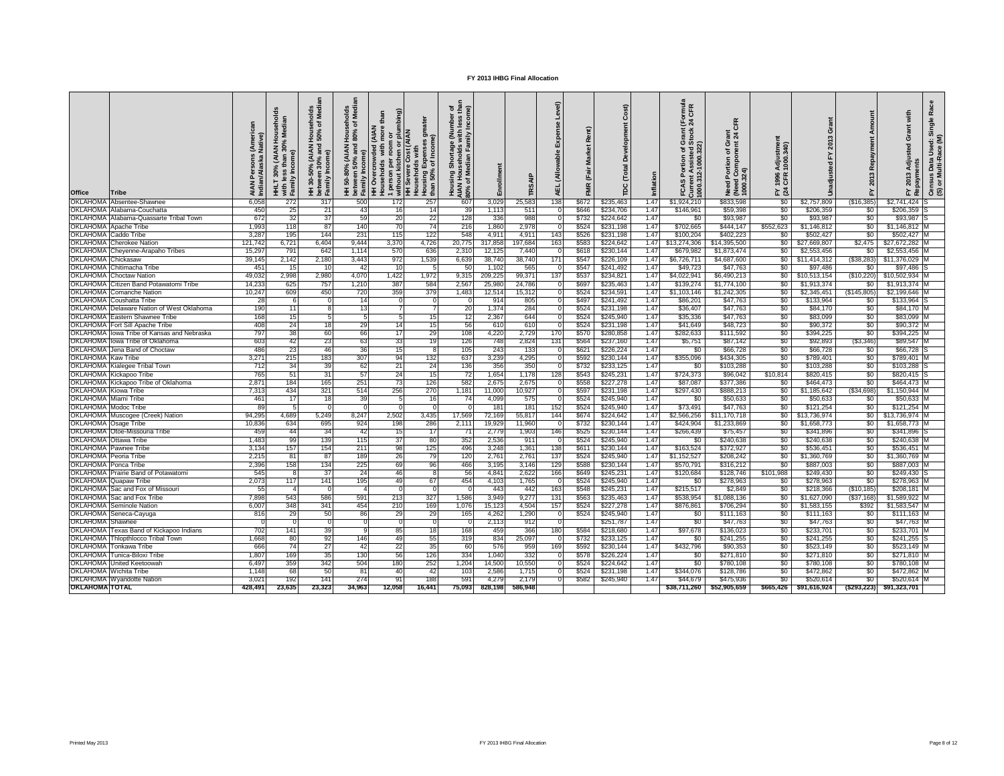| Office                | Tribe                                                             | i (Americ<br>Native)<br>AIAN Persons | HHLT 30% (AIAN Househol<br>with less than 30% Median<br>Family Income) | Medi<br>৳<br>$\approx$<br>និ<br><b>AIAN</b><br>$\boldsymbol{\sigma}$<br>e<br>S<br>30-50%<br>c<br>between<br>Family<br>Ŧ | Medi<br>Househ<br>  80% of  <br>(AIAN H<br>HH 50-80% (AIAI<br>between 50% an<br>Family Income) | <b>Imbing</b> )<br>φ<br><b>AIAN</b><br>HH Overcrowded (AIAN<br>Households with more<br>1 person per room or<br>without kitchen or plun<br>HH Severe Cost (AIAN | ಠಾ<br>್<br>Incom<br>with<br>ouseholds<br>৳<br>50%<br><b>Duisno</b><br>than<br>ᆂᆂ | imber of<br>Iess thai<br>Income)<br>론<br>Family<br>Shortage<br>흏<br>Housing<br>IAN Hou<br>Σ<br>৳<br>I | $\frac{1}{2}$<br>립 | डू      | Level)<br>Εxρ<br>ble<br>(Allowal<br><b>AEL</b> | Rent)<br>$\alpha$ | Cost)<br><b>Development</b><br>$\overline{\mathbf{c}}$<br>ē<br>ă | nflation | ormula<br>CFR<br>$E_{\alpha}$<br>Grant<br>Stock<br><b>PCAS Portion of Gi</b><br>Current Assisted St<br>1000.312-1000.322) | CFR<br>ಕ್ಷ ಇ<br>tion of Gr<br>mponent<br>Need Portion<br>(Need Compor<br>1000.324) | stme<br>340)<br>Adjus<br>1000.<br>1996<br>CFR<br>≧ 조 |                  | S<br>ន្ត      | with<br>Grant<br>sted<br>Adju<br>2013<br>mya<br>도론 | õŽ<br>Census Data Used: Single<br>(S) or Multi-Race (M) |
|-----------------------|-------------------------------------------------------------------|--------------------------------------|------------------------------------------------------------------------|-------------------------------------------------------------------------------------------------------------------------|------------------------------------------------------------------------------------------------|----------------------------------------------------------------------------------------------------------------------------------------------------------------|----------------------------------------------------------------------------------|-------------------------------------------------------------------------------------------------------|--------------------|---------|------------------------------------------------|-------------------|------------------------------------------------------------------|----------|---------------------------------------------------------------------------------------------------------------------------|------------------------------------------------------------------------------------|------------------------------------------------------|------------------|---------------|----------------------------------------------------|---------------------------------------------------------|
|                       | OKLAHOMA Absentee-Shawnee                                         | 6,058                                | 272                                                                    | 317                                                                                                                     | 500                                                                                            | 172                                                                                                                                                            | 257                                                                              | 607                                                                                                   | 3,029              | 25,583  | 138                                            | \$672             | \$235,463                                                        | 1.47     | \$1,924,210                                                                                                               | \$833,598                                                                          | \$0                                                  | \$2,757,809      | ( \$16, 385)  | \$2,741,424                                        |                                                         |
|                       | OKLAHOMA Alabama-Couchatta                                        | 450                                  | 25                                                                     | 21                                                                                                                      | 43                                                                                             | 16                                                                                                                                                             | 14                                                                               | 39                                                                                                    | 1,113              | 511     |                                                | \$646             | \$234,706                                                        | 1.47     | \$146,961                                                                                                                 | \$59,398                                                                           | \$0                                                  | \$206,359        | \$0           | \$206,359                                          |                                                         |
|                       | OKLAHOMA Alabama-Quassarte Tribal Town                            | 672                                  | 32                                                                     | 37                                                                                                                      | 59                                                                                             | 20                                                                                                                                                             | 22                                                                               | 128                                                                                                   | 336                | 988     |                                                | \$732             | \$224,642                                                        | 1.47     | \$0                                                                                                                       | \$93,987                                                                           | \$0                                                  | \$93,987         | \$0           | \$93,987                                           |                                                         |
| <b>OKLAHOMA</b>       | Apache Tribe                                                      | 1,993                                | 118                                                                    | 87                                                                                                                      | 140                                                                                            | 70                                                                                                                                                             | 74                                                                               | 216                                                                                                   | 1,860              | 2,978   |                                                | \$524             | \$231,198                                                        | 1.47     | \$702,665                                                                                                                 | \$444,147                                                                          | \$552,623                                            | \$1,146,812      | \$0           | \$1,146,812                                        |                                                         |
| <b>OKLAHOMA</b>       | Caddo Tribe                                                       | 3,287                                | 195                                                                    | 144                                                                                                                     | 231                                                                                            | 115                                                                                                                                                            | 122                                                                              | 548                                                                                                   | 4,91               | 4,91    | 143                                            | \$526             | \$231,198                                                        | 1.47     | \$100,204                                                                                                                 | \$402,223                                                                          | \$0                                                  | \$502,427        | \$0           | \$502,427                                          |                                                         |
| <b>OKLAHOMA</b>       | <b>Cherokee Nation</b>                                            | 121,742                              | 6,721                                                                  | 6,404                                                                                                                   | 9,444                                                                                          | 3,370                                                                                                                                                          | 4,726                                                                            | 20,77                                                                                                 | 317,858            | 197,684 | 163                                            | \$583             | \$224,642                                                        | 1.47     | \$13,274,306                                                                                                              | \$14,395,500                                                                       | \$0                                                  | \$27,669,807     | \$2,475       | \$27,672,282                                       |                                                         |
| OKLAHOMA              | Cheyenne-Arapaho Tribes                                           | 15,297                               | 791                                                                    | 642                                                                                                                     | 1,11                                                                                           | 570                                                                                                                                                            | 636                                                                              | 2,31                                                                                                  | 12,125             | 7,440   |                                                | \$618             | \$230,144                                                        | 1.4      | \$679,982                                                                                                                 | \$1,873,474                                                                        | \$0                                                  | \$2,553,456      | \$0           | \$2,553,456                                        |                                                         |
| OKLAHOMA              | Chickasaw                                                         | 39,145                               | 2,142                                                                  | 2,180                                                                                                                   | 3,443                                                                                          | 972                                                                                                                                                            | 1,539                                                                            | 6,639                                                                                                 | 38,740             | 38,740  | 171                                            | <b>\$547</b>      | \$226,109                                                        | 1.47     | \$6,726,711                                                                                                               | \$4,687,600                                                                        | SO.                                                  | \$11,414,312     | $($ \$38,283) | \$11,376,029                                       |                                                         |
|                       | OKLAHOMA Chitimacha Tribe                                         | 451                                  | 15                                                                     | 10                                                                                                                      | 42                                                                                             | 10                                                                                                                                                             |                                                                                  | 50                                                                                                    | 1,102              | 565     |                                                | \$547             | \$241,492                                                        | 1.47     | \$49,723                                                                                                                  | \$47,763                                                                           | \$0                                                  | \$97,486         | \$0           | \$97,486                                           |                                                         |
|                       | <b>OKLAHOMA</b> Choctaw Nation                                    | 49,032                               | 2,998                                                                  | 2,980                                                                                                                   | 4,070                                                                                          | 1,422                                                                                                                                                          | 1,972                                                                            | 9,315                                                                                                 | 209,225            | 99,371  | 137                                            | \$537             | \$234,821                                                        | 1.47     | \$4,022,941                                                                                                               | \$6,490,213                                                                        | $\$0$                                                | \$10,513,154     | ( \$10, 220)  | \$10,502,934                                       |                                                         |
| <b>OKLAHOMA</b>       | Citizen Band Potawatomi Tribe                                     | 14,233                               | 625                                                                    | 757                                                                                                                     | 1,210                                                                                          | 387                                                                                                                                                            | 584                                                                              | 2,56                                                                                                  | 25,980             | 24,786  |                                                | \$697             | \$235,463                                                        | 1.47     | \$139,274                                                                                                                 | \$1,774,100                                                                        | \$0                                                  | \$1,913,374      | \$0           | \$1,913,374                                        |                                                         |
| OKLAHOMA              | <b>Comanche Nation</b>                                            | 10,247                               | 609                                                                    | 450                                                                                                                     | 72C                                                                                            | 359                                                                                                                                                            | 379                                                                              | 1,483                                                                                                 | 12,514             | 15,312  |                                                | \$524             | \$234,591                                                        | 1.47     | \$1,103,146                                                                                                               | \$1,242,305                                                                        | \$0                                                  | \$2,345,451      | (S145, 805)   | \$2,199,646                                        |                                                         |
| OKLAHOMA              | Coushatta Tribe                                                   | 28                                   | ĥ                                                                      |                                                                                                                         | 14                                                                                             |                                                                                                                                                                |                                                                                  |                                                                                                       | 914                | 805     |                                                | \$497             | \$241,492                                                        | 1.47     | \$86,20                                                                                                                   | \$47,763                                                                           | \$0                                                  | \$133,964        | \$0           | \$133,964                                          |                                                         |
| <b>OKLAHOMA</b>       | Delaware Nation of West Oklahoma                                  | 190                                  | 11                                                                     | 8                                                                                                                       | 13                                                                                             |                                                                                                                                                                |                                                                                  | 20                                                                                                    | 1,374              | 284     |                                                | \$524             | \$231,198                                                        | 1.47     | \$36,407                                                                                                                  | \$47,763                                                                           | \$0                                                  | \$84,170         | \$0           | \$84,170                                           |                                                         |
| OKLAHOMA              | Eastern Shawnee Tribe                                             | 168                                  | 15                                                                     |                                                                                                                         |                                                                                                |                                                                                                                                                                | 15                                                                               |                                                                                                       | 2,367              | 644     |                                                | \$524             | \$245,940                                                        | 1.47     | \$35,336                                                                                                                  | \$47,763                                                                           | \$0                                                  | \$83,099         | \$0           | \$83,099                                           |                                                         |
| OKLAHOMA              | Fort Sill Apache Tribe                                            | 408                                  | 24                                                                     | 18                                                                                                                      | 29                                                                                             | 14                                                                                                                                                             | 15                                                                               | 56                                                                                                    | 610                | 610     |                                                | \$524             | \$231,198                                                        | 1.47     | \$41,649                                                                                                                  | \$48,723                                                                           | \$0                                                  | \$90,372         | \$0           | \$90,372                                           |                                                         |
| OKLAHOMA              | Iowa Tribe of Kansas and Nebraska                                 | 797                                  | 38                                                                     | 60                                                                                                                      | 66                                                                                             | 17                                                                                                                                                             | 29                                                                               | 108                                                                                                   | 4,220              | 2,729   | 170                                            | \$57              | \$280,858                                                        | 1.47     | \$282,633                                                                                                                 | \$111,592                                                                          | \$0                                                  | \$394,225        | \$0           | \$394,225                                          |                                                         |
|                       | OKLAHOMA Iowa Tribe of Oklahoma                                   | 603                                  | 42                                                                     | 23                                                                                                                      | 63                                                                                             | 33                                                                                                                                                             | 19                                                                               | 126                                                                                                   | 748                | 2,824   | 131                                            | \$564             | \$237,160                                                        | 1.47     | \$5,751                                                                                                                   | \$87,142                                                                           | \$0                                                  | \$92,893         | (S3, 346)     | \$89,547                                           |                                                         |
|                       | OKLAHOMA Jena Band of Choctaw                                     | 486                                  | 23                                                                     | 46                                                                                                                      | 36                                                                                             | 15                                                                                                                                                             | -8                                                                               | 105                                                                                                   | 243                | 133     |                                                | \$621             | \$226,224                                                        | 1.47     | \$0                                                                                                                       | \$66,728                                                                           | \$0                                                  | \$66,728         | \$0           | \$66,728                                           |                                                         |
| OKLAHOMA Kaw Tribe    |                                                                   | 3,271                                | 215                                                                    | 183                                                                                                                     | 307                                                                                            | 94                                                                                                                                                             | 132                                                                              | 637                                                                                                   | 3,239              | 4,295   |                                                | \$592             | \$230,144                                                        | 1.47     | \$355,096                                                                                                                 | \$434,305                                                                          | \$0                                                  | \$789,401        | \$0           | \$789,401                                          |                                                         |
| OKLAHOMA              | Kialegee Tribal Town                                              | 712                                  | 34                                                                     | 39                                                                                                                      | 62                                                                                             | 21                                                                                                                                                             | 24                                                                               | 136                                                                                                   | 356                | 350     |                                                | \$732             | \$233,125                                                        | 1.47     | \$0                                                                                                                       | \$103,288                                                                          | \$0                                                  | \$103,288        | \$0           | \$103,288                                          |                                                         |
| OKLAHOMA              | Kickapoo Tribe                                                    | 765                                  | 51                                                                     | 31                                                                                                                      | 57                                                                                             | 24                                                                                                                                                             | 15                                                                               | 72                                                                                                    | 1,654              | 1,178   | 128                                            | \$543             | \$245,231                                                        | 1.47     | \$724,373                                                                                                                 | \$96,042                                                                           | \$10,814                                             | \$820,415        | \$0           | \$820,415                                          |                                                         |
|                       | OKLAHOMA Kickapoo Tribe of Oklahoma                               | 2,87'                                | 184                                                                    | 165                                                                                                                     | 251                                                                                            | 73                                                                                                                                                             | 126                                                                              | 582                                                                                                   | 2,675              | 2,675   |                                                | \$558             | \$227,278                                                        | 1.47     | \$87,087                                                                                                                  | \$377,386                                                                          | \$0                                                  | \$464,473        | \$0           | \$464,473                                          |                                                         |
| <b>OKLAHOMA</b>       | Kiowa Tribe                                                       | 7,313                                | 434                                                                    | 321                                                                                                                     | 514                                                                                            | 256                                                                                                                                                            | 270                                                                              | 1.181                                                                                                 | 11.000             | 10,927  |                                                | \$597             | \$231,198                                                        | 1.47     | \$297,430                                                                                                                 | \$888,213                                                                          | SO.                                                  | \$1,185,642      | ( \$34, 698)  | \$1,150,944                                        |                                                         |
| <b>OKLAHOMA</b>       | Miami Tribe                                                       | 461                                  | 17                                                                     | 18                                                                                                                      | 39                                                                                             |                                                                                                                                                                | 16                                                                               |                                                                                                       | 4.099              | 575     |                                                | \$524             | \$245,940                                                        | 1.47     | \$0                                                                                                                       | \$50,633                                                                           | \$0                                                  | \$50,633         | \$0           | \$50,633                                           |                                                         |
| OKLAHOMA              | Modoc Tribe                                                       | 89                                   | -5                                                                     | $\Omega$                                                                                                                |                                                                                                | $\Omega$                                                                                                                                                       |                                                                                  |                                                                                                       | 181                | 181     | 152                                            | \$524             | \$245,940                                                        | 1.47     | \$73,491                                                                                                                  | \$47,763                                                                           | \$0                                                  | \$121,254        | \$0           | \$121,254                                          |                                                         |
|                       | OKLAHOMA Muscogee (Creek) Nation                                  | 94,295                               | 4,689                                                                  | 5,249                                                                                                                   | 8,247                                                                                          | 2,502                                                                                                                                                          | 3,435                                                                            | 17,569                                                                                                | 72,169             | 55,817  | 144                                            | \$674             | \$224,642                                                        | 1.47     | \$2,566,256                                                                                                               | \$11,170,718                                                                       |                                                      | \$0 \$13,736,974 | \$0           | \$13,736,974                                       |                                                         |
| OKLAHOMA Osage Tribe  |                                                                   | 10,836                               | 634                                                                    | 695                                                                                                                     | 924                                                                                            | 198                                                                                                                                                            | 286                                                                              | 2,111                                                                                                 | 19,929             | 11,960  | - 0                                            | \$732             | \$230,144                                                        | 1.47     | \$424,904                                                                                                                 | \$1,233,869                                                                        | \$0                                                  | \$1,658,773      | \$0           | \$1,658,773                                        |                                                         |
|                       | OKLAHOMA Otoe-Missouria Tribe                                     | 459                                  | 44                                                                     | 34                                                                                                                      | 42                                                                                             | 15                                                                                                                                                             | 17                                                                               | 71                                                                                                    | 2,779              | 1,903   | 146                                            | \$525             | \$230,144                                                        | 1.47     | \$266,439                                                                                                                 | \$75,457                                                                           | \$0                                                  | \$341,896        | \$0           | \$341,896                                          |                                                         |
| OKLAHOMA              | Ottawa Tribe                                                      | 1,483                                | 99                                                                     | 139                                                                                                                     | 115                                                                                            | 37                                                                                                                                                             | 80                                                                               | 352                                                                                                   | 2,536              | 911     |                                                | \$524             | \$245,940                                                        | 1.47     | \$0                                                                                                                       | \$240,638                                                                          | \$0                                                  | \$240,638        | \$0           | \$240,638                                          |                                                         |
| <b>OKLAHOMA</b>       | Pawnee Tribe                                                      | 3,134                                | 157                                                                    | 154                                                                                                                     | 211                                                                                            | 98                                                                                                                                                             | 125                                                                              | 496                                                                                                   | 3,248              | 1,361   | 138                                            | \$61              | \$230,144                                                        | 1.47     | \$163,524                                                                                                                 | \$372,927                                                                          | \$0                                                  | \$536,451        | \$0           | \$536,451                                          |                                                         |
| <b>OKLAHOMA</b>       | Peoria Tribe                                                      | 2,215                                | 81                                                                     | 87                                                                                                                      | <b>189</b>                                                                                     | 26                                                                                                                                                             | 79                                                                               | 120                                                                                                   | 2,761              | 2,761   | 137                                            | \$524             | \$245,940                                                        | 1.47     | \$1,152,527                                                                                                               | \$208,242                                                                          | \$0                                                  | \$1,360,769      | \$0           | \$1,360,769                                        |                                                         |
| <b>OKLAHOMA</b>       | Ponca Tribe                                                       | 2,396                                | 158                                                                    | 134                                                                                                                     | 225                                                                                            | 69                                                                                                                                                             | 96                                                                               | 466                                                                                                   | 3,195              | 3,146   | 129                                            | \$588             | \$230,144                                                        | 1.47     | \$570,791                                                                                                                 | \$316,212                                                                          | SO.                                                  | \$887,003        | SO.           | \$887,003                                          |                                                         |
| OKLAHOMA              | Prairie Band of Potawatom                                         | 545                                  |                                                                        | 37                                                                                                                      | 24                                                                                             | 46                                                                                                                                                             |                                                                                  | 56                                                                                                    | 4,84'              | 2,622   | 166                                            | \$649             | \$245,231                                                        | 1.47     | \$120,684                                                                                                                 | \$128,746                                                                          | \$101,988                                            | \$249,430        | \$0           | \$249,430                                          |                                                         |
| OKLAHOMA              | Quapaw Tribe                                                      | 2,073                                | 117                                                                    | 141                                                                                                                     | 195                                                                                            | 49                                                                                                                                                             | 67                                                                               | 454                                                                                                   | 4,103              | 1,765   |                                                | \$524             | \$245,940                                                        | 1.47     | \$0                                                                                                                       | \$278,963                                                                          | \$0                                                  | \$278,963        | \$0           | \$278,963                                          |                                                         |
|                       | OKLAHOMA Sac and Fox of Missouri                                  | 55                                   |                                                                        |                                                                                                                         |                                                                                                | $^{\circ}$                                                                                                                                                     |                                                                                  |                                                                                                       | 443                | 442     | 163                                            | \$548             | \$245,231                                                        | 1.47     | \$215,517                                                                                                                 | \$2,849                                                                            | \$0                                                  | \$218,366        | ( \$10, 185]  | \$208,181                                          |                                                         |
| <b>OKLAHOMA</b>       |                                                                   | 7,898                                | 543                                                                    | 586                                                                                                                     | 591                                                                                            | 213                                                                                                                                                            | 327                                                                              | 1,586                                                                                                 | 3,949              | 9,277   | 131                                            | \$563             | \$235,463                                                        | 1.47     | \$538,954                                                                                                                 | \$1,088,136                                                                        | \$0                                                  | \$1,627,090      | $($ \$37,168) | \$1,589,922                                        |                                                         |
| <b>OKLAHOMA</b>       | Sac and Fox Tribe<br>Seminole Nation                              | 6,007                                | 348                                                                    | 341                                                                                                                     | 454                                                                                            | 210                                                                                                                                                            | 169                                                                              | 1,076                                                                                                 | 15,123             | 4,504   | 157                                            | \$524             | \$227,278                                                        | 1.47     | \$876,861                                                                                                                 | \$706,294                                                                          | \$0                                                  | \$1,583,155      | \$392         | \$1,583,547                                        |                                                         |
| <b>OKLAHOMA</b>       |                                                                   | 816                                  | 29                                                                     | 50                                                                                                                      | 86                                                                                             | 29                                                                                                                                                             | 29                                                                               |                                                                                                       | 4,262              | 1,290   |                                                | \$524             | \$245,940                                                        | 1.47     | \$0                                                                                                                       | \$111,163                                                                          | \$0                                                  | \$111,163        | \$0           | \$111,163                                          |                                                         |
| OKLAHOMA              | Seneca-Cayuga<br>Shawnee                                          |                                      | n                                                                      | $\Omega$                                                                                                                |                                                                                                | $\Omega$                                                                                                                                                       |                                                                                  | 165                                                                                                   | 2,113              | 912     |                                                |                   | \$251,787                                                        | 1.47     | S0                                                                                                                        | \$47,763                                                                           | \$0                                                  | \$47,763         | SO.           | \$47,763                                           |                                                         |
| OKLAHOMA              |                                                                   | 702                                  | 141                                                                    |                                                                                                                         |                                                                                                |                                                                                                                                                                | 18                                                                               | 168                                                                                                   | 459                | 366     | 180                                            | \$584             | \$218,680                                                        | 1.47     | \$97,678                                                                                                                  | \$136,023                                                                          | \$0                                                  | \$233,701        | \$0           | \$233,701                                          |                                                         |
| <b>OKLAHOMA</b>       | Texas Band of Kickapoo Indians<br><b>Thiopthiocco Tribal Town</b> | 1,668                                | 80                                                                     | 39<br>92                                                                                                                | 146                                                                                            | 85<br>49                                                                                                                                                       | 55                                                                               | 319                                                                                                   | 834                | 25,097  |                                                | \$732             | \$233,125                                                        | 1.47     | \$0                                                                                                                       | \$241,255                                                                          | \$0                                                  | \$241,255        | \$0           | \$241,255                                          |                                                         |
|                       |                                                                   |                                      |                                                                        |                                                                                                                         |                                                                                                |                                                                                                                                                                |                                                                                  |                                                                                                       |                    |         |                                                |                   |                                                                  |          |                                                                                                                           |                                                                                    |                                                      | \$523,149        | \$0           |                                                    |                                                         |
| OKLAHOMA              | Tonkawa Tribe                                                     | 666                                  | 74                                                                     | 27                                                                                                                      | 42                                                                                             | 22                                                                                                                                                             | 35                                                                               | 60                                                                                                    | 576                | 959     | 169                                            | \$592<br>\$578    | \$230,144                                                        | 1.47     | \$432,796                                                                                                                 | \$90,353                                                                           | \$0                                                  |                  | \$0           | \$523,149                                          |                                                         |
| OKLAHOMA              | Tunica-Biloxi Tribe                                               | 1,807                                | 169                                                                    | 35                                                                                                                      | 130                                                                                            | 56                                                                                                                                                             | 126                                                                              | 334                                                                                                   | 1,040              | 332     |                                                |                   | \$226,224                                                        | 1.47     | \$0                                                                                                                       | \$271,810                                                                          | \$0                                                  | \$271,810        |               | \$271,810                                          |                                                         |
| OKLAHOMA              | United Keetoowah                                                  | 6,497                                | 359                                                                    | 342                                                                                                                     | 504                                                                                            | 180                                                                                                                                                            | 252                                                                              | 1,204                                                                                                 | 14,500             | 10,550  |                                                | \$524             | \$224,642                                                        | 1.47     | \$0                                                                                                                       | \$780,108                                                                          | \$0                                                  | \$780,108        | \$0           | \$780,108                                          |                                                         |
| <b>OKLAHOMA</b>       | <b>Wichita Tribe</b>                                              | 1,148                                | 68                                                                     | 50                                                                                                                      | 81                                                                                             | 40                                                                                                                                                             | 42                                                                               | 103                                                                                                   | 2,586              | 1,715   |                                                | \$524             | \$231,198                                                        | 1.47     | \$344,076                                                                                                                 | \$128,786                                                                          | \$0                                                  | \$472,862        | \$0           | \$472,862                                          |                                                         |
|                       | OKLAHOMA Wyandotte Nation                                         | 3,021                                | 192                                                                    | 141                                                                                                                     | 274                                                                                            | 91                                                                                                                                                             | 188                                                                              | 591                                                                                                   | 4,279              | 2,179   |                                                | \$582             | \$245,940                                                        | 1.47     | \$44,679                                                                                                                  | \$475,936                                                                          | \$0                                                  | \$520,614        | \$0           | \$520,614                                          |                                                         |
| <b>OKLAHOMA TOTAL</b> |                                                                   | 428,491                              | 23,635                                                                 | 23,323                                                                                                                  | 34,963                                                                                         | 12,058                                                                                                                                                         | 6,441                                                                            | 75,093                                                                                                | 828,198            | 586,948 |                                                |                   |                                                                  |          | \$38,711,260                                                                                                              | \$52,905,659                                                                       | \$665,426                                            | \$91,616,924     | (\$293,223)   | \$91,323,701                                       |                                                         |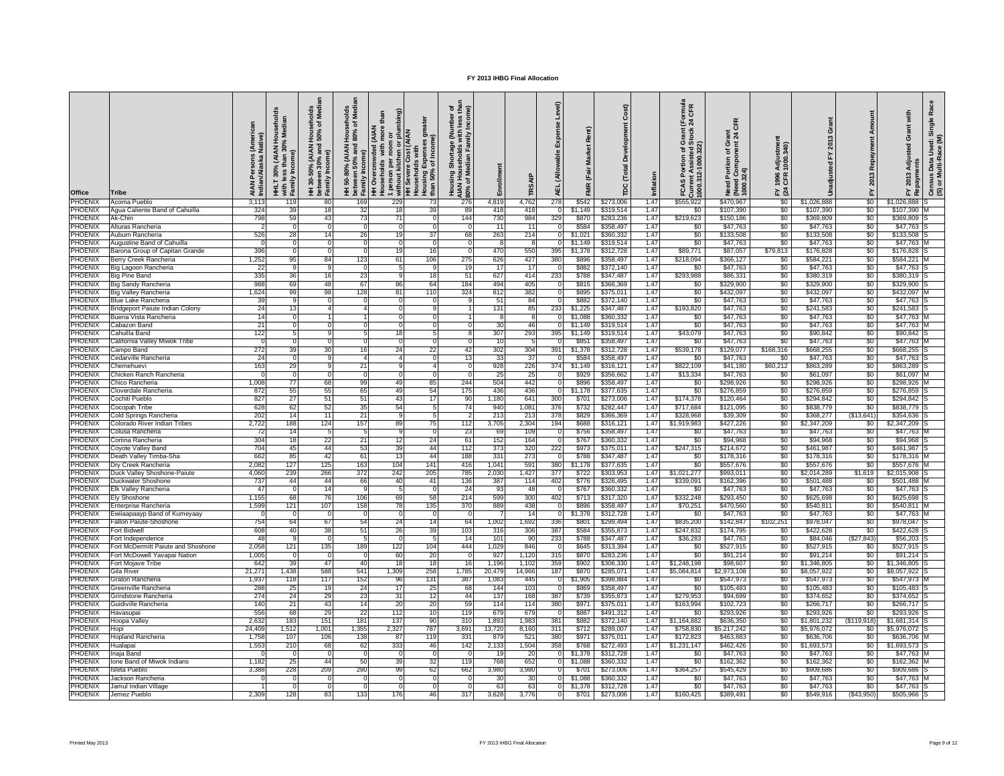| Office                           | <b>Tribe</b>                                           | Persons (Americ<br>AIAN Persons (Ameri<br>Indian/Alaska Native) | HHLT 30% (AIAN Households<br>with less than 30% Median<br>iless<br>Saal<br>mily<br>多些 | Medi<br>ъ<br>Hous<br>50%<br>(AIAN)<br><sup>19%</sup> and<br>icome)<br>30-50%<br>$\epsilon$<br>twee<br>mily<br>로 홀 로 | 50-80% (AIAN Households<br>ween 50% and 80% of Medi<br>etween 50% an<br>amily Income)<br>회효로 | person per room or<br>ithout kitchen or plumbing)<br>than<br>more<br>(AIAN<br>with<br>Households<br>Over<br>$-3$ | great<br><b>AIAN</b><br>Housing Expenses g<br>than 50% of Income)<br>Households with | $\sigma \frac{1}{2}$ $\frac{1}{2}$<br>(Number<br>Family<br>Shortage (<br>seholds w<br>of Medi<br>Housing S<br>AIAN Hous<br>80% of Me | ollment<br>띹           | $\mathfrak{F}$  | Level)<br>Exp<br>(Allowable<br>AEL. | Rent)                 | Development Cost)<br><b>TDC</b> (Total | Inflation    | : (Formula<br>: 24 CFR<br>Grant (<br>Stock 2<br>ិ ទី<br>Portion<br><b>Current Assiste<br/>1000.312-1000.</b><br>CASI | CFR<br>는 설<br>Need Portion of Gra<br>(Need Component 2)<br>1000.324) | Adjustment<br>1000.340)<br>1996<br>CFR<br>도 진 | <u>ចិ</u>                | Repayment Amoun<br>2013<br>고 | with<br>Grant<br>Adjusted<br>Repaymen<br>2013<br>노 | Race<br>Single<br>Census Data Used: S<br>(S) or Multi-Race (M) |
|----------------------------------|--------------------------------------------------------|-----------------------------------------------------------------|---------------------------------------------------------------------------------------|---------------------------------------------------------------------------------------------------------------------|----------------------------------------------------------------------------------------------|------------------------------------------------------------------------------------------------------------------|--------------------------------------------------------------------------------------|--------------------------------------------------------------------------------------------------------------------------------------|------------------------|-----------------|-------------------------------------|-----------------------|----------------------------------------|--------------|----------------------------------------------------------------------------------------------------------------------|----------------------------------------------------------------------|-----------------------------------------------|--------------------------|------------------------------|----------------------------------------------------|----------------------------------------------------------------|
| PHOENIX                          | Acoma Pueblo                                           | 3.11                                                            | 119                                                                                   |                                                                                                                     | 169                                                                                          | 229                                                                                                              |                                                                                      | 276                                                                                                                                  | 4,81                   | 4,762           | 278                                 | <b>\$542</b>          | \$273,006                              | 1.4          | \$555,922                                                                                                            | \$470,967                                                            | \$0                                           | \$1.026.888              | \$0                          | \$1,026,888                                        |                                                                |
| PHOENIX                          | Agua Caliente Band of Cahuilla                         | 324                                                             | 39                                                                                    |                                                                                                                     |                                                                                              | 18                                                                                                               |                                                                                      | R                                                                                                                                    | 41                     | 418             |                                     | \$1,149               | \$319,514                              | 1.4          | \$C                                                                                                                  | \$107,390                                                            | \$0                                           | \$107,390                | \$0                          | \$107,390                                          |                                                                |
| PHOENIX<br>PHOENIX               | Ak-Chin                                                | 798                                                             | 59                                                                                    | 43                                                                                                                  |                                                                                              | 71                                                                                                               |                                                                                      | 144                                                                                                                                  | 730<br>1 <sup>1</sup>  | 984             | 329                                 | \$870                 | \$283,236                              | 1.4          | \$219,623                                                                                                            | \$150,186                                                            | \$0<br>\$0                                    | \$369,809                | \$0                          | \$369,809                                          |                                                                |
| PHOENIX                          | Alturas Rancheria<br>Auburn Rancheria                  | 526                                                             |                                                                                       |                                                                                                                     | 26                                                                                           | 19                                                                                                               |                                                                                      | 68                                                                                                                                   | 263                    | 11<br>214       |                                     | \$584<br>\$1,021      | \$358,497<br>\$360,332                 | 1.47<br>1.4  | \$0<br>\$0                                                                                                           | \$47,763<br>\$133,508                                                | \$0                                           | \$47,763<br>\$133,508    | \$0<br>\$0                   | \$47,763<br>\$133,508                              |                                                                |
| PHOENIX                          | Augustine Band of Cahuilla                             |                                                                 |                                                                                       |                                                                                                                     |                                                                                              |                                                                                                                  |                                                                                      |                                                                                                                                      |                        |                 |                                     | \$1,149               | \$319,514                              | 1.4          | S0                                                                                                                   | \$47,763                                                             | \$0                                           | \$47,763                 | \$0                          | \$47,763                                           |                                                                |
| PHOENIX                          | Barona Group of Capitan Grande                         | 396                                                             |                                                                                       |                                                                                                                     |                                                                                              |                                                                                                                  |                                                                                      |                                                                                                                                      | 47                     | 550             | 395                                 | \$1,378               | \$312,728                              | 1.4          | \$89,771                                                                                                             | \$87,057                                                             | \$79,813                                      | \$176,82                 | \$0                          | \$176,828                                          |                                                                |
| <b>PHOENIX</b>                   | Berry Creek Rancheria                                  | 1,252                                                           |                                                                                       |                                                                                                                     | 123                                                                                          | 61                                                                                                               | 106                                                                                  | 275                                                                                                                                  | 626                    | 427             | 380                                 | \$896                 | \$358,497                              | 1.47         | \$218,094                                                                                                            | \$366,127                                                            | \$0                                           | \$584,22                 | \$0                          | \$584,221                                          |                                                                |
| <b>PHOENIX</b>                   | Big Lagoon Rancheria                                   | 22                                                              |                                                                                       |                                                                                                                     |                                                                                              |                                                                                                                  |                                                                                      |                                                                                                                                      |                        |                 |                                     | \$882                 | \$372,140                              | 1.4          | \$0                                                                                                                  | \$47,763                                                             | \$0                                           | \$47,763                 | \$0                          | \$47,763                                           |                                                                |
| <b>PHOENIX</b>                   | Big Pine Band                                          | 335                                                             |                                                                                       |                                                                                                                     |                                                                                              |                                                                                                                  |                                                                                      | 51                                                                                                                                   | 627                    | 414             | 233                                 | \$788                 | \$347,487                              | 1.4          | \$293,988                                                                                                            | \$86,331                                                             | \$0                                           | \$380,31                 | \$0                          | \$380,319                                          |                                                                |
| PHOENIX<br>PHOENIX               | Big Sandy Rancheria<br><b>Big Valley Rancheria</b>     | 988<br>1,624                                                    | 69<br>99                                                                              | 48<br>98                                                                                                            | 67<br>128                                                                                    | 86<br>81                                                                                                         | 64<br>110                                                                            | 184<br>324                                                                                                                           | 494<br>812             | 405<br>382      |                                     | <b>\$815</b><br>\$895 | \$366,369<br>\$375,011                 | 1.47<br>1.47 | \$0<br>\$0                                                                                                           | \$329,900<br>\$432,097                                               | \$0<br>\$0                                    | \$329,900<br>\$432,097   | \$0<br>\$0                   | \$329,900<br>\$432,097                             |                                                                |
| PHOENIX                          | Blue Lake Rancheria                                    | 39                                                              |                                                                                       |                                                                                                                     |                                                                                              |                                                                                                                  |                                                                                      |                                                                                                                                      | -51                    | 84              |                                     | \$882                 | \$372,140                              | 1.4          | \$0                                                                                                                  | \$47,763                                                             | \$0                                           | \$47,763                 | \$0                          | \$47,763                                           |                                                                |
| <b>PHOENIX</b>                   | Bridgeport Paiute Indian Colony                        | 24                                                              |                                                                                       |                                                                                                                     |                                                                                              |                                                                                                                  |                                                                                      |                                                                                                                                      | 131                    | 85              | 233                                 | \$1,225               | \$347,487                              | 1.47         | \$193,820                                                                                                            | \$47,763                                                             | \$0                                           | \$241,583                | \$0                          | \$241,583                                          |                                                                |
| PHOENIX                          | Buena Vista Rancheria                                  | 14                                                              |                                                                                       |                                                                                                                     |                                                                                              | 0                                                                                                                |                                                                                      |                                                                                                                                      |                        |                 |                                     | \$1,088               | \$360,332                              | 1.47         | \$0                                                                                                                  | \$47,763                                                             | \$0                                           | \$47,763                 | \$0                          | \$47,763                                           |                                                                |
| PHOENIX                          | Cabazon Band                                           | 21                                                              |                                                                                       |                                                                                                                     |                                                                                              |                                                                                                                  |                                                                                      |                                                                                                                                      | 30                     | 46              |                                     | \$1,149               | \$319,514                              | 1.47         | \$0                                                                                                                  | \$47,763                                                             | \$0                                           | \$47,763                 | \$0                          | \$47,763                                           |                                                                |
| PHOENIX                          | Cahuilla Band                                          | 122                                                             |                                                                                       |                                                                                                                     |                                                                                              | 18                                                                                                               |                                                                                      |                                                                                                                                      | 307                    | 293             | 395                                 | \$1,149               | \$319,514                              | 1.47         | \$43,079                                                                                                             | \$47,763                                                             | \$0                                           | \$90,842                 | \$0                          | \$90,842                                           |                                                                |
| PHOENIX                          | California Valley Miwok Tribe                          | $\Omega$                                                        |                                                                                       |                                                                                                                     |                                                                                              |                                                                                                                  |                                                                                      | $\Omega$                                                                                                                             | 10                     |                 |                                     | \$851                 | \$358,497                              | 1.47         | \$0                                                                                                                  | \$47,763                                                             | \$0                                           | \$47,763                 | \$0                          | \$47,763                                           |                                                                |
| PHOENIX<br>PHOENIX               | Campo Band<br>Cedarville Rancheria                     | 272<br>24                                                       | 39                                                                                    | 30                                                                                                                  |                                                                                              | 24                                                                                                               | 22                                                                                   | 42<br>13                                                                                                                             | 302<br>33              | 304<br>37       | 391                                 | \$1,378<br>\$584      | \$312,728<br>\$358,497                 | 1.47<br>1.47 | \$539,178<br>S0                                                                                                      | \$129,077<br>\$47,763                                                | \$168,316<br>\$0                              | \$668,255<br>\$47,763    | \$0<br>\$0                   | \$668,255<br>\$47,763                              |                                                                |
| PHOENIX                          | Chemehuevi                                             | 163                                                             | 29                                                                                    |                                                                                                                     | 21                                                                                           |                                                                                                                  |                                                                                      |                                                                                                                                      | 928                    | 226             | 374                                 | \$1,149               | \$316,121                              | 1.47         | \$822,109                                                                                                            | \$41,180                                                             | \$60,212                                      | \$863,289                | \$0                          | \$863,289                                          |                                                                |
| 'HOENIX                          | Chicken Ranch Rancheria                                |                                                                 | $\Omega$                                                                              |                                                                                                                     |                                                                                              |                                                                                                                  |                                                                                      |                                                                                                                                      | 25                     | 25              |                                     | \$929                 | \$356,662                              | 1.47         | \$13,334                                                                                                             | \$47,763                                                             | \$0                                           | \$61,097                 | \$0                          | \$61,097                                           |                                                                |
| 'HOENIX                          | Chico Rancheria                                        | 1,008                                                           | 77                                                                                    | 68                                                                                                                  | 99                                                                                           | 49                                                                                                               | 85                                                                                   | 244                                                                                                                                  | 504                    | 442             |                                     | \$896                 | \$358,497                              | 1.47         | \$0                                                                                                                  | \$298,926                                                            | \$0                                           | \$298,926                | \$0                          | \$298,926                                          |                                                                |
| 'HOENIX                          | Cloverdale Rancheria                                   | 872                                                             | 55                                                                                    | 55                                                                                                                  | 65                                                                                           | 49                                                                                                               | 54                                                                                   | 175                                                                                                                                  | 436                    | 436             |                                     | \$1,178               | \$377,635                              | 1.47         | \$0                                                                                                                  | \$276,859                                                            | \$0                                           | \$276,859                | \$0                          | \$276,859                                          |                                                                |
| <b>PHOENIX</b>                   | Cochiti Pueblo                                         | 827                                                             | 27                                                                                    | 51                                                                                                                  | 51                                                                                           | 43                                                                                                               | 17                                                                                   | 90                                                                                                                                   | 1,180                  | 641             | 300                                 | \$701                 | \$273,006                              | 1.47         | \$174,378                                                                                                            | \$120,464                                                            | \$0                                           | \$294,842                | \$0                          | \$294,842                                          |                                                                |
| 'HOENIX<br><b>HOENIX</b>         | Cocopah Tribe                                          | 628<br>202                                                      | 62<br>14                                                                              | 52<br>11                                                                                                            | 35<br>21                                                                                     | 54                                                                                                               |                                                                                      | 74                                                                                                                                   | 940<br>213             | $1,08^{\circ}$  | 376<br>378                          | \$732<br>\$829        | \$282,447                              | 1.47<br>1.47 | \$717,684<br>\$328,968                                                                                               | \$121,095<br>\$39,309                                                | \$0                                           | \$838,779<br>\$368,27    | \$0<br>(\$13,641             | \$838,779<br>\$354,636                             |                                                                |
| <b>HOENIX</b>                    | Cold Springs Rancheria<br>Colorado River Indian Tribes | 2,722                                                           | 188                                                                                   | 124                                                                                                                 | 157                                                                                          | 9<br>89                                                                                                          | 75                                                                                   | 112                                                                                                                                  | 3,705                  | 213<br>2,304    | 194                                 | \$688                 | \$366,369<br>\$316,121                 | 1.47         | \$1,919,983                                                                                                          | \$427,226                                                            | \$0<br>\$0                                    | \$2,347,209              | \$0                          | \$2,347,209                                        |                                                                |
| PHOENIX                          | Colusa Rancheria                                       | 72                                                              | 14                                                                                    | -5                                                                                                                  |                                                                                              | -9                                                                                                               |                                                                                      | 23                                                                                                                                   | -69                    | 10 <sup>c</sup> |                                     | \$756                 | \$358,497                              | 1.47         | \$0                                                                                                                  | \$47,763                                                             | \$0                                           | \$47,763                 | \$0                          | \$47,763                                           |                                                                |
| 'HOENIX                          | Cortina Rancheria                                      | 304                                                             | 18                                                                                    | 22                                                                                                                  | 21                                                                                           | 12                                                                                                               | 24                                                                                   | 61                                                                                                                                   | 152                    | 164             |                                     | \$767                 | \$360,332                              | 1.47         | \$0                                                                                                                  | \$94,968                                                             | \$0                                           | \$94,968                 | SO.                          | \$94,968                                           |                                                                |
| <b>HOENIX</b>                    | Coyote Valley Band                                     | 704                                                             | 45                                                                                    | 44                                                                                                                  | 53                                                                                           | 39                                                                                                               | 44                                                                                   | 112                                                                                                                                  | 373                    | 320             | 222                                 | \$973                 | \$375,011                              | 1.47         | \$247,315                                                                                                            | \$214,672                                                            | \$0                                           | \$461,987                | \$0                          | \$461,987                                          |                                                                |
| <b>PHOENIX</b>                   | Death Valley Timba-Sha                                 | 662                                                             | 85                                                                                    | 42                                                                                                                  | 61                                                                                           | 13                                                                                                               | 44                                                                                   | 188                                                                                                                                  | 331                    | 273             | - 0                                 | \$788                 | \$347,487                              | 1.47         | \$0                                                                                                                  | \$178,316                                                            | \$0                                           | \$178,316                | \$0                          | \$178,316                                          |                                                                |
| <b>PHOENIX</b>                   | Dry Creek Rancheria                                    | 2.082                                                           | 127                                                                                   | 125                                                                                                                 | 163                                                                                          | 104                                                                                                              | 141                                                                                  | 416                                                                                                                                  | 1,041                  | 591             | 380                                 | \$1,178               | \$377,635                              | 1.47         | \$0                                                                                                                  | \$557,676                                                            | \$0                                           | \$557,676                | \$0                          | \$557,676                                          |                                                                |
| 'HOENIX<br>'HOENIX               | Duck Valley Shoshone-Paiute<br>Duckwater Shoshone      | 4.060<br>737                                                    | 239<br>44                                                                             | 266<br>44                                                                                                           | 372<br>66                                                                                    | 242<br>40                                                                                                        | 205<br>41                                                                            | 785<br>136                                                                                                                           | 2,030<br>387           | 1,427<br>114    | 377<br>402                          | \$722<br>\$776        | \$303,953<br>\$326,495                 | 1.47<br>1.4  | \$1,021,277<br>\$339.091                                                                                             | \$993,011<br>\$162,396                                               | \$0<br>\$0                                    | \$2,014,289<br>\$501,488 | \$1,619<br>\$0               | \$2,015,908<br>\$501,488                           |                                                                |
| <b>PHOENIX</b>                   | Elk Valley Rancheria                                   | 47                                                              | $\Omega$                                                                              | 14                                                                                                                  |                                                                                              | -5                                                                                                               |                                                                                      | 24                                                                                                                                   | q.                     | 48              |                                     | \$767                 | \$360,332                              | 1.47         | \$0                                                                                                                  | \$47,763                                                             | \$0                                           | \$47,763                 | \$0                          | \$47,763                                           |                                                                |
| <b>PHOENIX</b>                   | Ely Shoshone                                           | 1,155                                                           | 68                                                                                    | 76                                                                                                                  | 106                                                                                          | 69                                                                                                               | 58                                                                                   | 214                                                                                                                                  | 599                    | 300             | 402                                 | \$713                 | \$317,320                              | 1.47         | \$332,248                                                                                                            | \$293,450                                                            | \$0                                           | \$625,698                | \$0                          | \$625,698                                          |                                                                |
| 'HOENIX                          | Enterprise Rancheria                                   | 1,599                                                           | 121                                                                                   | 107                                                                                                                 | 158                                                                                          | 78                                                                                                               | 135                                                                                  | 370                                                                                                                                  | 889                    | 438             |                                     | \$896                 | \$358,497                              | 1.47         | \$70,251                                                                                                             | \$470,560                                                            | \$0                                           | \$540,811                | \$0                          | \$540,811                                          |                                                                |
| <b>HOENIX</b>                    | Ewiiaapaayp Band of Kumeyaay                           |                                                                 |                                                                                       |                                                                                                                     |                                                                                              |                                                                                                                  |                                                                                      |                                                                                                                                      |                        | 14              |                                     | \$1,378               | \$312,728                              | 1.47         | \$0                                                                                                                  | \$47,763                                                             | \$0                                           | \$47,763                 | \$0                          | \$47,763                                           |                                                                |
| 'HOENIX                          | allon Paiute-Shoshone                                  | 754                                                             | 64                                                                                    | 67                                                                                                                  | 54                                                                                           | 24                                                                                                               |                                                                                      | 64                                                                                                                                   | 1.002                  | 1,692           | 336                                 | \$801                 | \$299,494                              | 1.4          | \$835,200                                                                                                            | \$142,847                                                            | \$102,251                                     | \$978,047                | \$0                          | \$978,047                                          |                                                                |
| <b>PHOENIX</b><br><b>PHOENIX</b> | Fort Bidwell<br>Fort Independence                      | 608<br>48                                                       | 40                                                                                    | 38                                                                                                                  | 51                                                                                           | 26                                                                                                               |                                                                                      | 103<br>14                                                                                                                            | 31<br>10 <sup>7</sup>  | 306<br>90       | 387<br>233                          | \$584<br>\$788        | \$355,873<br>\$347,487                 | 1.47<br>1.47 | \$247,832<br>\$36,283                                                                                                | \$174,795<br>\$47,763                                                | \$0<br>\$0                                    | \$422,628<br>\$84,046    | \$0<br>\$27,843              | \$422,628<br>\$56,203                              |                                                                |
| 'HOENIX                          | ort McDermitt Paiute and Shoshone                      | 2,058                                                           | 121                                                                                   | 135                                                                                                                 | 189                                                                                          | 122                                                                                                              | 104                                                                                  | 444                                                                                                                                  | 1,029                  | 846             |                                     | \$645                 | \$313,394                              | 1.47         | \$0                                                                                                                  | \$527,915                                                            | \$0                                           | \$527,915                | \$0                          | \$527,915                                          |                                                                |
| <b>PHOENIX</b>                   | Fort McDowell Yavapai Nation                           | 1,00                                                            |                                                                                       |                                                                                                                     |                                                                                              | 60                                                                                                               | 20                                                                                   |                                                                                                                                      | 927                    | 1,120           | 315                                 | \$870                 | \$283,236                              | 1.47         | \$0                                                                                                                  | \$91,214                                                             | \$0                                           | \$91,214                 | \$0                          | \$91,214                                           |                                                                |
| PHOENIX                          | ort Mojave Tribe <sup>:</sup>                          | 642                                                             | 39                                                                                    | 47                                                                                                                  | 40                                                                                           | 18                                                                                                               |                                                                                      |                                                                                                                                      | 1,19                   | 1.102           | 359                                 | \$902                 | \$306,330                              | 1.47         | \$1,248,198                                                                                                          | \$98,607                                                             | \$0                                           | \$1,346,805              | \$0                          | \$1,346,805                                        |                                                                |
| <b>PHOENIX</b>                   | 3ila River                                             | 21,271                                                          | 1,438                                                                                 | 588                                                                                                                 | 541                                                                                          | 1,309                                                                                                            | 258                                                                                  | 1,785                                                                                                                                | 20,479                 | 14,966          | 187                                 | \$870                 | \$285,071                              | 1.47         | \$5,084,814                                                                                                          | \$2,973,108                                                          | \$0                                           | \$8,057,922              | \$0                          | \$8,057,922                                        |                                                                |
| <b>PHOENIX</b>                   | <b>Graton Rancheria</b>                                | 1,937                                                           | 118                                                                                   | 117                                                                                                                 | 152                                                                                          | 96                                                                                                               | 131                                                                                  | 387                                                                                                                                  | 1,08                   | 445             |                                     | \$1,905               | \$398,884                              | 1.47         | \$0                                                                                                                  | \$547,973                                                            | \$0                                           | \$547,973                | \$0                          | \$547,973                                          |                                                                |
| <b>PHOENIX</b><br><b>PHOENIX</b> | Sreenville Rancheria<br>3rindstone Rancheria           | 288<br>274                                                      | 25<br>24                                                                              | 19<br>29                                                                                                            | 24<br>23                                                                                     | 17<br>31                                                                                                         | 25<br>12                                                                             | 68<br>44                                                                                                                             | 14 <sub>4</sub><br>137 | 103<br>168      | 387                                 | \$869<br>\$739        | \$358,497<br>\$355,873                 | 1.47<br>1.47 | \$0<br>\$279,953                                                                                                     | \$105,483<br>\$94,699                                                | \$0<br>\$0                                    | \$105,483<br>\$374,652   | \$0<br>\$0                   | \$105,483<br>\$374,652                             |                                                                |
| PHOENIX                          | Suidiville Rancheria                                   | 140                                                             | 21                                                                                    | 43                                                                                                                  | 14                                                                                           | 20                                                                                                               | 20                                                                                   | 59                                                                                                                                   | 114                    | 114             | 380                                 | \$971                 | \$375,011                              | 1.47         | \$163,994                                                                                                            | \$102,723                                                            | \$0                                           | \$266,717                | \$0                          | \$266,717                                          |                                                                |
| PHOENIX                          | Havasupai                                              | 556                                                             | 68                                                                                    | 29                                                                                                                  | 22                                                                                           | 112                                                                                                              | 10                                                                                   | 119                                                                                                                                  | 679                    | 679             |                                     | \$887                 | \$491,312                              | 1.47         | \$0                                                                                                                  | \$293,926                                                            | $\$0$                                         | \$293,926                | \$0                          | \$293,926                                          |                                                                |
| PHOENIX                          | Hoopa Valley                                           | 2,632                                                           | 183                                                                                   | 151                                                                                                                 | 181                                                                                          | 137                                                                                                              | 90                                                                                   | 310                                                                                                                                  | 1,893                  | 1,983           | 381                                 | \$882                 | \$372,140                              | 1.47         | \$1,164,882                                                                                                          | \$636,350                                                            | \$0                                           | \$1,801,232              | 0.918<br>(S1                 | \$1,681,314                                        |                                                                |
| PHOENIX                          | Hopi                                                   | 24,409                                                          | 1,512                                                                                 | 1,001                                                                                                               | 1,355                                                                                        | 2,327                                                                                                            | 787                                                                                  | 3,691                                                                                                                                | 13,72                  | 8,160           | 311                                 | \$712                 | \$289,007                              | 1.47         | \$758,830                                                                                                            | \$5,217,242                                                          | \$0                                           | \$5,976,072              | \$0                          | \$5,976,072                                        |                                                                |
| PHOENIX                          | Hopland Rancheria                                      | 1,758                                                           | 107                                                                                   | 106                                                                                                                 | 138                                                                                          | 87                                                                                                               | 119                                                                                  | 331                                                                                                                                  | 879                    | 521             | 380                                 | \$971                 | \$375,011                              | 1.47         | \$172,823                                                                                                            | \$463,883                                                            | \$0                                           | \$636,706                | \$0                          | \$636,706                                          |                                                                |
| PHOENIX<br>PHOENIX               | Hualapa                                                | 1,553                                                           | 210                                                                                   | 68                                                                                                                  | 62                                                                                           | 333                                                                                                              | 46                                                                                   | 142                                                                                                                                  | 2,133<br>-1            | 1,504           | 358                                 | \$768                 | \$272,493                              | 1.47         | \$1,231,147                                                                                                          | \$462,426                                                            | \$0                                           | \$1,693,573              | \$0                          | \$1,693,573                                        |                                                                |
| PHOENIX                          | naia Bano<br>one Band of Miwok Indians                 | 1,182                                                           | 25                                                                                    | $^{\circ}$<br>44                                                                                                    | 50                                                                                           | $^{\circ}$<br>39                                                                                                 | 32                                                                                   | 119                                                                                                                                  | 768                    | 20<br>652       |                                     | \$1,378<br>\$1,088    | \$312,728<br>\$360,332                 | 1.47<br>1.47 | \$0<br>\$0                                                                                                           | \$47,763<br>\$162,362                                                | \$0<br>\$0                                    | \$47,763<br>\$162,362    | \$0<br>\$0                   | \$47,763<br>\$162,362                              |                                                                |
| PHOENIX                          | sleta Pueblo                                           | 3,388                                                           | 228                                                                                   | 209                                                                                                                 | 280                                                                                          | 99                                                                                                               | 62                                                                                   | 662                                                                                                                                  | 3,980                  | 3,980           |                                     | \$701                 | \$273,006                              | 1.47         | \$364,257                                                                                                            | \$545,429                                                            | \$0                                           | \$909,686                | \$0                          | \$909,686                                          |                                                                |
| PHOENIX                          | Jackson Rancheria                                      |                                                                 | $^{\circ}$                                                                            | $^{\circ}$                                                                                                          |                                                                                              | $^{\circ}$                                                                                                       |                                                                                      |                                                                                                                                      | 3 <sup>0</sup>         | 30              |                                     | \$1,088               | \$360,332                              | 1.47         | \$0                                                                                                                  | \$47,763                                                             | \$0                                           | \$47,763                 | \$0                          | \$47,763                                           |                                                                |
| <b>PHOENIX</b>                   | Jamul Indian Village                                   |                                                                 | $\Omega$                                                                              | $\Omega$                                                                                                            |                                                                                              | $\overline{0}$                                                                                                   | $\Omega$                                                                             | $\Omega$                                                                                                                             | 63                     | 63              |                                     | \$1,378               | \$312,728                              | 1.47         | \$0                                                                                                                  | \$47,763                                                             | \$0                                           | \$47,763                 | \$0                          | \$47,763                                           |                                                                |
| <b>PHOENIX</b>                   | Jemez Pueblo                                           | 2,309                                                           | 128                                                                                   | 83                                                                                                                  | 133                                                                                          | 176                                                                                                              | 46                                                                                   | 317                                                                                                                                  | 3,628                  | 3,776           | 01                                  | \$701                 | \$273,006                              | 1.47         | \$160,425                                                                                                            | \$389,491                                                            | \$0                                           | \$549,916                | (\$43.950                    | \$505,966                                          |                                                                |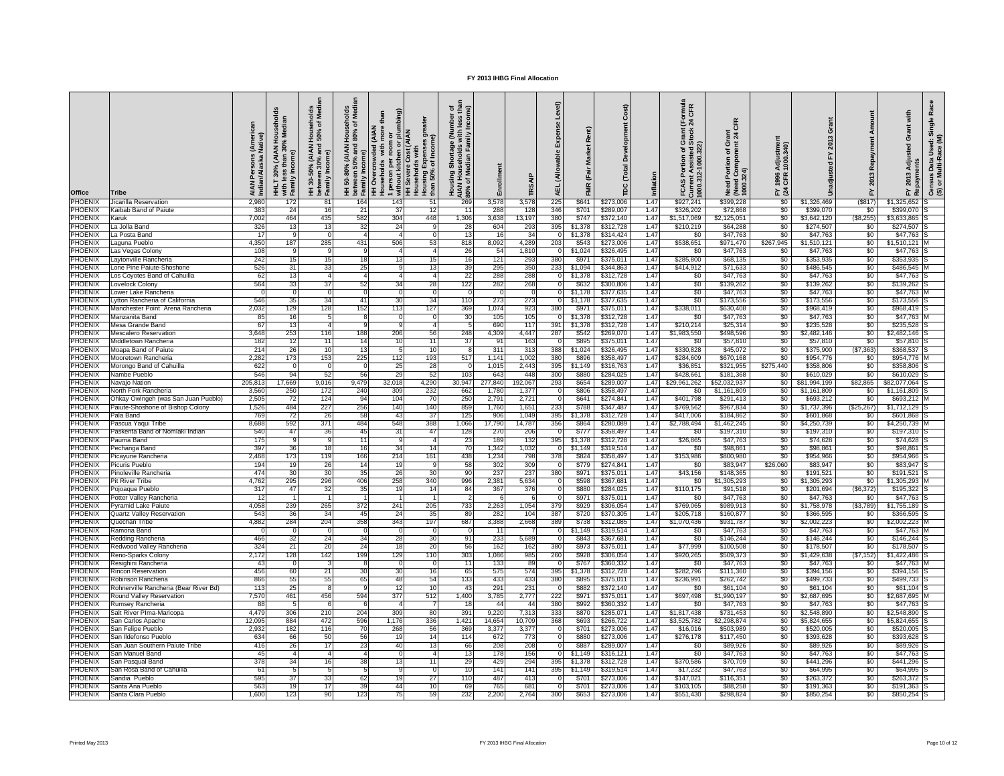| Office                         | Tribe                                                                   | AIAN Persons (Americ.<br>Indian/Alaska Native) | HHLT 30% (AIAN Househol<br>with less than 30% Median<br>Family Income) | holds<br>f Med<br>Househ<br>  50% of<br>(AIAN I)<br>$\widehat{\mathbf{e}}$<br>HH 30-50%<br>between 30'<br>Family Inco | Households<br>I 80% of Media<br>HH 50-80% (AIAN H<br>between 50% and &<br>Family Income) | HH Overcrowded (AIAN<br>  Households with more than<br>  person per room or<br>  שונוחטות kitchen or plumbing | e Cost (AIAN<br>ā<br>than 50% of Income)<br>ă<br>HH Sever<br>Housing | ិ ក្ន<br>ି<br>(Number<br>lncor<br>Family<br>Shortage<br>ã<br>Media<br>Housing \$<br>AIAN Hous<br>80% of Me | Enrollment               | 흔              | Level)<br>Exp<br><b>AEL</b> (Allowable | Rent)<br><b>Market</b><br>(Fair | Cost)<br><b>Development</b><br>Total<br>ě | Inflation    | ormula<br>1 CFR<br>E 2<br>Grant<br>Stock<br><b>Current Assisted St</b><br>1000.312-1000.322)<br>চ র<br>Portion<br>FCAS | CFR<br>ಕ್ಷ ಸ<br>Need Portion of Gra<br>(Need Component 2)<br>100.324) | Adjustmen<br>1000.340)<br>1996<br>CFR<br>도질 | ة<br>قا<br>준             | Repayment Amount<br>2013<br>모 | with<br>Adjusted Grant<br>FY 2013 Adju<br>Repayments | Race<br>Census Data Used: Single<br>(S) or Multi-Race (M) |
|--------------------------------|-------------------------------------------------------------------------|------------------------------------------------|------------------------------------------------------------------------|-----------------------------------------------------------------------------------------------------------------------|------------------------------------------------------------------------------------------|---------------------------------------------------------------------------------------------------------------|----------------------------------------------------------------------|------------------------------------------------------------------------------------------------------------|--------------------------|----------------|----------------------------------------|---------------------------------|-------------------------------------------|--------------|------------------------------------------------------------------------------------------------------------------------|-----------------------------------------------------------------------|---------------------------------------------|--------------------------|-------------------------------|------------------------------------------------------|-----------------------------------------------------------|
| <b>PHOENIX</b>                 | Jicarilla Reservation                                                   | 2,980                                          | 172                                                                    | 81                                                                                                                    | 164                                                                                      | 143                                                                                                           | 51                                                                   | 269                                                                                                        | 3,578                    | 3,578          | 225                                    | S641                            | \$273,006                                 | 1.47         | \$927,241                                                                                                              | \$399,228                                                             | \$0                                         | \$1,326,469              | (\$817)                       | \$1,325,652                                          |                                                           |
| PHOENIX                        | Kaibab Band of Paiute                                                   | 383                                            | 24                                                                     | 16                                                                                                                    | 21                                                                                       | 37                                                                                                            | 12                                                                   | 11                                                                                                         | 288                      | 128            | 346                                    | \$701                           | \$289,007                                 | 1.47         | \$326,202                                                                                                              | \$72,868                                                              | \$0                                         | \$399.070                | \$0                           | \$399,070                                            |                                                           |
| <b>PHOENIX</b>                 | Karuk                                                                   | 7.002                                          | 464                                                                    | 435                                                                                                                   | 582                                                                                      | 304                                                                                                           | 448                                                                  | 1.306                                                                                                      | 3.638                    | 13,197         | 380                                    | <b>\$747</b>                    | \$372,140                                 | 1.47         | \$1.517.069                                                                                                            | \$2.125.051                                                           | SO.                                         | \$3,642,120              | (\$8,255)                     | \$3.633.865                                          |                                                           |
| <b>PHOENIX</b><br>PHOENIX      | La Jolla Band<br>La Posta Band                                          | 326<br>17                                      | 13                                                                     | $\overline{1}$                                                                                                        | 32                                                                                       | 24                                                                                                            |                                                                      | 28<br>1:                                                                                                   | 604<br>16                | 293<br>34      | 395                                    | \$1,378<br>\$1,378              | \$312,728<br>\$314,424                    | 1.47<br>1.47 | \$210,219<br>30                                                                                                        | \$64,288<br>\$47,763                                                  | \$0<br>\$0                                  | \$274,507<br>\$47,763    | \$0<br>\$0                    | \$274,507<br>\$47,763                                |                                                           |
| PHOENIX                        | aquna Pueblo                                                            | 4,350                                          | 187                                                                    | 285                                                                                                                   | 431                                                                                      | 506                                                                                                           | 53                                                                   | 818                                                                                                        | 8,092                    | 4,289          | 203                                    | \$543                           | \$273,006                                 | 1.47         | \$538,651                                                                                                              | \$971,470                                                             | \$267,945                                   | \$1,510,121              | \$0                           | \$1,510,121                                          |                                                           |
| PHOENIX                        | Las Vegas Colony                                                        | 108                                            |                                                                        |                                                                                                                       |                                                                                          |                                                                                                               |                                                                      | 26                                                                                                         | 54                       | 1,810          |                                        | \$1,024                         | \$326,495                                 | 1.47         | S0                                                                                                                     | \$47,763                                                              | \$0                                         | \$47,763                 | SO.                           | \$47,763                                             |                                                           |
| <b>HOENIX</b>                  | aytonville Rancheria                                                    | 24                                             |                                                                        |                                                                                                                       |                                                                                          |                                                                                                               |                                                                      |                                                                                                            | 121                      | 293            | 380                                    | <b>\$97</b>                     | \$375,011                                 | 1.47         | \$285,800                                                                                                              | \$68,135                                                              | \$0                                         | \$353,93                 | \$0                           | \$353,935                                            |                                                           |
| <b>HOENIX</b>                  | one Pine Paiute-Shoshone                                                | 526                                            | 31                                                                     | 33                                                                                                                    |                                                                                          |                                                                                                               | 13                                                                   | 39                                                                                                         | 295                      | 350            | 233                                    | \$1,094                         | \$344,863                                 | 1.47         | \$414,912                                                                                                              | \$71,633                                                              | \$0                                         | \$486,545                | \$0                           | \$486,545                                            |                                                           |
| <b>HOENIX</b>                  | Los Coyotes Band of Cahuilla                                            | 62                                             | 13                                                                     |                                                                                                                       |                                                                                          |                                                                                                               |                                                                      | 22                                                                                                         | 288                      | 288            |                                        | \$1,378                         | \$312,728                                 | 1.47         | \$0                                                                                                                    | \$47,763                                                              | \$0                                         | \$47,763                 | \$0                           | \$47,763                                             |                                                           |
| <b>HOENIX</b>                  | _ovelock Colony                                                         | 564                                            | 33                                                                     | 37                                                                                                                    | 52                                                                                       | 34                                                                                                            | 28                                                                   | 122                                                                                                        | 282                      | 268            |                                        | \$632                           | \$300,806                                 | 1.47         | \$0                                                                                                                    | \$139,262                                                             | \$0                                         | \$139,262                | \$0                           | \$139,262                                            |                                                           |
| <b>HOENIX</b>                  | Lower Lake Rancheria                                                    |                                                |                                                                        |                                                                                                                       |                                                                                          |                                                                                                               |                                                                      |                                                                                                            |                          |                |                                        | \$1,178                         | \$377,635                                 | 1.47         | \$0                                                                                                                    | \$47,763                                                              | \$0                                         | \$47,763                 | \$0                           | \$47,763                                             |                                                           |
| <b>HOENIX</b>                  | ytton Rancheria of California                                           | 546                                            |                                                                        |                                                                                                                       | 41                                                                                       | 30                                                                                                            | 34                                                                   | 11                                                                                                         | 273                      | 273            |                                        | \$1,178                         | \$377,635                                 | 1.47         | \$0                                                                                                                    | \$173,556                                                             | \$0                                         | \$173,556                | \$0                           | \$173,556                                            |                                                           |
| HOENIX                         | Manchester Point Arena Rancheria                                        | 2,03                                           | 129                                                                    | 128                                                                                                                   | 152                                                                                      | 113                                                                                                           | 127                                                                  | 369                                                                                                        | 1,074                    | 923            | 380                                    | \$97                            | \$375,011                                 | 1.47         | \$338,011                                                                                                              | \$630,408                                                             | \$0                                         | \$968,419                | \$0                           | \$968,419                                            |                                                           |
| <b>HOENIX</b><br><b>HOENIX</b> | Manzanita Band<br><i>l</i> lesa Grande Banc                             | 6                                              |                                                                        |                                                                                                                       |                                                                                          |                                                                                                               |                                                                      | зс                                                                                                         | 105<br>690               | 105<br>117     | 391                                    | \$1,37                          | \$312,728                                 | 1.4          | SС                                                                                                                     | \$47,763<br>\$25,314                                                  | \$0<br>\$0                                  | \$47,763<br>\$235,52     | \$0<br>\$0                    | \$47,763<br>\$235,528                                |                                                           |
| HOENIX                         | <b>Mescalero Reservation</b>                                            | 3,64                                           | 253                                                                    |                                                                                                                       |                                                                                          | 206                                                                                                           | 56                                                                   | 248                                                                                                        | 4,309                    | 4,447          | 287                                    | \$1,37<br>\$54                  | \$312,728<br>\$269,070                    | 1.47<br>1.47 | \$210,214<br>\$1,983,550                                                                                               | \$498,596                                                             | \$0                                         | \$2,482,146              | \$0                           | \$2,482,146                                          |                                                           |
| <b>HOENIX</b>                  | Middletown Rancheria                                                    | 182                                            |                                                                        |                                                                                                                       |                                                                                          | 10                                                                                                            | 11                                                                   | 37                                                                                                         | -9                       | 163            |                                        | \$895                           | \$375,011                                 | 1.47         | \$C                                                                                                                    | \$57,810                                                              | \$0                                         | \$57,810                 | \$0                           | \$57,810                                             |                                                           |
| <b>PHOENIX</b>                 | Moapa Band of Paiute                                                    | 214                                            | 26                                                                     | 10                                                                                                                    |                                                                                          |                                                                                                               | 10                                                                   |                                                                                                            | 311                      | 313            | 388                                    | \$1,024                         | \$326,495                                 | 1.47         | \$330,828                                                                                                              | \$45,072                                                              | \$0                                         | \$375,900                | (\$7,363                      | \$368,537                                            |                                                           |
| <b>HOENIX</b>                  | Mooretown Rancheria                                                     | 2,28i                                          | 173                                                                    | 153                                                                                                                   | 225                                                                                      | 112                                                                                                           | 193                                                                  | 517                                                                                                        | 1,141                    | 1,002          | 380                                    | \$896                           | \$358,497                                 | 1.47         | \$284,609                                                                                                              | \$670,168                                                             | \$0                                         | \$954,776                | \$0                           | \$954,776                                            |                                                           |
| <b>HOENIX</b>                  | Morongo Band of Cahuilla                                                | 622                                            |                                                                        |                                                                                                                       |                                                                                          | 25                                                                                                            | 28                                                                   |                                                                                                            | 1,01                     | 2,44           | 395                                    | \$1,149                         | \$316,763                                 | 1.47         | \$36,85                                                                                                                | \$321,955                                                             | \$275,440                                   | \$358,806                | \$0                           | \$358,806                                            |                                                           |
| <b>HOENIX</b>                  | Nambe Pueblo                                                            | 546                                            | 94                                                                     | 52                                                                                                                    | 56                                                                                       | 29                                                                                                            | 52                                                                   | 103                                                                                                        | 643                      | 448            | 300                                    | \$880                           | \$284,025                                 | 1.47         | \$428,661                                                                                                              | \$181,368                                                             | \$0                                         | \$610,029                | \$0                           | \$610,029                                            |                                                           |
| <b>HOENIX</b>                  | Navajo Nation                                                           | 205,813                                        | 17,669                                                                 | 9,016                                                                                                                 | 9,479                                                                                    | 32,018                                                                                                        | 4,290                                                                | 30,947                                                                                                     | 277,840                  | 192,067        | 293                                    | \$654                           | \$289,007                                 | 1.47         | \$29,961,262                                                                                                           | \$52,032,937                                                          | \$0                                         | \$81,994,199             | \$82,865                      | \$82,077,064                                         |                                                           |
| <b>HOENIX</b>                  | North Fork Rancheria                                                    | 3,560                                          | 250                                                                    | 172                                                                                                                   | 240                                                                                      | 309                                                                                                           | 232                                                                  | 662                                                                                                        | 1,780                    | 1,37           |                                        | \$806                           | \$358,497                                 | 1.47         | S0                                                                                                                     | \$1,161,809                                                           | \$0                                         | \$1,161,809              | \$0                           | \$1,161,809                                          |                                                           |
| <b>HOENIX</b><br><b>HOENIX</b> | Ohkay Owingeh (was San Juan Pueblo)<br>Paiute-Shoshone of Bishop Colony | 2,505<br>1,526                                 | 72<br>484                                                              | 124<br>227                                                                                                            | 94<br>256                                                                                | 104<br>140                                                                                                    | 70<br>140                                                            | 250<br>859                                                                                                 | 2,79'<br>1,760           | 2,721<br>1,651 | 233                                    | <b>\$641</b><br>\$788           | \$274,841<br>\$347,487                    | 1.47<br>1.47 | \$401,798<br>\$769,562                                                                                                 | \$291,413<br>\$967,834                                                | \$0<br>\$0                                  | \$693,212<br>\$1,737,396 | \$0<br>(\$25, 267)            | \$693,212<br>\$1,712,129                             |                                                           |
| <b>HOENIX</b>                  | Pala Band                                                               | 769                                            | 72                                                                     | 26                                                                                                                    | 58                                                                                       | 43                                                                                                            | 37                                                                   | 125                                                                                                        | 906                      | 1,049          | 395                                    | \$1,378                         | \$312,728                                 | 1.47         | \$417,006                                                                                                              | \$184,862                                                             | \$0                                         | \$601,868                | \$0                           | \$601,868                                            |                                                           |
| PHOENIX                        | Pascua Yaqui Tribe                                                      | 8,688                                          | 592                                                                    | 371                                                                                                                   | 484                                                                                      | 548                                                                                                           | 388                                                                  | 1,066                                                                                                      | 17,790                   | 14,787         | 356                                    | \$864                           | \$280,089                                 | 1.47         | \$2,788,494                                                                                                            | \$1,462,245                                                           | \$0                                         | \$4,250,739              | \$0                           | \$4,250,739                                          |                                                           |
| <b>HOENIX</b>                  | askenta Band of Nomlaki Indian                                          | 540                                            | 47                                                                     | 36                                                                                                                    | 45                                                                                       | 31                                                                                                            | 47                                                                   | 128                                                                                                        | 270                      | 206            |                                        | \$777                           | \$358,497                                 | 1.47         | \$0                                                                                                                    | \$197,310                                                             | \$0                                         | \$197,310                | \$0                           | \$197,31                                             |                                                           |
| <b>PHOENIX</b>                 | <sup>9</sup> auma Band                                                  | 175                                            |                                                                        |                                                                                                                       | 11                                                                                       |                                                                                                               |                                                                      | 23                                                                                                         | 189                      | 132            | 395                                    | \$1,378                         | \$312,728                                 | 1.47         | \$26,865                                                                                                               | \$47,763                                                              | \$0                                         | \$74,628                 | \$0                           | \$74,628                                             |                                                           |
| <b>HOENIX</b>                  | Pechanga Band                                                           | 397                                            | 36                                                                     | 18                                                                                                                    | 16                                                                                       | 34                                                                                                            | 14                                                                   | 70                                                                                                         | 1,342                    | 1,032          |                                        | \$1,149                         | \$319,514                                 | 1.47         | \$0                                                                                                                    | \$98,861                                                              | \$0                                         | \$98,861                 | \$0                           | \$98,861                                             |                                                           |
| <b>HOENIX</b>                  | icayune Rancheria                                                       | 2,468                                          | 173                                                                    | 119                                                                                                                   | 166                                                                                      | 214                                                                                                           | 161                                                                  | 438                                                                                                        | 1,234                    | 798            | 378                                    | \$824                           | \$358,497                                 | 1.47         | \$153,986                                                                                                              | \$800,980                                                             | \$0                                         | \$954,966                | \$0                           | \$954,966                                            |                                                           |
| <b>HOENIX</b>                  | icuris Pueblo                                                           | 194                                            | 19                                                                     | 26                                                                                                                    | 14                                                                                       | 19                                                                                                            |                                                                      | 58                                                                                                         | 302                      | 309            |                                        | \$779                           | \$274,841                                 | 1.47         | \$0                                                                                                                    | \$83,947                                                              | \$26,060                                    | \$83,947                 | \$0                           | \$83,947                                             |                                                           |
| <b>HOENIX</b><br><b>HOENIX</b> | <sup>9</sup> inoleville Rancheria<br><sup>9</sup> it River Tribe        | 474<br>4,762                                   | 30<br>295                                                              | 30<br>296                                                                                                             | 35<br>406                                                                                | 26<br>258                                                                                                     | 30<br>340                                                            | 90<br>996                                                                                                  | 237<br>2,38'             | 237<br>5,634   | 380                                    | \$97<br>\$598                   | \$375,011<br>\$367,68                     | 1.47<br>1.47 | \$43,156                                                                                                               | \$148,365<br>\$1,305,293                                              | SO.<br>\$0                                  | \$191,52<br>\$1,305,293  | \$0<br>\$0                    | \$191,521                                            |                                                           |
| <b>HOENIX</b>                  | Poioague Pueblo                                                         | 317                                            | 47                                                                     | 32                                                                                                                    | 35                                                                                       | 19                                                                                                            | 14                                                                   | 84                                                                                                         | 367                      | 376            |                                        | \$880                           | \$284,025                                 | 1.47         | \$0<br>\$110,175                                                                                                       | \$91,518                                                              | \$0                                         | \$201,694                | \$6,372                       | \$1.305.293<br>\$195.322                             |                                                           |
| HOENIX                         | Potter Vallev Rancheria                                                 | 12                                             |                                                                        |                                                                                                                       |                                                                                          |                                                                                                               |                                                                      |                                                                                                            |                          |                |                                        | \$97'                           | \$375,011                                 | 1.47         | SС                                                                                                                     | \$47,763                                                              | \$0                                         | \$47,763                 | \$0                           | \$47,763                                             |                                                           |
| HOENIX                         | yramid Lake Paiute                                                      | 4,058                                          | 239                                                                    | 265                                                                                                                   | 372                                                                                      | 241                                                                                                           | 205                                                                  | 733                                                                                                        | 2,263                    | 1,054          | 379                                    | \$929                           | \$306,054                                 | 1.47         | \$769,065                                                                                                              | \$989,913                                                             | \$0                                         | \$1,758,97               | (\$3,789)                     | \$1.755.189                                          |                                                           |
| <b>HOENIX</b>                  | <b>Quartz Valley Reservation</b>                                        | 543                                            | 36                                                                     | 34                                                                                                                    | 45                                                                                       | 24                                                                                                            | 35                                                                   | 89                                                                                                         | 282                      | 104            | 387                                    | \$720                           | \$370,305                                 | 1.47         | \$205,718                                                                                                              | \$160,877                                                             | \$0                                         | \$366,595                | \$0                           | \$366,595                                            |                                                           |
| <b>HOENIX</b>                  | Quechan Tribe                                                           | 4.882                                          | 284                                                                    | 204                                                                                                                   | 358                                                                                      | 343                                                                                                           | 197                                                                  | 687                                                                                                        | 3,388                    | 2,668          | 389                                    | \$738                           | \$312,085                                 | 1.47         | \$1,070,436                                                                                                            | \$931,787                                                             | \$0                                         | \$2,002,223              | \$0                           | \$2.002.223                                          |                                                           |
| <b>HOENIX</b>                  | Ramona Band                                                             |                                                |                                                                        |                                                                                                                       |                                                                                          |                                                                                                               |                                                                      |                                                                                                            |                          |                |                                        | \$1,149                         | \$319,514                                 | 1.47         | .SO                                                                                                                    | \$47,763                                                              | $\$0$                                       | \$47,763                 | \$0                           | \$47,763                                             |                                                           |
| HOENIX                         | रेedding Rancheria                                                      | 466                                            | 32                                                                     | 24                                                                                                                    | 34                                                                                       | 28                                                                                                            | 30                                                                   | 91                                                                                                         | 233                      | 5.689          |                                        | \$843                           | \$367,681                                 | 1.47         | SO.                                                                                                                    | \$146,244                                                             | \$0                                         | \$146,244                | \$0                           | \$146,244                                            |                                                           |
| <b>HOENIX</b><br><b>HOENIX</b> | Redwood Valley Rancheria<br>रेeno-Sparks Colony                         | 324<br>2,172                                   | 21<br>128                                                              | 20<br>142                                                                                                             | 24<br>199                                                                                | 18<br>129                                                                                                     | 20<br>110                                                            | 56<br>303                                                                                                  | 162<br>1,086             | 162<br>985     | 380<br>260                             | \$973<br>\$928                  | \$375,011<br>\$306,054                    | 1.47<br>1.47 | \$77,999<br>\$920,265                                                                                                  | \$100,508<br>\$509,373                                                | \$0<br>\$0                                  | \$178,507<br>\$1,429,638 | \$0<br>\$7,152)               | \$178,507<br>\$1,422,486                             |                                                           |
| HOENIX                         | Resighini Rancheria                                                     | 43                                             |                                                                        |                                                                                                                       |                                                                                          |                                                                                                               |                                                                      | 11                                                                                                         | 133                      | 89             |                                        | \$767                           | \$360,332                                 | 1.47         | \$0                                                                                                                    | \$47,763                                                              | \$0                                         | \$47,763                 | \$0                           | \$47,763                                             |                                                           |
| <b>HOENIX</b>                  | Rincon Reservation                                                      | 456                                            | 60                                                                     | 21                                                                                                                    | 30                                                                                       | 30                                                                                                            | 16                                                                   | 65                                                                                                         | 575                      | 574            | 395                                    | \$1,378                         | \$312,728                                 | 1.47         | \$282,796                                                                                                              | \$111,360                                                             | \$0                                         | \$394,156                | \$0                           | \$394,156                                            |                                                           |
| HOENIX                         | ≷obinson Rancheria                                                      | 866                                            | 55                                                                     | 55                                                                                                                    | 65                                                                                       | 48                                                                                                            | 54                                                                   | 133                                                                                                        | 433                      | 433            | 380                                    | \$895                           | \$375,011                                 | 1.47         | \$236,991                                                                                                              | \$262,742                                                             | \$0                                         | \$499,733                | \$0                           | \$499,733                                            |                                                           |
| <b>HOENIX</b>                  | Rohnerville Rancheria (Bear River Bd)                                   | 113                                            | 25                                                                     |                                                                                                                       |                                                                                          | 12                                                                                                            | 10                                                                   | 43                                                                                                         | 291                      | 231            |                                        | \$882                           | \$372,140                                 | 1.47         | \$0                                                                                                                    | \$61,104                                                              | \$0                                         | \$61,104                 | \$0                           | \$61,104                                             |                                                           |
| <b>HOENIX</b>                  | ound Vallev Reservation                                                 | 7,570                                          | 461                                                                    | 456                                                                                                                   | 594                                                                                      | 377                                                                                                           | 512                                                                  | 1,400                                                                                                      | 3,785                    | 2,777          | 222                                    | \$97 <sup>-</sup>               | \$375,011                                 | 1.47         | \$697,498                                                                                                              | \$1,990,197                                                           | \$0                                         | \$2,687,695              | \$0                           | \$2,687,695                                          |                                                           |
| HOENIX                         | Rumsev Rancheria                                                        | R۶                                             |                                                                        |                                                                                                                       |                                                                                          |                                                                                                               |                                                                      |                                                                                                            | $\overline{\mathcal{A}}$ | -44            | 380                                    | \$992                           | \$360,332                                 | 1.47         | SC.                                                                                                                    | \$47,763                                                              | \$0                                         | \$47,763                 | \$0                           | \$47,763                                             |                                                           |
| <b>HOENIX</b>                  | Salt River PIma-Maricopa                                                | 4.479                                          | 306                                                                    | 210                                                                                                                   | 204                                                                                      | 309                                                                                                           | 80                                                                   | 391                                                                                                        | 9,220                    | 7,313          | 333                                    | \$870                           | \$285,071                                 | 1.47         | $$1,\overline{817},\overline{438}$                                                                                     | \$731,453                                                             | \$0                                         | \$2,548,890              | \$0                           | \$2.548.890                                          |                                                           |
| <b>HOENIX</b>                  | San Carlos Apache                                                       | 2.09                                           | 884                                                                    | 472                                                                                                                   | 596<br>70                                                                                | 1,176                                                                                                         | 336                                                                  | 1,421                                                                                                      | 14,654                   | 10,709         | 368                                    | \$693                           | \$266,722                                 | 1.47         | \$3,525,782                                                                                                            | \$2,298,874                                                           | $\$0$                                       | \$5,824,655              | \$0                           | \$5,824,655                                          |                                                           |
| <b>HOENIX</b><br><b>HOENIX</b> | San Felipe Pueblo<br>San Ildefonso Pueblo                               | 2,932<br>634                                   | 182<br>66                                                              | 116<br>50                                                                                                             | 56                                                                                       | 268<br>19                                                                                                     | 56<br>14                                                             | 369<br>114                                                                                                 | 3,37<br>672              | 3,377<br>773   |                                        | \$701<br>\$880                  | \$273,006<br>\$273,006                    | 1.47<br>1.47 | \$16,016<br>\$276,178                                                                                                  | \$503,989<br>\$117,450                                                | \$0<br>\$0                                  | \$520,005<br>\$393,628   | \$0<br>\$0                    | \$520,005<br>\$393,628                               |                                                           |
| <b>HOENIX</b>                  | San Juan Southern Paiute Tribe                                          | 416                                            | 26                                                                     | 17                                                                                                                    |                                                                                          | 40                                                                                                            |                                                                      | 66                                                                                                         | 208                      | 208            |                                        | \$887                           | \$289,007                                 | 1.47         | \$0                                                                                                                    | \$89,926                                                              | \$0                                         | \$89,926                 | \$0                           | \$89,926                                             |                                                           |
| HOENIX                         | San Manuel Band                                                         | 45                                             |                                                                        |                                                                                                                       |                                                                                          |                                                                                                               |                                                                      |                                                                                                            | 178                      | 156            |                                        | \$1,149                         | \$316,121                                 | 1.47         | \$0                                                                                                                    | \$47,763                                                              | \$0                                         | \$47,763                 | \$0                           | \$47,763                                             |                                                           |
| <b>HOENIX</b>                  | San Pasqual Band                                                        | 375                                            | 34                                                                     | 16                                                                                                                    |                                                                                          | 13                                                                                                            | 11                                                                   | 29                                                                                                         | 429                      | 294            | 395                                    | \$1,378                         | \$312,728                                 | 1.47         | \$370,586                                                                                                              | \$70,709                                                              | \$0                                         | \$441,296                | \$0                           | \$441,296                                            |                                                           |
| <b>PHOENIX</b>                 | San Rosa Band of Cahuilla                                               | 61                                             |                                                                        |                                                                                                                       |                                                                                          |                                                                                                               |                                                                      | 10                                                                                                         | 141                      | 141            | 395                                    | \$1,149                         | \$319,514                                 | 1.47         | \$17,232                                                                                                               | \$47,763                                                              | \$0                                         | \$64,995                 | \$0                           | \$64,995                                             |                                                           |
| <b>HOENIX</b>                  | Sandia Pueblo                                                           | 595                                            | 37                                                                     | 33                                                                                                                    | 62                                                                                       | 19                                                                                                            | 27                                                                   | 110                                                                                                        | 487                      | 413            |                                        | \$701                           | \$273,006                                 | 1.47         | \$147,021                                                                                                              | \$116,351                                                             | \$0                                         | \$263,372                | \$0                           | \$263,372                                            |                                                           |
| <b>PHOENIX</b>                 | Santa Ana Pueblo                                                        | 563                                            | 19                                                                     | 17                                                                                                                    | 39                                                                                       | 44                                                                                                            | 10                                                                   | 69                                                                                                         | 765                      | 681            |                                        | \$701                           | \$273,006                                 | 1.47         | \$103,105                                                                                                              | \$88,258                                                              | \$0                                         | \$191,363                | \$0                           | \$191,363                                            |                                                           |
| PHOENIX                        | Santa Clara Pueblo                                                      | 1,600                                          | 123                                                                    | 90                                                                                                                    | 123                                                                                      | 75                                                                                                            | 59                                                                   | 232                                                                                                        | 2,200                    | 2,764          | 300                                    | \$653                           | \$273,006                                 | 1.47         | \$551,430                                                                                                              | \$298,824                                                             | \$0                                         | \$850,254                | \$0                           | \$850,254                                            |                                                           |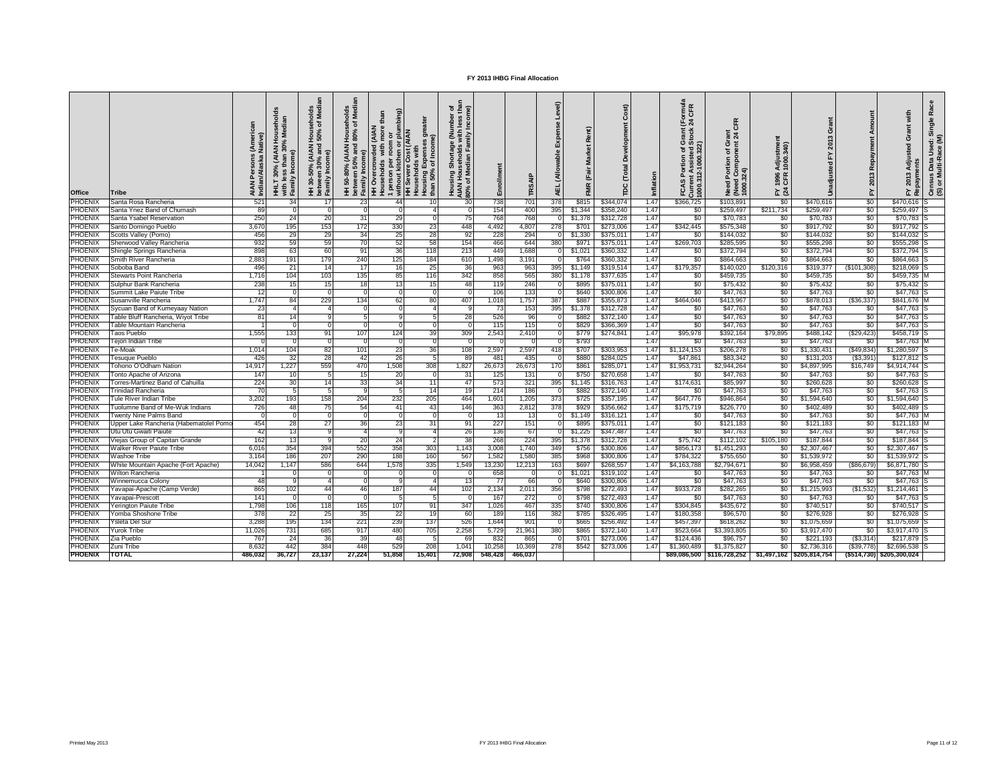| Office         | Tribe                                        | (Americ<br>Native)<br>sons<br>AIAN<br>Indiar | 30% (AIAN Household<br><b>COM</b><br>HHLT 30%<br>with less t<br>Family Inc | <b>buseholds</b><br>I% of Media<br>훈 흚<br><b>AIAN</b><br>ã<br>com<br>30-50%<br>$\epsilon$<br>Family<br>Ξ | Median<br>50-80% (AIAN Households<br>ween 50% and 80% of Med<br>between 50% and<br>Family Income)<br>Ĩ | HH Overcrowded (AIAN<br>Households with more than<br>1 person per room or<br>: without kitchen or plumbing)<br>vded (AIAN<br>with more t | Expenses greater<br>of Income)<br>vere Cost (AIAN<br>50%<br>Househol<br>Housing I<br>than 50%<br>HH Sev | ច ខ្មី<br>Income)<br>ぎ<br>Family<br>Median<br>အိ<br><b>Pa</b><br>৳<br>Hous<br>AIAN<br>80% o | Enrollme        | Æ       | Level)<br>ιã<br>⊾<br>(Allowable<br>AEL |              | Cost)<br>Development<br>$\overline{a}$<br>ĕ<br>ě |      | ormula<br>I CFR<br>≝ี ส<br>Grant<br>Stock<br>ិ<br>ខេត្ត<br>ភូមិ<br>rtion<br><b>Current Assiste<br/>1000.312-1000.3</b><br>ဥ<br>S<br>Š | CFR<br>೯ ಸ<br>(Need Component<br>1000.324)<br>of Gi<br>Need Portion | Adjustme<br>1000.340)<br>1996<br>CFR<br>$\geq \frac{3}{2}$ |                           | Repayment<br>2013<br>놊 | with<br>Grant<br>Adjusted<br>2013<br>도론 | œ<br>Census Data Used: Single<br>(S) or Multi-Race (M) |
|----------------|----------------------------------------------|----------------------------------------------|----------------------------------------------------------------------------|----------------------------------------------------------------------------------------------------------|--------------------------------------------------------------------------------------------------------|------------------------------------------------------------------------------------------------------------------------------------------|---------------------------------------------------------------------------------------------------------|---------------------------------------------------------------------------------------------|-----------------|---------|----------------------------------------|--------------|--------------------------------------------------|------|---------------------------------------------------------------------------------------------------------------------------------------|---------------------------------------------------------------------|------------------------------------------------------------|---------------------------|------------------------|-----------------------------------------|--------------------------------------------------------|
| PHOENIX        | Santa Rosa Rancheria                         | 521                                          | 34                                                                         | 17                                                                                                       | 23                                                                                                     | 44                                                                                                                                       |                                                                                                         | 30                                                                                          | 738             | 701     | 378                                    | <b>\$815</b> | \$344,074                                        | 1.47 | \$366,725                                                                                                                             | \$103,891                                                           | \$0                                                        | \$470,616                 | \$0                    | \$470,616                               |                                                        |
| PHOENIX        | Santa Ynez Band of Chumash                   | 89                                           |                                                                            |                                                                                                          |                                                                                                        |                                                                                                                                          |                                                                                                         | 0                                                                                           | 154             | 400     | 395                                    | \$1,344      | \$358,240                                        | 1.47 | \$0                                                                                                                                   | \$259,497                                                           | \$211,734                                                  | \$259,497                 | \$0                    | \$259,497                               |                                                        |
| PHOENIX        | Santa Ysabel Reservation                     | 250                                          | 24                                                                         | 20                                                                                                       | 31                                                                                                     | 29                                                                                                                                       |                                                                                                         | 75                                                                                          | 768             | 768     |                                        | \$1,378      | \$312,728                                        | 1.47 | \$0                                                                                                                                   | \$70,783                                                            | \$0                                                        | \$70,783                  | \$0                    | \$70,783                                |                                                        |
| PHOENIX        | Santo Domingo Pueblo                         | 3,670                                        | 195                                                                        | 153                                                                                                      | 172                                                                                                    | 330                                                                                                                                      | 23                                                                                                      | 448                                                                                         | 4,492           | 4,807   | 278                                    | \$70'        | \$273,006                                        | 1.47 | \$342,445                                                                                                                             | \$575,348                                                           | \$0                                                        | \$917,792                 | \$0                    | \$917,792                               |                                                        |
| PHOENIX        | Scotts Valley (Pomo)                         | 456                                          | 29                                                                         | 29                                                                                                       | 34                                                                                                     | 25                                                                                                                                       | 28                                                                                                      | 92                                                                                          | 228             | 294     |                                        | \$1,330      | \$375,01                                         | 1.47 | \$0                                                                                                                                   | \$144,032                                                           | \$0                                                        | \$144,032                 | \$0                    | \$144,032                               |                                                        |
| PHOENI)        | Sherwood Valley Rancheria                    | 932                                          | 59                                                                         | 59                                                                                                       | 70                                                                                                     | 52                                                                                                                                       | 58                                                                                                      | 154                                                                                         | 466             | 644     | 380                                    | \$97         | \$375,01                                         | 1.47 | \$269,703                                                                                                                             | \$285,595                                                           | \$0                                                        | \$555,298                 | \$0                    | \$555,298                               |                                                        |
| <b>PHOENIX</b> | Shingle Springs Rancheria                    | 898                                          | 63                                                                         | 60                                                                                                       | 91                                                                                                     | 36                                                                                                                                       | 118                                                                                                     | 213                                                                                         | 449             | 1,688   |                                        | \$1,02       | \$360,332                                        | 1.47 | \$0                                                                                                                                   | \$372,794                                                           | \$0                                                        | \$372,794                 | \$0                    | \$372,794                               |                                                        |
| PHOENIX        | Smith River Rancheria                        | 2,883                                        | 191                                                                        | 179                                                                                                      | 240                                                                                                    | 125                                                                                                                                      | 184                                                                                                     | 610                                                                                         | 1,498           | 3,191   |                                        | \$764        | \$360,332                                        | 1.47 | \$0                                                                                                                                   | \$864,663                                                           | \$0                                                        | \$864,663                 | \$0                    | \$864,663                               |                                                        |
| PHOENIX        | Soboba Band                                  | 496                                          | 21                                                                         | 14                                                                                                       | 17                                                                                                     | 16                                                                                                                                       | 25                                                                                                      | 36                                                                                          | 963             | 963     | 395                                    | \$1,149      | \$319,514                                        | 1.47 | \$179,357                                                                                                                             | \$140,020                                                           | \$120,316                                                  | \$319,377                 | $($ \$101,308)         | \$218,069                               |                                                        |
| PHOENIX        | Stewarts Point Rancheria                     | 1,716                                        | 104                                                                        | 103                                                                                                      | 135                                                                                                    | 85                                                                                                                                       | 116                                                                                                     | 342                                                                                         | 858             | 565     | 380                                    | \$1,178      | \$377,635                                        | 1.47 | \$0                                                                                                                                   | \$459,735                                                           | \$0                                                        | \$459,735                 | \$0                    | \$459,735                               |                                                        |
| PHOENIX        | Sulphur Bank Rancheria                       | 238                                          | 15                                                                         | 15                                                                                                       | 18                                                                                                     | 13                                                                                                                                       |                                                                                                         | 48                                                                                          | 11 <sub>S</sub> | 246     |                                        | \$895        | \$375,01                                         | 1.47 | \$0                                                                                                                                   | \$75,432                                                            | \$0                                                        | \$75,432                  | \$0                    | \$75,432                                |                                                        |
| PHOENIX        | Summit Lake Paiute Tribe                     | 12                                           | $\Omega$                                                                   |                                                                                                          | $\Omega$                                                                                               | $\Omega$                                                                                                                                 |                                                                                                         | 0                                                                                           | 106             | 133     |                                        | \$640        | \$300,806                                        | 1.47 | SO.                                                                                                                                   | \$47,763                                                            | \$0                                                        | \$47,763                  | \$0                    | \$47,763                                |                                                        |
| PHOENIX        | Susanville Rancheria                         | 1,747                                        | 84                                                                         | 229                                                                                                      | 134                                                                                                    | 62                                                                                                                                       | 80                                                                                                      | 407                                                                                         | 1,018           | 1,757   | 387                                    | \$88         | \$355,873                                        | 1.47 | \$464,046                                                                                                                             | \$413,967                                                           | \$0                                                        | \$878,013                 | ( \$36, 337)           | \$841,676                               |                                                        |
| <b>PHOENIX</b> | Sycuan Band of Kumeyaay Nation               | 23                                           | $\overline{4}$                                                             |                                                                                                          |                                                                                                        | $\Omega$                                                                                                                                 |                                                                                                         |                                                                                             | 73              | 153     | 395                                    | \$1,378      | \$312,728                                        | 1.47 | \$0                                                                                                                                   | \$47,763                                                            | \$0                                                        | \$47,763                  | \$0                    | \$47,763                                |                                                        |
| PHOENIX        | Table Bluff Rancheria, Wiyot Tribe           | 81                                           | 14                                                                         |                                                                                                          |                                                                                                        |                                                                                                                                          |                                                                                                         | 28                                                                                          | 526             | 96      |                                        | \$882        | \$372,140                                        | 1.47 | \$0                                                                                                                                   | \$47,763                                                            | \$0                                                        | \$47,763                  | \$0                    | \$47,763                                |                                                        |
| <b>PHOENIX</b> | Table Mountain Rancheria                     |                                              |                                                                            |                                                                                                          |                                                                                                        |                                                                                                                                          |                                                                                                         |                                                                                             | 115             | 115     |                                        | \$829        | \$366,369                                        | 1.47 | \$0                                                                                                                                   | \$47,763                                                            | \$0                                                        | \$47,763                  | \$0                    | \$47,763                                |                                                        |
| PHOENIX        | Taos Pueblo                                  | 1,555                                        | 133                                                                        | 91                                                                                                       | 107                                                                                                    | 124                                                                                                                                      | 39                                                                                                      | 309                                                                                         | 2,543           | 2,410   |                                        | \$779        | \$274,841                                        | 1.47 | \$95,978                                                                                                                              | \$392,164                                                           | \$79,895                                                   | \$488,142                 | ( \$29, 423)           | \$458,719                               |                                                        |
| <b>PHOENIX</b> | 「ejon Indian Tribe                           |                                              |                                                                            |                                                                                                          |                                                                                                        |                                                                                                                                          |                                                                                                         |                                                                                             |                 |         |                                        | \$793        |                                                  | 1.47 | \$0                                                                                                                                   | \$47,763                                                            | \$0                                                        | \$47,763                  | \$0                    | \$47,763                                |                                                        |
| PHOENIX        | "e-Moak                                      | 1,014                                        | 104                                                                        | 82                                                                                                       | 101                                                                                                    | 23                                                                                                                                       | 36                                                                                                      | 108                                                                                         | 2,597           | 2,597   | 418                                    | \$707        | \$303,953                                        | 1.47 | \$1,124,153                                                                                                                           | \$206,278                                                           | \$0                                                        | \$1,330,43                | $($ \$49,834)          | \$1,280,597                             |                                                        |
| PHOENIX        | esuque Pueblo                                | 426                                          | 32                                                                         | 28                                                                                                       | 42                                                                                                     | 26                                                                                                                                       |                                                                                                         | 89                                                                                          | 481             | 435     |                                        | \$880        | \$284,025                                        | 1.4  | \$47,86                                                                                                                               | \$83,342                                                            | \$0                                                        | \$131,203                 | (\$3,391               | \$127,812                               |                                                        |
| PHOENIX        | Tohono O'Odham Nation                        | 14,917                                       | 1,227                                                                      | 559                                                                                                      | 470                                                                                                    | 1,508                                                                                                                                    | 308                                                                                                     | 1,827                                                                                       | 26,673          | 26,673  | 170                                    | \$86         | \$285,07                                         | 1.47 | \$1,953,731                                                                                                                           | \$2,944,264                                                         | \$0                                                        | \$4,897,995               | \$16,749               | \$4,914,744                             |                                                        |
| PHOENIX        | Tonto Apache of Arizona                      | 147                                          | 10                                                                         | 5                                                                                                        | 15                                                                                                     | 20                                                                                                                                       |                                                                                                         | 31                                                                                          | 125             | 131     |                                        | \$750        | \$270,658                                        | 1.47 | \$0                                                                                                                                   | \$47,763                                                            | \$0                                                        | \$47,763                  | \$0                    | \$47,763                                |                                                        |
| PHOENIX        | <sup>r</sup> orres-Martinez Band of Cahuilla | 224                                          | 30                                                                         | 14                                                                                                       | 33                                                                                                     | 34                                                                                                                                       |                                                                                                         | 47                                                                                          | 573             | 321     | 395                                    | \$1,145      | \$316,763                                        | 1.47 | \$174.631                                                                                                                             | \$85,997                                                            | \$0                                                        | \$260,628                 | \$0                    | \$260,628                               |                                                        |
| PHOENIX        | rinidad Rancheria                            | 70                                           |                                                                            |                                                                                                          |                                                                                                        |                                                                                                                                          |                                                                                                         | 19                                                                                          | 214             | 186     |                                        | \$882        | \$372,140                                        | 1.47 | SO.                                                                                                                                   | \$47,763                                                            | \$0                                                        | \$47,763                  | \$0                    | \$47,763                                |                                                        |
| <b>PHOENIX</b> | Tule River Indian Tribe                      | 3,202                                        | 193                                                                        | 158                                                                                                      | 204                                                                                                    | 232                                                                                                                                      | 205                                                                                                     | 464                                                                                         | 1,601           | 1,205   | 373                                    | \$725        | \$357,195                                        | 1.47 | \$647,776                                                                                                                             | \$946,864                                                           | \$0                                                        | \$1,594,640               | \$0                    | \$1,594,640                             |                                                        |
| PHOENIX        | uolumne Band of Me-Wuk Indians               | 726                                          | 48                                                                         | 75                                                                                                       | 54                                                                                                     | 41                                                                                                                                       | 43                                                                                                      | 146                                                                                         | 363             | 2,812   | 378                                    | \$929        | \$356,662                                        | 1.47 | \$175,719                                                                                                                             | \$226,770                                                           | \$0                                                        | \$402,489                 | \$0                    | \$402,489                               |                                                        |
| PHOENIX        | Twenty Nine Palms Band                       | $\Omega$                                     | $\Omega$                                                                   |                                                                                                          | $\Omega$                                                                                               | $\Omega$                                                                                                                                 |                                                                                                         |                                                                                             | -13             | 13      |                                        | \$1,149      | \$316,12                                         | 1.47 | \$0                                                                                                                                   | \$47,763                                                            | \$0                                                        | \$47,763                  | \$0                    | \$47,763                                |                                                        |
| PHOENIX        | Jpper Lake Rancheria (Habematolel Pom        | 454                                          | 28                                                                         | 27                                                                                                       | 36                                                                                                     | 23                                                                                                                                       | 31                                                                                                      | 91                                                                                          | 227             | 151     |                                        | \$895        | \$375,011                                        | 1.47 | \$0                                                                                                                                   | \$121,183                                                           | \$0                                                        | \$121,183                 | \$0                    | \$121,183                               |                                                        |
| <b>PHOENIX</b> | Utu Utu Gwaiti Paiute                        | 42                                           | 13                                                                         |                                                                                                          |                                                                                                        |                                                                                                                                          |                                                                                                         | 26                                                                                          | 136             | 67      |                                        | \$1,225      | \$347,487                                        | 1.47 | \$0                                                                                                                                   | \$47,763                                                            | \$0                                                        | \$47,763                  | \$0                    | \$47,763                                |                                                        |
| PHOENIX        | Viejas Group of Capitan Grande               | 162                                          | 13                                                                         | 9                                                                                                        | 20                                                                                                     | 24                                                                                                                                       |                                                                                                         | 38                                                                                          | 268             | 224     | 395                                    | \$1,378      | \$312,728                                        | 1.47 | \$75,742                                                                                                                              | \$112,102                                                           | \$105,180                                                  | \$187,844                 | \$0                    | \$187,844                               |                                                        |
| PHOENIX        | Walker River Paiute Tribe                    | 6,016                                        | 354                                                                        | 394                                                                                                      | 552                                                                                                    | 358                                                                                                                                      | 303                                                                                                     | 1,143                                                                                       | 3,008           | 1,740   | 349                                    | \$756        | \$300,806                                        | 1.47 | \$856,173                                                                                                                             | \$1,451,293                                                         | \$0                                                        | \$2,307,467               | \$0                    | \$2,307,467                             |                                                        |
| PHOENIX        | Washoe Tribe                                 | 3.164                                        | 186                                                                        | 207                                                                                                      | 290                                                                                                    | 188                                                                                                                                      | 160                                                                                                     | 567                                                                                         | 1,582           | 1,580   | 385                                    | \$968        | \$300,806                                        | 1.47 | \$784,322                                                                                                                             | \$755,650                                                           | \$0                                                        | \$1,539,972               | \$0                    | \$1,539,972                             |                                                        |
| PHOENIX        | White Mountain Apache (Fort Apache)          | 14,042                                       | 1,147                                                                      | 586                                                                                                      | 644                                                                                                    | 1,578                                                                                                                                    | 335                                                                                                     | 1,549                                                                                       | 13,230          | 12,213  | 163                                    | \$697        | \$268,557                                        | 1.47 | \$4,163,788                                                                                                                           | \$2,794,671                                                         | \$0                                                        | \$6,958,459               | $($ \$86,679)          | \$6,871,780                             |                                                        |
| PHOENIX        | Wilton Rancheria                             |                                              |                                                                            |                                                                                                          |                                                                                                        |                                                                                                                                          |                                                                                                         |                                                                                             | 658             |         |                                        | \$1,021      | \$319,102                                        | 1.47 | \$0                                                                                                                                   | \$47,763                                                            | \$0                                                        | \$47,763                  | \$0                    | \$47,763                                |                                                        |
| PHOENIX        | Winnemucca Colony                            | 48                                           |                                                                            |                                                                                                          |                                                                                                        |                                                                                                                                          |                                                                                                         | 13                                                                                          | - 77            | 66      |                                        | \$640        | \$300,806                                        | 1.47 | \$0                                                                                                                                   | \$47,763                                                            | \$0                                                        | \$47,763                  | \$0                    | \$47,763                                |                                                        |
| PHOENIX        | Yavapai-Apache (Camp Verde)                  | 865                                          | 102                                                                        | 44                                                                                                       | 46                                                                                                     | 187                                                                                                                                      | 44                                                                                                      | 102                                                                                         | 2,134           | 2,011   | 356                                    | \$798        | \$272,493                                        | 1.47 | \$933,728                                                                                                                             | \$282,265                                                           | \$0                                                        | \$1,215,993               | (\$1,532)              | \$1,214,461                             |                                                        |
| PHOENIX        | Yavapai-Prescotl                             | 141                                          |                                                                            |                                                                                                          |                                                                                                        |                                                                                                                                          |                                                                                                         |                                                                                             | 167             | 272     |                                        | \$798        | \$272,493                                        | 1.47 | SO.                                                                                                                                   | \$47,763                                                            | \$0                                                        | \$47,763                  | \$0                    | \$47,763                                |                                                        |
| PHOENIX        | erington Paiute Tribe                        | 1,798                                        | 106                                                                        | 118                                                                                                      | 165                                                                                                    | 107                                                                                                                                      |                                                                                                         | 347                                                                                         | 1,026           | 467     | 335                                    | \$740        | \$300,806                                        | 1.47 | \$304,845                                                                                                                             | \$435,672                                                           | \$0                                                        | \$740,517                 | \$0                    | \$740,517                               |                                                        |
| <b>PHOENIX</b> | Yomba Shoshone Tribe                         | 378                                          | 22                                                                         | 25                                                                                                       | 35                                                                                                     | 22                                                                                                                                       |                                                                                                         | 60                                                                                          | 189             | 116     | 382                                    | \$785        | \$326,495                                        | 1.47 | \$180,358                                                                                                                             | \$96,570                                                            | \$0                                                        | \$276,928                 | \$0                    | \$276,928                               |                                                        |
| PHOENIX        | Ysleta Del Suı                               | 3,288                                        | 195                                                                        | 134                                                                                                      | 221                                                                                                    | 239                                                                                                                                      | 137                                                                                                     | 526                                                                                         | 1,644           | 901     |                                        | \$665        | \$256,492                                        | 1.47 | \$457,397                                                                                                                             | \$618,262                                                           | \$0                                                        | \$1,075,659               | \$0                    | \$1,075,659                             |                                                        |
| PHOENIX        | Yurok Tribe                                  | 11,026                                       | 731                                                                        | 685                                                                                                      | 917                                                                                                    | 480                                                                                                                                      | 705                                                                                                     | 2,258                                                                                       | 5,729           | 21,961  | 380                                    | \$865        | \$372,140                                        | 1.47 | \$523,664                                                                                                                             | \$3,393,805                                                         | \$0                                                        | \$3,917,470               | \$0                    | \$3,917,470                             |                                                        |
| PHOENIX        | Zia Pueblo                                   | 767                                          | 24                                                                         | 36                                                                                                       | 39                                                                                                     | 48                                                                                                                                       |                                                                                                         | 69                                                                                          | 83              | 865     |                                        | \$70         | \$273,006                                        | 1.47 | \$124,436                                                                                                                             | \$96,757                                                            | \$0                                                        | \$221,193                 | $($ \$3,314)           | \$217,879                               |                                                        |
| PHOENIX        | Zuni Tribe                                   | 8,632                                        | 442                                                                        | 384                                                                                                      | 448                                                                                                    | 529                                                                                                                                      | 208                                                                                                     | 1,041                                                                                       | 10.258          | 10,369  | 278                                    | \$542        | \$273,006                                        | 1.4  | \$1,360,489                                                                                                                           | \$1,375,827                                                         | \$0                                                        | \$2,736,316               | (\$39,778)             | \$2,696,538                             |                                                        |
| <b>PHOENIX</b> | TOTAL                                        | 486,032                                      | 36,727                                                                     | 23,137                                                                                                   | 27,224                                                                                                 | 51,858                                                                                                                                   | 15,401                                                                                                  | 72,908                                                                                      | 548,428         | 466,037 |                                        |              |                                                  |      | \$89,086,500                                                                                                                          | \$116,728,252                                                       |                                                            | \$1,497,162 \$205,814,754 | (\$514,730)            | \$205,300,024                           |                                                        |